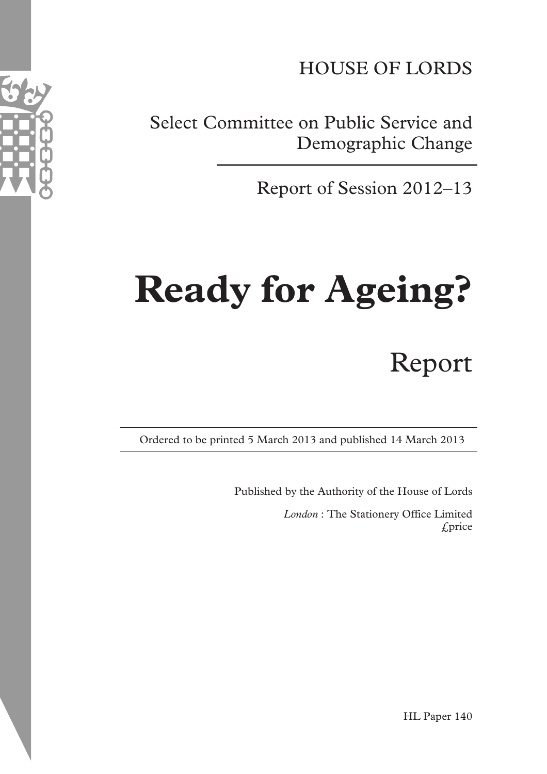HOUSE OF LORDS

Select Committee on Public Service and Demographic Change

Report of Session 2012–13

# **Ready for Ageing?**

# Report

Ordered to be printed 5 March 2013 and published 14 March 2013

Published by the Authority of the House of Lords

*London* : The Stationery Office Limited £price



HL Paper 140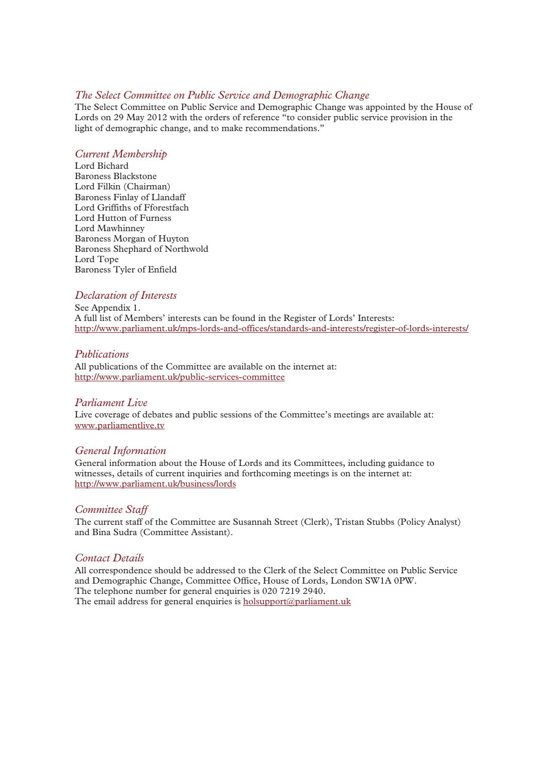# *The Select Committee on Public Service and Demographic Change*

The Select Committee on Public Service and Demographic Change was appointed by the House of Lords on 29 May 2012 with the orders of reference "to consider public service provision in the light of demographic change, and to make recommendations."

# *Current Membership*

Lord Bichard Baroness Blackstone Lord Filkin (Chairman) Baroness Finlay of Llandaff Lord Griffiths of Fforestfach Lord Hutton of Furness Lord Mawhinney Baroness Morgan of Huyton Baroness Shephard of Northwold Lord Tope Baroness Tyler of Enfield

# *Declaration of Interests*

See Appendix 1. A full list of Members' interests can be found in the Register of Lords' Interests: http://www.parliament.uk/mps-lords-and-offices/standards-and-interests/register-of-lords-interests/

# *Publications*

All publications of the Committee are available on the internet at: http://www.parliament.uk/public-services-committee

# *Parliament Live*

Live coverage of debates and public sessions of the Committee's meetings are available at: www.parliamentlive.tv

# *General Information*

General information about the House of Lords and its Committees, including guidance to witnesses, details of current inquiries and forthcoming meetings is on the internet at: http://www.parliament.uk/business/lords

# *Committee Staff*

The current staff of the Committee are Susannah Street (Clerk), Tristan Stubbs (Policy Analyst) and Bina Sudra (Committee Assistant).

# *Contact Details*

All correspondence should be addressed to the Clerk of the Select Committee on Public Service and Demographic Change, Committee Office, House of Lords, London SW1A 0PW. The telephone number for general enquiries is 020 7219 2940. The email address for general enquiries is holsupport@parliament.uk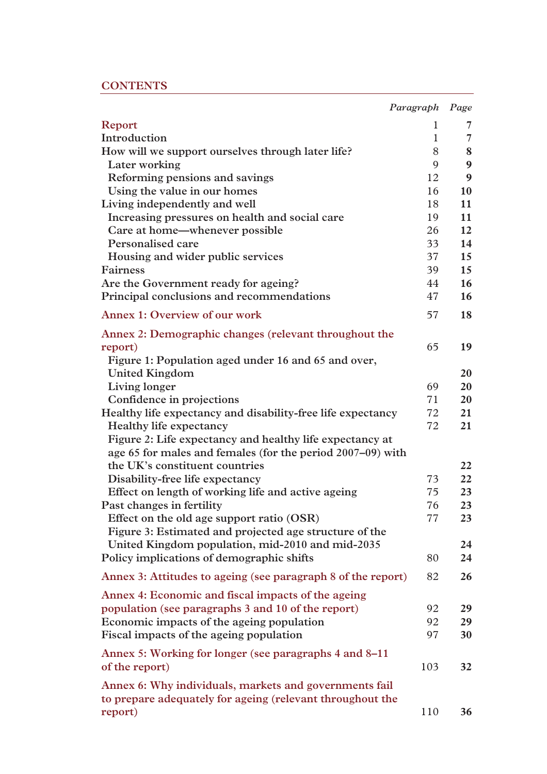# **CONTENTS**

|                                                              | Paragraph Page |                |
|--------------------------------------------------------------|----------------|----------------|
| Report                                                       | 1              | 7              |
| Introduction                                                 | 1              | $\overline{7}$ |
| How will we support ourselves through later life?            | 8              | 8              |
| Later working                                                | 9              | 9              |
| Reforming pensions and savings                               | 12             | 9              |
| Using the value in our homes                                 | 16             | 10             |
| Living independently and well                                | 18             | 11             |
| Increasing pressures on health and social care               | 19             | 11             |
| Care at home—whenever possible                               | 26             | 12             |
| Personalised care                                            | 33             | 14             |
| Housing and wider public services                            | 37             | 15             |
| <b>Fairness</b>                                              | 39             | 15             |
| Are the Government ready for ageing?                         | 44             | 16             |
| Principal conclusions and recommendations                    | 47             | 16             |
| <b>Annex 1: Overview of our work</b>                         | 57             | 18             |
| Annex 2: Demographic changes (relevant throughout the        |                |                |
| report)                                                      | 65             | 19             |
| Figure 1: Population aged under 16 and 65 and over,          |                |                |
| <b>United Kingdom</b>                                        |                | 20             |
| Living longer                                                | 69             | 20             |
| Confidence in projections                                    | 71             | 20             |
| Healthy life expectancy and disability-free life expectancy  | 72             | 21             |
| <b>Healthy life expectancy</b>                               | 72             | 21             |
| Figure 2: Life expectancy and healthy life expectancy at     |                |                |
| age 65 for males and females (for the period 2007–09) with   |                |                |
| the UK's constituent countries                               |                | 22             |
| Disability-free life expectancy                              | 73             | 22             |
| Effect on length of working life and active ageing           | 75             | 23             |
| Past changes in fertility                                    | 76             | 23             |
| Effect on the old age support ratio (OSR)                    | 77             | 23             |
| Figure 3: Estimated and projected age structure of the       |                |                |
| United Kingdom population, mid-2010 and mid-2035             |                | 24             |
| Policy implications of demographic shifts                    | 80             | 24             |
| Annex 3: Attitudes to ageing (see paragraph 8 of the report) | 82             | 26             |
| Annex 4: Economic and fiscal impacts of the ageing           |                |                |
| population (see paragraphs 3 and 10 of the report)           | 92             | 29             |
| Economic impacts of the ageing population                    | 92             | 29             |
| Fiscal impacts of the ageing population                      | 97             | 30             |
| Annex 5: Working for longer (see paragraphs 4 and 8–11)      |                |                |
| of the report)                                               | 103            | 32             |
| Annex 6: Why individuals, markets and governments fail       |                |                |
| to prepare adequately for ageing (relevant throughout the    |                |                |
| report)                                                      | 110            | 36             |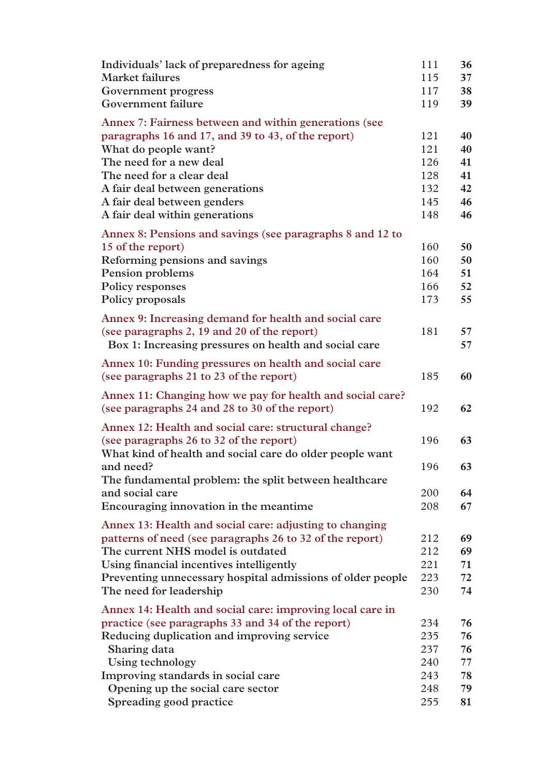| Individuals' lack of preparedness for ageing               | 111 | 36 |
|------------------------------------------------------------|-----|----|
| <b>Market failures</b>                                     | 115 | 37 |
| Government progress                                        | 117 | 38 |
| Government failure                                         | 119 | 39 |
| Annex 7: Fairness between and within generations (see      |     |    |
| paragraphs 16 and 17, and 39 to 43, of the report)         | 121 | 40 |
| What do people want?                                       | 121 | 40 |
| The need for a new deal                                    | 126 | 41 |
| The need for a clear deal                                  | 128 | 41 |
| A fair deal between generations                            | 132 | 42 |
| A fair deal between genders                                | 145 | 46 |
| A fair deal within generations                             | 148 | 46 |
| Annex 8: Pensions and savings (see paragraphs 8 and 12 to  |     |    |
| 15 of the report)                                          | 160 | 50 |
| Reforming pensions and savings                             | 160 | 50 |
| Pension problems                                           | 164 | 51 |
| <b>Policy responses</b>                                    | 166 | 52 |
| Policy proposals                                           | 173 | 55 |
| Annex 9: Increasing demand for health and social care      |     |    |
| (see paragraphs 2, 19 and 20 of the report)                | 181 | 57 |
| Box 1: Increasing pressures on health and social care      |     | 57 |
| Annex 10: Funding pressures on health and social care      |     |    |
| (see paragraphs 21 to 23 of the report)                    | 185 | 60 |
| Annex 11: Changing how we pay for health and social care?  |     |    |
| (see paragraphs 24 and 28 to 30 of the report)             | 192 | 62 |
| Annex 12: Health and social care: structural change?       |     |    |
| (see paragraphs 26 to 32 of the report)                    | 196 | 63 |
| What kind of health and social care do older people want   |     |    |
| and need?                                                  | 196 | 63 |
| The fundamental problem: the split between healthcare      |     |    |
| and social care                                            | 200 | 64 |
| Encouraging innovation in the meantime.                    | 208 | 67 |
| Annex 13: Health and social care: adjusting to changing    |     |    |
| patterns of need (see paragraphs 26 to 32 of the report)   | 212 | 69 |
| The current NHS model is outdated                          | 212 | 69 |
| Using financial incentives intelligently                   | 221 | 71 |
| Preventing unnecessary hospital admissions of older people | 223 | 72 |
| The need for leadership                                    | 230 | 74 |
| Annex 14: Health and social care: improving local care in  |     |    |
| practice (see paragraphs 33 and 34 of the report)          | 234 | 76 |
| Reducing duplication and improving service                 | 235 | 76 |
| Sharing data                                               | 237 | 76 |
| <b>Using technology</b>                                    | 240 | 77 |
| Improving standards in social care                         | 243 | 78 |
| Opening up the social care sector                          | 248 | 79 |
| Spreading good practice                                    | 255 | 81 |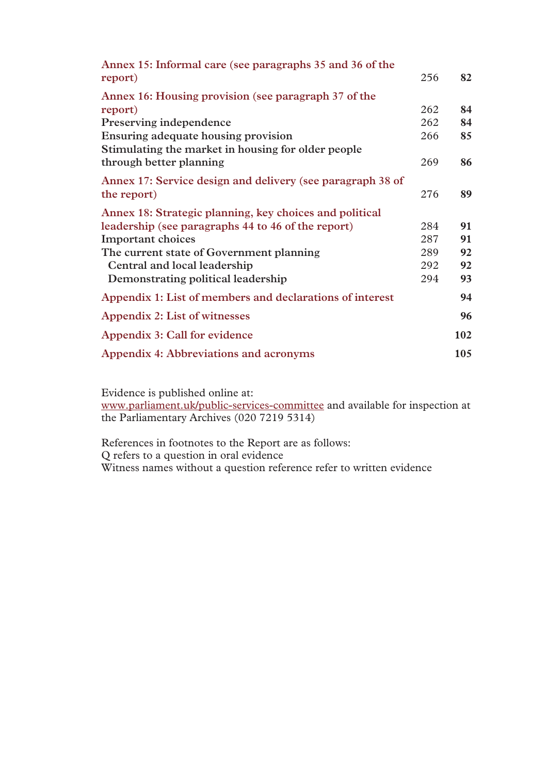| Annex 15: Informal care (see paragraphs 35 and 36 of the   |     |     |
|------------------------------------------------------------|-----|-----|
| report)                                                    | 256 | 82  |
| Annex 16: Housing provision (see paragraph 37 of the       |     |     |
| report)                                                    | 262 | 84  |
| Preserving independence                                    | 262 | 84  |
| Ensuring adequate housing provision                        | 266 | 85  |
| Stimulating the market in housing for older people         |     |     |
| through better planning                                    | 269 | 86  |
| Annex 17: Service design and delivery (see paragraph 38 of |     |     |
| the report)                                                | 276 | 89  |
| Annex 18: Strategic planning, key choices and political    |     |     |
| leadership (see paragraphs 44 to 46 of the report)         | 284 | 91  |
| <b>Important choices</b>                                   | 287 | 91  |
| The current state of Government planning                   | 289 | 92  |
| Central and local leadership                               | 292 | 92  |
| Demonstrating political leadership                         | 294 | 93  |
| Appendix 1: List of members and declarations of interest   |     | 94  |
| Appendix 2: List of witnesses                              |     | 96  |
| Appendix 3: Call for evidence                              |     | 102 |
| Appendix 4: Abbreviations and acronyms                     |     | 105 |

Evidence is published online at: www.parliament.uk/public-services-committee and available for inspection at the Parliamentary Archives (020 7219 5314)

References in footnotes to the Report are as follows: Q refers to a question in oral evidence Witness names without a question reference refer to written evidence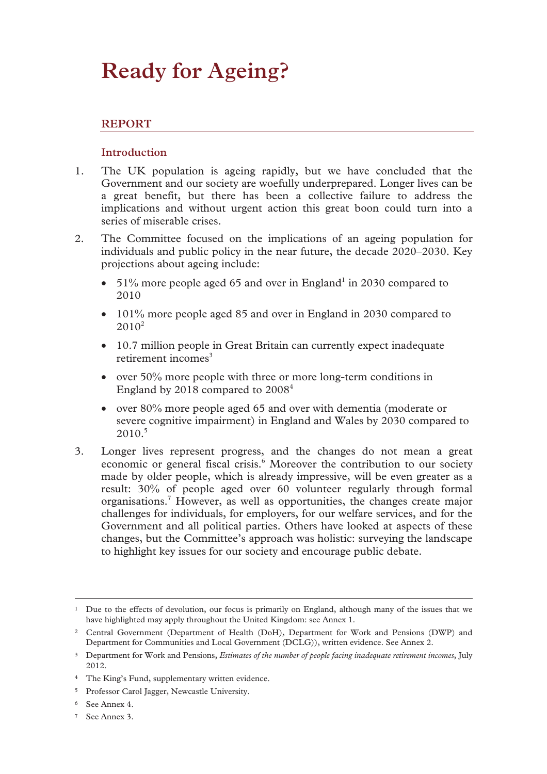# **Ready for Ageing?**

# **REPORT**

# **Introduction**

- 1. The UK population is ageing rapidly, but we have concluded that the Government and our society are woefully underprepared. Longer lives can be a great benefit, but there has been a collective failure to address the implications and without urgent action this great boon could turn into a series of miserable crises.
- 2. The Committee focused on the implications of an ageing population for individuals and public policy in the near future, the decade 2020–2030. Key projections about ageing include:
	- 51% more people aged 65 and over in England<sup>1</sup> in 2030 compared to 2010
	- 101% more people aged 85 and over in England in 2030 compared to  $2010^2$
	- 10.7 million people in Great Britain can currently expect inadequate retirement incomes $3$
	- over 50% more people with three or more long-term conditions in England by 2018 compared to 20084
	- over 80% more people aged 65 and over with dementia (moderate or severe cognitive impairment) in England and Wales by 2030 compared to  $2010.<sup>5</sup>$
- 3. Longer lives represent progress, and the changes do not mean a great economic or general fiscal crisis.<sup>6</sup> Moreover the contribution to our society made by older people, which is already impressive, will be even greater as a result: 30% of people aged over 60 volunteer regularly through formal organisations.7 However, as well as opportunities, the changes create major challenges for individuals, for employers, for our welfare services, and for the Government and all political parties. Others have looked at aspects of these changes, but the Committee's approach was holistic: surveying the landscape to highlight key issues for our society and encourage public debate.

<sup>&</sup>lt;sup>1</sup> Due to the effects of devolution, our focus is primarily on England, although many of the issues that we have highlighted may apply throughout the United Kingdom: see Annex 1.

<sup>2</sup> Central Government (Department of Health (DoH), Department for Work and Pensions (DWP) and Department for Communities and Local Government (DCLG)), written evidence. See Annex 2.

<sup>3</sup> Department for Work and Pensions, *Estimates of the number of people facing inadequate retirement incomes*, July 2012.

<sup>&</sup>lt;sup>4</sup> The King's Fund, supplementary written evidence.

<sup>5</sup> Professor Carol Jagger, Newcastle University.

<sup>6</sup> See Annex 4.

<sup>7</sup> See Annex 3.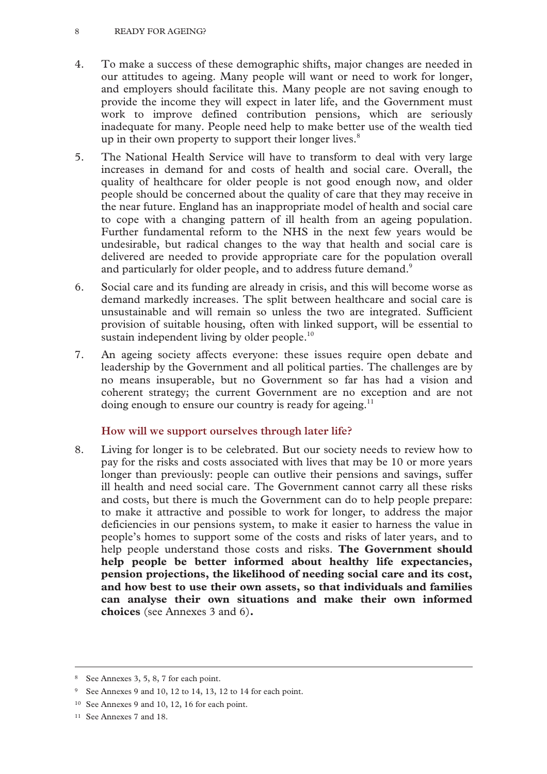- 4. To make a success of these demographic shifts, major changes are needed in our attitudes to ageing. Many people will want or need to work for longer, and employers should facilitate this. Many people are not saving enough to provide the income they will expect in later life, and the Government must work to improve defined contribution pensions, which are seriously inadequate for many. People need help to make better use of the wealth tied up in their own property to support their longer lives.<sup>8</sup>
- 5. The National Health Service will have to transform to deal with very large increases in demand for and costs of health and social care. Overall, the quality of healthcare for older people is not good enough now, and older people should be concerned about the quality of care that they may receive in the near future. England has an inappropriate model of health and social care to cope with a changing pattern of ill health from an ageing population. Further fundamental reform to the NHS in the next few years would be undesirable, but radical changes to the way that health and social care is delivered are needed to provide appropriate care for the population overall and particularly for older people, and to address future demand.<sup>9</sup>
- 6. Social care and its funding are already in crisis, and this will become worse as demand markedly increases. The split between healthcare and social care is unsustainable and will remain so unless the two are integrated. Sufficient provision of suitable housing, often with linked support, will be essential to sustain independent living by older people.<sup>10</sup>
- 7. An ageing society affects everyone: these issues require open debate and leadership by the Government and all political parties. The challenges are by no means insuperable, but no Government so far has had a vision and coherent strategy; the current Government are no exception and are not doing enough to ensure our country is ready for ageing.<sup>11</sup>

# **How will we support ourselves through later life?**

8. Living for longer is to be celebrated. But our society needs to review how to pay for the risks and costs associated with lives that may be 10 or more years longer than previously: people can outlive their pensions and savings, suffer ill health and need social care. The Government cannot carry all these risks and costs, but there is much the Government can do to help people prepare: to make it attractive and possible to work for longer, to address the major deficiencies in our pensions system, to make it easier to harness the value in people's homes to support some of the costs and risks of later years, and to help people understand those costs and risks. **The Government should help people be better informed about healthy life expectancies, pension projections, the likelihood of needing social care and its cost, and how best to use their own assets, so that individuals and families can analyse their own situations and make their own informed choices** (see Annexes 3 and 6)**.** 

 <sup>8</sup> See Annexes 3, 5, 8, 7 for each point.

<sup>9</sup> See Annexes 9 and 10, 12 to 14, 13, 12 to 14 for each point.

<sup>10</sup> See Annexes 9 and 10, 12, 16 for each point.

<sup>11</sup> See Annexes 7 and 18.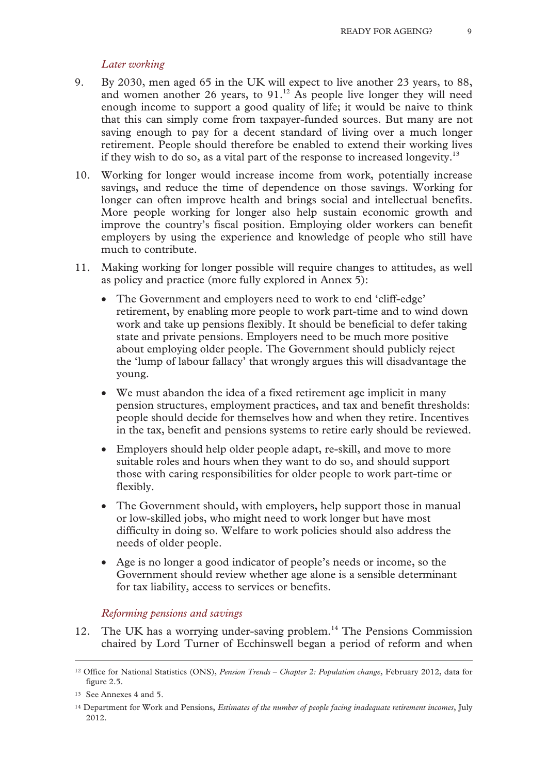# *Later working*

- 9. By 2030, men aged 65 in the UK will expect to live another 23 years, to 88, and women another 26 years, to  $91<sup>12</sup>$  As people live longer they will need enough income to support a good quality of life; it would be naive to think that this can simply come from taxpayer-funded sources. But many are not saving enough to pay for a decent standard of living over a much longer retirement. People should therefore be enabled to extend their working lives if they wish to do so, as a vital part of the response to increased longevity.<sup>13</sup>
- 10. Working for longer would increase income from work, potentially increase savings, and reduce the time of dependence on those savings. Working for longer can often improve health and brings social and intellectual benefits. More people working for longer also help sustain economic growth and improve the country's fiscal position. Employing older workers can benefit employers by using the experience and knowledge of people who still have much to contribute.
- 11. Making working for longer possible will require changes to attitudes, as well as policy and practice (more fully explored in Annex 5):
	- The Government and employers need to work to end 'cliff-edge' retirement, by enabling more people to work part-time and to wind down work and take up pensions flexibly. It should be beneficial to defer taking state and private pensions. Employers need to be much more positive about employing older people. The Government should publicly reject the 'lump of labour fallacy' that wrongly argues this will disadvantage the young.
	- We must abandon the idea of a fixed retirement age implicit in many pension structures, employment practices, and tax and benefit thresholds: people should decide for themselves how and when they retire. Incentives in the tax, benefit and pensions systems to retire early should be reviewed.
	- Employers should help older people adapt, re-skill, and move to more suitable roles and hours when they want to do so, and should support those with caring responsibilities for older people to work part-time or flexibly.
	- The Government should, with employers, help support those in manual or low-skilled jobs, who might need to work longer but have most difficulty in doing so. Welfare to work policies should also address the needs of older people.
	- Age is no longer a good indicator of people's needs or income, so the Government should review whether age alone is a sensible determinant for tax liability, access to services or benefits.

# *Reforming pensions and savings*

12. The UK has a worrying under-saving problem.<sup>14</sup> The Pensions Commission chaired by Lord Turner of Ecchinswell began a period of reform and when

 <sup>12</sup> Office for National Statistics (ONS), *Pension Trends – Chapter 2: Population change*, February 2012, data for figure 2.5.

<sup>13</sup> See Annexes 4 and 5.

<sup>14</sup> Department for Work and Pensions, *Estimates of the number of people facing inadequate retirement incomes*, July 2012.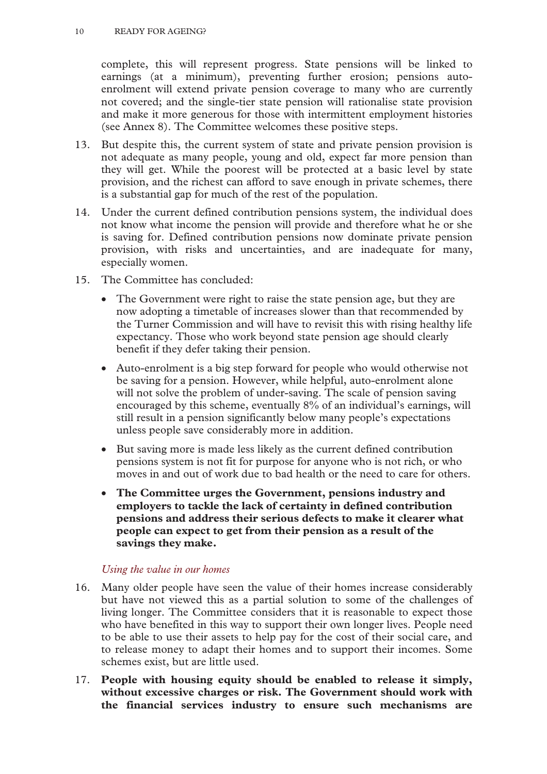complete, this will represent progress. State pensions will be linked to earnings (at a minimum), preventing further erosion; pensions autoenrolment will extend private pension coverage to many who are currently not covered; and the single-tier state pension will rationalise state provision and make it more generous for those with intermittent employment histories (see Annex 8). The Committee welcomes these positive steps.

- 13. But despite this, the current system of state and private pension provision is not adequate as many people, young and old, expect far more pension than they will get. While the poorest will be protected at a basic level by state provision, and the richest can afford to save enough in private schemes, there is a substantial gap for much of the rest of the population.
- 14. Under the current defined contribution pensions system, the individual does not know what income the pension will provide and therefore what he or she is saving for. Defined contribution pensions now dominate private pension provision, with risks and uncertainties, and are inadequate for many, especially women.
- 15. The Committee has concluded:
	- The Government were right to raise the state pension age, but they are now adopting a timetable of increases slower than that recommended by the Turner Commission and will have to revisit this with rising healthy life expectancy. Those who work beyond state pension age should clearly benefit if they defer taking their pension.
	- Auto-enrolment is a big step forward for people who would otherwise not be saving for a pension. However, while helpful, auto-enrolment alone will not solve the problem of under-saving. The scale of pension saving encouraged by this scheme, eventually 8% of an individual's earnings, will still result in a pension significantly below many people's expectations unless people save considerably more in addition.
	- But saving more is made less likely as the current defined contribution pensions system is not fit for purpose for anyone who is not rich, or who moves in and out of work due to bad health or the need to care for others.
	- **The Committee urges the Government, pensions industry and employers to tackle the lack of certainty in defined contribution pensions and address their serious defects to make it clearer what people can expect to get from their pension as a result of the savings they make.**

# *Using the value in our homes*

- 16. Many older people have seen the value of their homes increase considerably but have not viewed this as a partial solution to some of the challenges of living longer. The Committee considers that it is reasonable to expect those who have benefited in this way to support their own longer lives. People need to be able to use their assets to help pay for the cost of their social care, and to release money to adapt their homes and to support their incomes. Some schemes exist, but are little used.
- 17. **People with housing equity should be enabled to release it simply, without excessive charges or risk. The Government should work with the financial services industry to ensure such mechanisms are**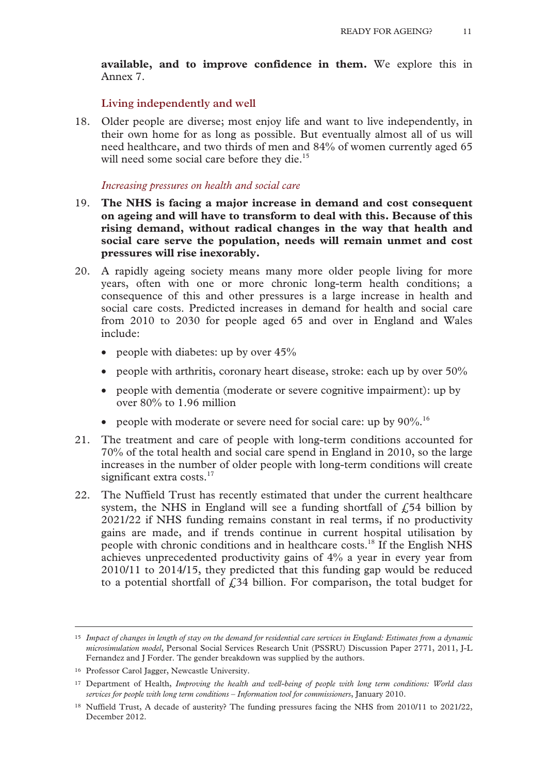**available, and to improve confidence in them.** We explore this in Annex 7.

#### **Living independently and well**

18. Older people are diverse; most enjoy life and want to live independently, in their own home for as long as possible. But eventually almost all of us will need healthcare, and two thirds of men and 84% of women currently aged 65 will need some social care before they die.<sup>15</sup>

#### *Increasing pressures on health and social care*

- 19. **The NHS is facing a major increase in demand and cost consequent on ageing and will have to transform to deal with this. Because of this rising demand, without radical changes in the way that health and social care serve the population, needs will remain unmet and cost pressures will rise inexorably.**
- 20. A rapidly ageing society means many more older people living for more years, often with one or more chronic long-term health conditions; a consequence of this and other pressures is a large increase in health and social care costs. Predicted increases in demand for health and social care from 2010 to 2030 for people aged 65 and over in England and Wales include:
	- people with diabetes: up by over 45%
	- people with arthritis, coronary heart disease, stroke: each up by over 50%
	- people with dementia (moderate or severe cognitive impairment): up by over 80% to 1.96 million
	- people with moderate or severe need for social care: up by  $90\%$ .<sup>16</sup>
- 21. The treatment and care of people with long-term conditions accounted for 70% of the total health and social care spend in England in 2010, so the large increases in the number of older people with long-term conditions will create significant extra costs.<sup>17</sup>
- 22. The Nuffield Trust has recently estimated that under the current healthcare system, the NHS in England will see a funding shortfall of  $\overline{f}$ , 54 billion by 2021/22 if NHS funding remains constant in real terms, if no productivity gains are made, and if trends continue in current hospital utilisation by people with chronic conditions and in healthcare costs.18 If the English NHS achieves unprecedented productivity gains of 4% a year in every year from 2010/11 to 2014/15, they predicted that this funding gap would be reduced to a potential shortfall of  $\zeta$ 34 billion. For comparison, the total budget for

 <sup>15</sup> *Impact of changes in length of stay on the demand for residential care services in England: Estimates from a dynamic microsimulation model*, Personal Social Services Research Unit (PSSRU) Discussion Paper 2771, 2011, J-L Fernandez and J Forder. The gender breakdown was supplied by the authors.

<sup>16</sup> Professor Carol Jagger, Newcastle University.

<sup>17</sup> Department of Health, *Improving the health and well-being of people with long term conditions: World class services for people with long term conditions – Information tool for commissioners*, January 2010.

<sup>18</sup> Nuffield Trust, A decade of austerity? The funding pressures facing the NHS from 2010/11 to 2021/22, December 2012.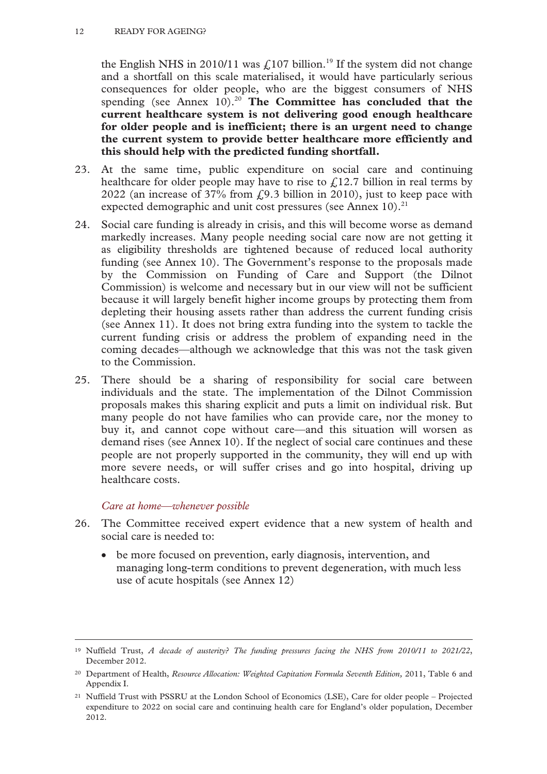#### 12 READY FOR AGEING?

the English NHS in 2010/11 was  $\text{\textsterling}107$  billion.<sup>19</sup> If the system did not change and a shortfall on this scale materialised, it would have particularly serious consequences for older people, who are the biggest consumers of NHS spending (see Annex 10).<sup>20</sup> The Committee has concluded that the **current healthcare system is not delivering good enough healthcare for older people and is inefficient; there is an urgent need to change the current system to provide better healthcare more efficiently and this should help with the predicted funding shortfall.** 

- 23. At the same time, public expenditure on social care and continuing healthcare for older people may have to rise to  $f<sub>1</sub>12.7$  billion in real terms by 2022 (an increase of 37% from  $f(9.3)$  billion in 2010), just to keep pace with expected demographic and unit cost pressures (see Annex  $10$ ).<sup>21</sup>
- 24. Social care funding is already in crisis, and this will become worse as demand markedly increases. Many people needing social care now are not getting it as eligibility thresholds are tightened because of reduced local authority funding (see Annex 10). The Government's response to the proposals made by the Commission on Funding of Care and Support (the Dilnot Commission) is welcome and necessary but in our view will not be sufficient because it will largely benefit higher income groups by protecting them from depleting their housing assets rather than address the current funding crisis (see Annex 11). It does not bring extra funding into the system to tackle the current funding crisis or address the problem of expanding need in the coming decades—although we acknowledge that this was not the task given to the Commission.
- 25. There should be a sharing of responsibility for social care between individuals and the state. The implementation of the Dilnot Commission proposals makes this sharing explicit and puts a limit on individual risk. But many people do not have families who can provide care, nor the money to buy it, and cannot cope without care—and this situation will worsen as demand rises (see Annex 10). If the neglect of social care continues and these people are not properly supported in the community, they will end up with more severe needs, or will suffer crises and go into hospital, driving up healthcare costs.

# *Care at home—whenever possible*

- 26. The Committee received expert evidence that a new system of health and social care is needed to:
	- be more focused on prevention, early diagnosis, intervention, and managing long-term conditions to prevent degeneration, with much less use of acute hospitals (see Annex 12)

 <sup>19</sup> Nuffield Trust, *A decade of austerity? The funding pressures facing the NHS from 2010/11 to 2021/22*, December 2012.

<sup>20</sup> Department of Health, *Resource Allocation: Weighted Capitation Formula Seventh Edition,* 2011, Table 6 and Appendix I.

<sup>21</sup> Nuffield Trust with PSSRU at the London School of Economics (LSE), Care for older people – Projected expenditure to 2022 on social care and continuing health care for England's older population, December 2012.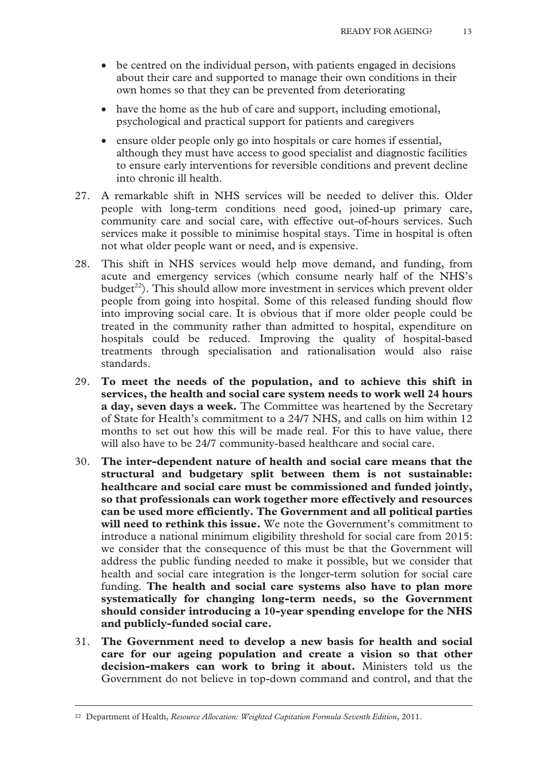- be centred on the individual person, with patients engaged in decisions about their care and supported to manage their own conditions in their own homes so that they can be prevented from deteriorating
- have the home as the hub of care and support, including emotional, psychological and practical support for patients and caregivers
- ensure older people only go into hospitals or care homes if essential, although they must have access to good specialist and diagnostic facilities to ensure early interventions for reversible conditions and prevent decline into chronic ill health.
- 27. A remarkable shift in NHS services will be needed to deliver this. Older people with long-term conditions need good, joined-up primary care, community care and social care, with effective out-of-hours services. Such services make it possible to minimise hospital stays. Time in hospital is often not what older people want or need, and is expensive.
- 28. This shift in NHS services would help move demand, and funding, from acute and emergency services (which consume nearly half of the NHS's  $budget^{22}$ . This should allow more investment in services which prevent older people from going into hospital. Some of this released funding should flow into improving social care. It is obvious that if more older people could be treated in the community rather than admitted to hospital, expenditure on hospitals could be reduced. Improving the quality of hospital-based treatments through specialisation and rationalisation would also raise standards.
- 29. **To meet the needs of the population, and to achieve this shift in services, the health and social care system needs to work well 24 hours a day, seven days a week.** The Committee was heartened by the Secretary of State for Health's commitment to a 24/7 NHS, and calls on him within 12 months to set out how this will be made real. For this to have value, there will also have to be 24/7 community-based healthcare and social care.
- 30. **The inter-dependent nature of health and social care means that the structural and budgetary split between them is not sustainable: healthcare and social care must be commissioned and funded jointly, so that professionals can work together more effectively and resources can be used more efficiently. The Government and all political parties will need to rethink this issue.** We note the Government's commitment to introduce a national minimum eligibility threshold for social care from 2015: we consider that the consequence of this must be that the Government will address the public funding needed to make it possible, but we consider that health and social care integration is the longer-term solution for social care funding. **The health and social care systems also have to plan more systematically for changing long-term needs, so the Government should consider introducing a 10-year spending envelope for the NHS and publicly-funded social care.**
- 31. **The Government need to develop a new basis for health and social care for our ageing population and create a vision so that other decision-makers can work to bring it about.** Ministers told us the Government do not believe in top-down command and control, and that the

 <sup>22</sup> Department of Health, *Resource Allocation: Weighted Capitation Formula Seventh Edition*, 2011.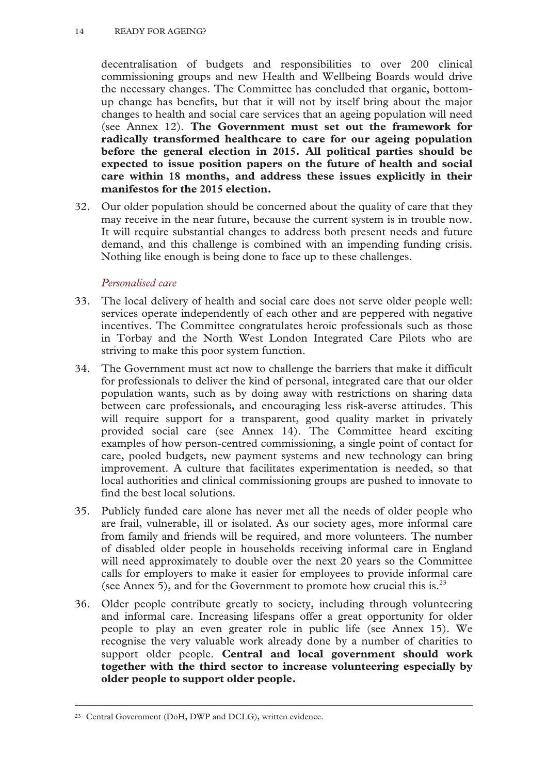decentralisation of budgets and responsibilities to over 200 clinical commissioning groups and new Health and Wellbeing Boards would drive the necessary changes. The Committee has concluded that organic, bottomup change has benefits, but that it will not by itself bring about the major changes to health and social care services that an ageing population will need (see Annex 12). **The Government must set out the framework for radically transformed healthcare to care for our ageing population before the general election in 2015. All political parties should be expected to issue position papers on the future of health and social care within 18 months, and address these issues explicitly in their manifestos for the 2015 election.**

32. Our older population should be concerned about the quality of care that they may receive in the near future, because the current system is in trouble now. It will require substantial changes to address both present needs and future demand, and this challenge is combined with an impending funding crisis. Nothing like enough is being done to face up to these challenges.

# *Personalised care*

- 33. The local delivery of health and social care does not serve older people well: services operate independently of each other and are peppered with negative incentives. The Committee congratulates heroic professionals such as those in Torbay and the North West London Integrated Care Pilots who are striving to make this poor system function.
- 34. The Government must act now to challenge the barriers that make it difficult for professionals to deliver the kind of personal, integrated care that our older population wants, such as by doing away with restrictions on sharing data between care professionals, and encouraging less risk-averse attitudes. This will require support for a transparent, good quality market in privately provided social care (see Annex 14). The Committee heard exciting examples of how person-centred commissioning, a single point of contact for care, pooled budgets, new payment systems and new technology can bring improvement. A culture that facilitates experimentation is needed, so that local authorities and clinical commissioning groups are pushed to innovate to find the best local solutions.
- 35. Publicly funded care alone has never met all the needs of older people who are frail, vulnerable, ill or isolated. As our society ages, more informal care from family and friends will be required, and more volunteers. The number of disabled older people in households receiving informal care in England will need approximately to double over the next 20 years so the Committee calls for employers to make it easier for employees to provide informal care (see Annex 5), and for the Government to promote how crucial this is.<sup>23</sup>
- 36. Older people contribute greatly to society, including through volunteering and informal care. Increasing lifespans offer a great opportunity for older people to play an even greater role in public life (see Annex 15). We recognise the very valuable work already done by a number of charities to support older people. **Central and local government should work together with the third sector to increase volunteering especially by older people to support older people.**

 <sup>23</sup> Central Government (DoH, DWP and DCLG), written evidence.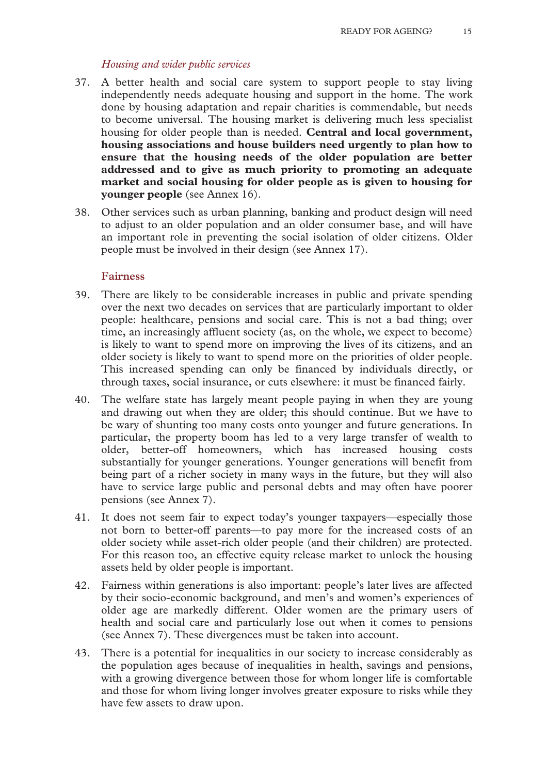#### *Housing and wider public services*

- 37. A better health and social care system to support people to stay living independently needs adequate housing and support in the home. The work done by housing adaptation and repair charities is commendable, but needs to become universal. The housing market is delivering much less specialist housing for older people than is needed. **Central and local government, housing associations and house builders need urgently to plan how to ensure that the housing needs of the older population are better addressed and to give as much priority to promoting an adequate market and social housing for older people as is given to housing for younger people** (see Annex 16).
- 38. Other services such as urban planning, banking and product design will need to adjust to an older population and an older consumer base, and will have an important role in preventing the social isolation of older citizens. Older people must be involved in their design (see Annex 17).

# **Fairness**

- 39. There are likely to be considerable increases in public and private spending over the next two decades on services that are particularly important to older people: healthcare, pensions and social care. This is not a bad thing; over time, an increasingly affluent society (as, on the whole, we expect to become) is likely to want to spend more on improving the lives of its citizens, and an older society is likely to want to spend more on the priorities of older people. This increased spending can only be financed by individuals directly, or through taxes, social insurance, or cuts elsewhere: it must be financed fairly.
- 40. The welfare state has largely meant people paying in when they are young and drawing out when they are older; this should continue. But we have to be wary of shunting too many costs onto younger and future generations. In particular, the property boom has led to a very large transfer of wealth to older, better-off homeowners, which has increased housing costs substantially for younger generations. Younger generations will benefit from being part of a richer society in many ways in the future, but they will also have to service large public and personal debts and may often have poorer pensions (see Annex 7).
- 41. It does not seem fair to expect today's younger taxpayers—especially those not born to better-off parents—to pay more for the increased costs of an older society while asset-rich older people (and their children) are protected. For this reason too, an effective equity release market to unlock the housing assets held by older people is important.
- 42. Fairness within generations is also important: people's later lives are affected by their socio-economic background, and men's and women's experiences of older age are markedly different. Older women are the primary users of health and social care and particularly lose out when it comes to pensions (see Annex 7). These divergences must be taken into account.
- 43. There is a potential for inequalities in our society to increase considerably as the population ages because of inequalities in health, savings and pensions, with a growing divergence between those for whom longer life is comfortable and those for whom living longer involves greater exposure to risks while they have few assets to draw upon.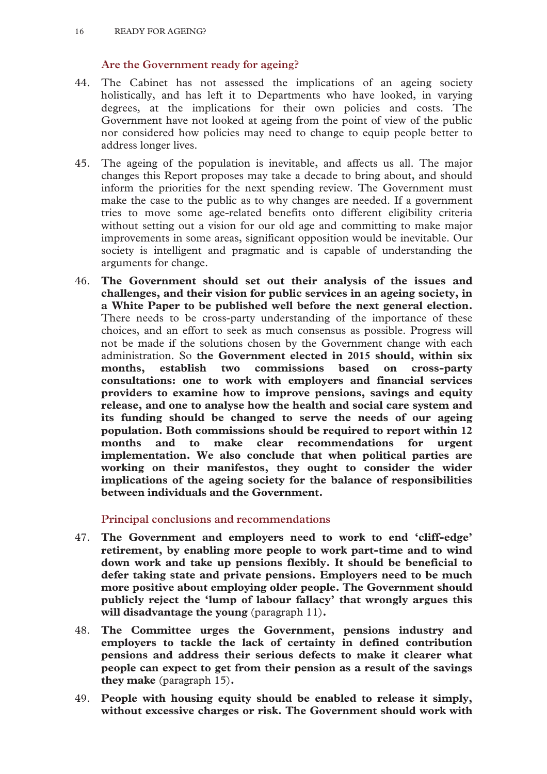# **Are the Government ready for ageing?**

- 44. The Cabinet has not assessed the implications of an ageing society holistically, and has left it to Departments who have looked, in varying degrees, at the implications for their own policies and costs. The Government have not looked at ageing from the point of view of the public nor considered how policies may need to change to equip people better to address longer lives.
- 45. The ageing of the population is inevitable, and affects us all. The major changes this Report proposes may take a decade to bring about, and should inform the priorities for the next spending review. The Government must make the case to the public as to why changes are needed. If a government tries to move some age-related benefits onto different eligibility criteria without setting out a vision for our old age and committing to make major improvements in some areas, significant opposition would be inevitable. Our society is intelligent and pragmatic and is capable of understanding the arguments for change.
- 46. **The Government should set out their analysis of the issues and challenges, and their vision for public services in an ageing society, in a White Paper to be published well before the next general election.** There needs to be cross-party understanding of the importance of these choices, and an effort to seek as much consensus as possible. Progress will not be made if the solutions chosen by the Government change with each administration. So **the Government elected in 2015 should, within six months, establish two commissions based on cross-party consultations: one to work with employers and financial services providers to examine how to improve pensions, savings and equity release, and one to analyse how the health and social care system and its funding should be changed to serve the needs of our ageing population. Both commissions should be required to report within 12 months and to make clear recommendations for urgent implementation. We also conclude that when political parties are working on their manifestos, they ought to consider the wider implications of the ageing society for the balance of responsibilities between individuals and the Government.**

**Principal conclusions and recommendations** 

- 47. **The Government and employers need to work to end 'cliff-edge' retirement, by enabling more people to work part-time and to wind down work and take up pensions flexibly. It should be beneficial to defer taking state and private pensions. Employers need to be much more positive about employing older people. The Government should publicly reject the 'lump of labour fallacy' that wrongly argues this will disadvantage the young** (paragraph 11)**.**
- 48. **The Committee urges the Government, pensions industry and employers to tackle the lack of certainty in defined contribution pensions and address their serious defects to make it clearer what people can expect to get from their pension as a result of the savings they make** (paragraph 15)**.**
- 49. **People with housing equity should be enabled to release it simply, without excessive charges or risk. The Government should work with**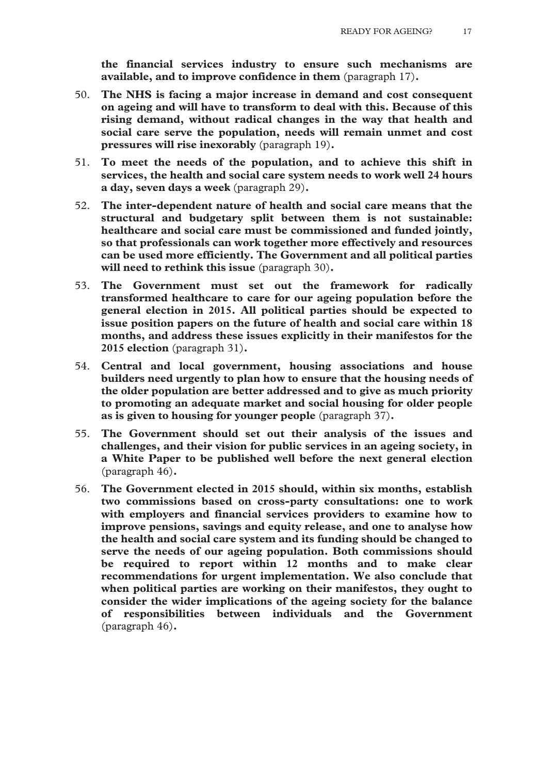**the financial services industry to ensure such mechanisms are available, and to improve confidence in them** (paragraph 17)**.**

- 50. **The NHS is facing a major increase in demand and cost consequent on ageing and will have to transform to deal with this. Because of this rising demand, without radical changes in the way that health and social care serve the population, needs will remain unmet and cost pressures will rise inexorably** (paragraph 19)**.**
- 51. **To meet the needs of the population, and to achieve this shift in services, the health and social care system needs to work well 24 hours a day, seven days a week** (paragraph 29)**.**
- 52. **The inter-dependent nature of health and social care means that the structural and budgetary split between them is not sustainable: healthcare and social care must be commissioned and funded jointly, so that professionals can work together more effectively and resources can be used more efficiently. The Government and all political parties will need to rethink this issue** (paragraph 30)**.**
- 53. **The Government must set out the framework for radically transformed healthcare to care for our ageing population before the general election in 2015. All political parties should be expected to issue position papers on the future of health and social care within 18 months, and address these issues explicitly in their manifestos for the 2015 election** (paragraph 31)**.**
- 54. **Central and local government, housing associations and house builders need urgently to plan how to ensure that the housing needs of the older population are better addressed and to give as much priority to promoting an adequate market and social housing for older people as is given to housing for younger people** (paragraph 37)**.**
- 55. **The Government should set out their analysis of the issues and challenges, and their vision for public services in an ageing society, in a White Paper to be published well before the next general election**  (paragraph 46)**.**
- 56. **The Government elected in 2015 should, within six months, establish two commissions based on cross-party consultations: one to work with employers and financial services providers to examine how to improve pensions, savings and equity release, and one to analyse how the health and social care system and its funding should be changed to serve the needs of our ageing population. Both commissions should be required to report within 12 months and to make clear recommendations for urgent implementation. We also conclude that when political parties are working on their manifestos, they ought to consider the wider implications of the ageing society for the balance of responsibilities between individuals and the Government**  (paragraph 46)**.**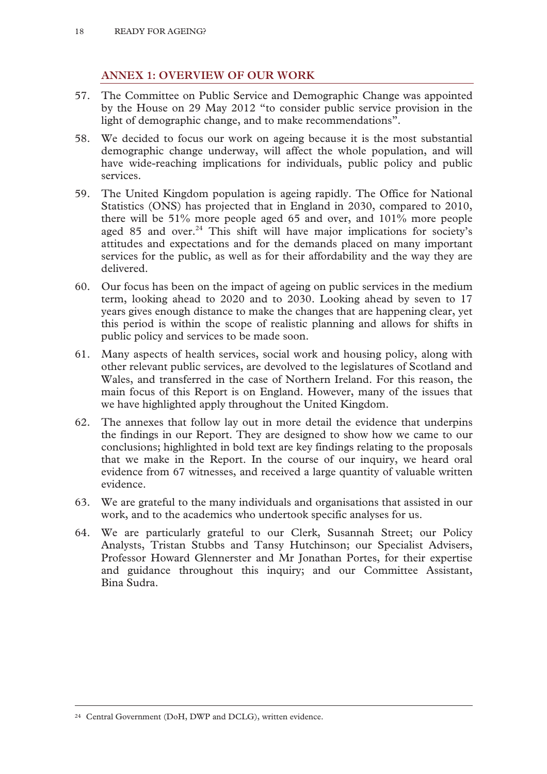# **ANNEX 1: OVERVIEW OF OUR WORK**

- 57. The Committee on Public Service and Demographic Change was appointed by the House on 29 May 2012 "to consider public service provision in the light of demographic change, and to make recommendations".
- 58. We decided to focus our work on ageing because it is the most substantial demographic change underway, will affect the whole population, and will have wide-reaching implications for individuals, public policy and public services.
- 59. The United Kingdom population is ageing rapidly. The Office for National Statistics (ONS) has projected that in England in 2030, compared to 2010, there will be 51% more people aged 65 and over, and 101% more people aged 85 and over. $24$  This shift will have major implications for society's attitudes and expectations and for the demands placed on many important services for the public, as well as for their affordability and the way they are delivered.
- 60. Our focus has been on the impact of ageing on public services in the medium term, looking ahead to 2020 and to 2030. Looking ahead by seven to 17 years gives enough distance to make the changes that are happening clear, yet this period is within the scope of realistic planning and allows for shifts in public policy and services to be made soon.
- 61. Many aspects of health services, social work and housing policy, along with other relevant public services, are devolved to the legislatures of Scotland and Wales, and transferred in the case of Northern Ireland. For this reason, the main focus of this Report is on England. However, many of the issues that we have highlighted apply throughout the United Kingdom.
- 62. The annexes that follow lay out in more detail the evidence that underpins the findings in our Report. They are designed to show how we came to our conclusions; highlighted in bold text are key findings relating to the proposals that we make in the Report. In the course of our inquiry, we heard oral evidence from 67 witnesses, and received a large quantity of valuable written evidence.
- 63. We are grateful to the many individuals and organisations that assisted in our work, and to the academics who undertook specific analyses for us.
- 64. We are particularly grateful to our Clerk, Susannah Street; our Policy Analysts, Tristan Stubbs and Tansy Hutchinson; our Specialist Advisers, Professor Howard Glennerster and Mr Jonathan Portes, for their expertise and guidance throughout this inquiry; and our Committee Assistant, Bina Sudra.

 <sup>24</sup> Central Government (DoH, DWP and DCLG), written evidence.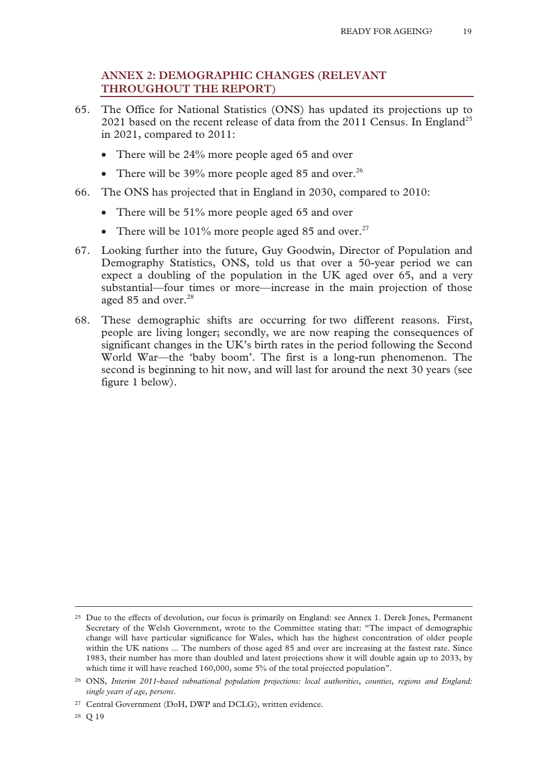# **ANNEX 2: DEMOGRAPHIC CHANGES (RELEVANT THROUGHOUT THE REPORT)**

- 65. The Office for National Statistics (ONS) has updated its projections up to 2021 based on the recent release of data from the  $2011$  Census. In England<sup>25</sup> in 2021, compared to 2011:
	- There will be 24% more people aged 65 and over
	- There will be 39% more people aged 85 and over.<sup>26</sup>
- 66. The ONS has projected that in England in 2030, compared to 2010:
	- There will be 51% more people aged 65 and over
	- There will be  $101\%$  more people aged 85 and over.<sup>27</sup>
- 67. Looking further into the future, Guy Goodwin, Director of Population and Demography Statistics, ONS, told us that over a 50-year period we can expect a doubling of the population in the UK aged over 65, and a very substantial—four times or more—increase in the main projection of those aged 85 and over.<sup>28</sup>
- 68. These demographic shifts are occurring for two different reasons. First, people are living longer; secondly, we are now reaping the consequences of significant changes in the UK's birth rates in the period following the Second World War—the 'baby boom'. The first is a long-run phenomenon. The second is beginning to hit now, and will last for around the next 30 years (see figure 1 below).

28 Q 19

<sup>&</sup>lt;sup>25</sup> Due to the effects of devolution, our focus is primarily on England: see Annex 1. Derek Jones, Permanent Secretary of the Welsh Government, wrote to the Committee stating that: "The impact of demographic change will have particular significance for Wales, which has the highest concentration of older people within the UK nations ... The numbers of those aged 85 and over are increasing at the fastest rate. Since 1983, their number has more than doubled and latest projections show it will double again up to 2033, by which time it will have reached 160,000, some 5% of the total projected population".

<sup>26</sup> ONS, *Interim 2011-based subnational population projections: local authorities, counties, regions and England: single years of age, persons*.

<sup>27</sup> Central Government (DoH, DWP and DCLG), written evidence.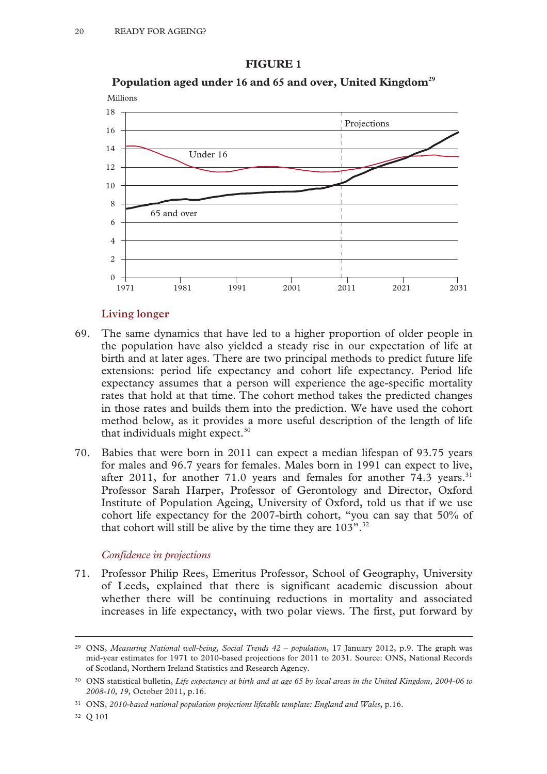#### **FIGURE 1**



# Population aged under 16 and 65 and over, United Kingdom<sup>29</sup>

#### **Living longer**

- 69. The same dynamics that have led to a higher proportion of older people in the population have also yielded a steady rise in our expectation of life at birth and at later ages. There are two principal methods to predict future life extensions: period life expectancy and cohort life expectancy. Period life expectancy assumes that a person will experience the age-specific mortality rates that hold at that time. The cohort method takes the predicted changes in those rates and builds them into the prediction. We have used the cohort method below, as it provides a more useful description of the length of life that individuals might expect. $30$
- 70. Babies that were born in 2011 can expect a median lifespan of 93.75 years for males and 96.7 years for females. Males born in 1991 can expect to live, after 2011, for another 71.0 years and females for another 74.3 years.<sup>31</sup> Professor Sarah Harper, Professor of Gerontology and Director, Oxford Institute of Population Ageing, University of Oxford, told us that if we use cohort life expectancy for the 2007-birth cohort, "you can say that 50% of that cohort will still be alive by the time they are  $103$ ".<sup>32</sup>

#### *Confidence in projections*

71. Professor Philip Rees, Emeritus Professor, School of Geography, University of Leeds, explained that there is significant academic discussion about whether there will be continuing reductions in mortality and associated increases in life expectancy, with two polar views. The first, put forward by

 <sup>29</sup> ONS, *Measuring National well-being, Social Trends 42 – population*, 17 January 2012, p.9. The graph was mid-year estimates for 1971 to 2010-based projections for 2011 to 2031. Source: ONS, National Records of Scotland, Northern Ireland Statistics and Research Agency.

<sup>30</sup> ONS statistical bulletin, *Life expectancy at birth and at age 65 by local areas in the United Kingdom, 2004-06 to 2008-10, 19*, October 2011, p.16.

<sup>31</sup> ONS, *2010-based national population projections lifetable template: England and Wales*, p.16.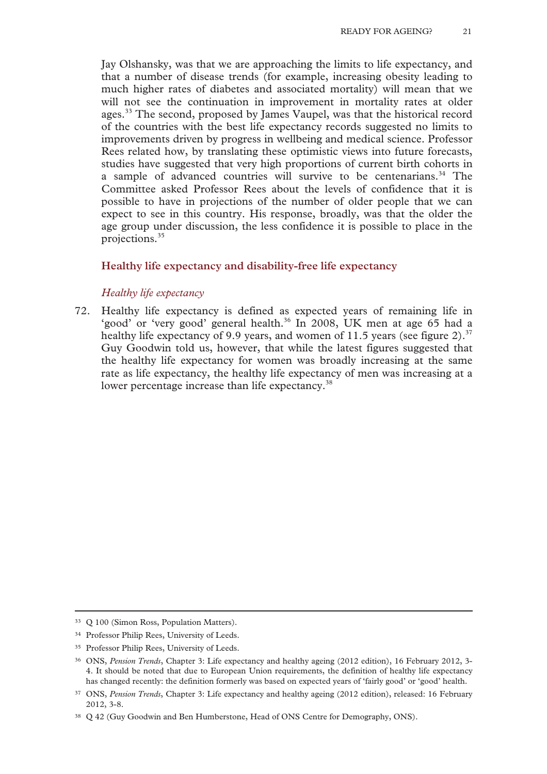Jay Olshansky, was that we are approaching the limits to life expectancy, and that a number of disease trends (for example, increasing obesity leading to much higher rates of diabetes and associated mortality) will mean that we will not see the continuation in improvement in mortality rates at older ages.<sup>33</sup> The second, proposed by James Vaupel, was that the historical record of the countries with the best life expectancy records suggested no limits to improvements driven by progress in wellbeing and medical science. Professor Rees related how, by translating these optimistic views into future forecasts, studies have suggested that very high proportions of current birth cohorts in a sample of advanced countries will survive to be centenarians.<sup>34</sup> The Committee asked Professor Rees about the levels of confidence that it is possible to have in projections of the number of older people that we can expect to see in this country. His response, broadly, was that the older the age group under discussion, the less confidence it is possible to place in the projections.35

# **Healthy life expectancy and disability-free life expectancy**

#### *Healthy life expectancy*

72. Healthy life expectancy is defined as expected years of remaining life in 'good' or 'very good' general health.<sup>36</sup> In 2008, UK men at age 65 had a healthy life expectancy of 9.9 years, and women of 11.5 years (see figure 2).<sup>37</sup> Guy Goodwin told us, however, that while the latest figures suggested that the healthy life expectancy for women was broadly increasing at the same rate as life expectancy, the healthy life expectancy of men was increasing at a lower percentage increase than life expectancy.<sup>38</sup>

 <sup>33</sup> Q 100 (Simon Ross, Population Matters).

<sup>34</sup> Professor Philip Rees, University of Leeds.

<sup>35</sup> Professor Philip Rees, University of Leeds.

<sup>36</sup> ONS, *Pension Trends*, Chapter 3: Life expectancy and healthy ageing (2012 edition), 16 February 2012, 3- 4. It should be noted that due to European Union requirements, the definition of healthy life expectancy has changed recently: the definition formerly was based on expected years of 'fairly good' or 'good' health.

<sup>37</sup> ONS, *Pension Trends*, Chapter 3: Life expectancy and healthy ageing (2012 edition), released: 16 February 2012, 3-8.

<sup>38</sup> Q 42 (Guy Goodwin and Ben Humberstone, Head of ONS Centre for Demography, ONS).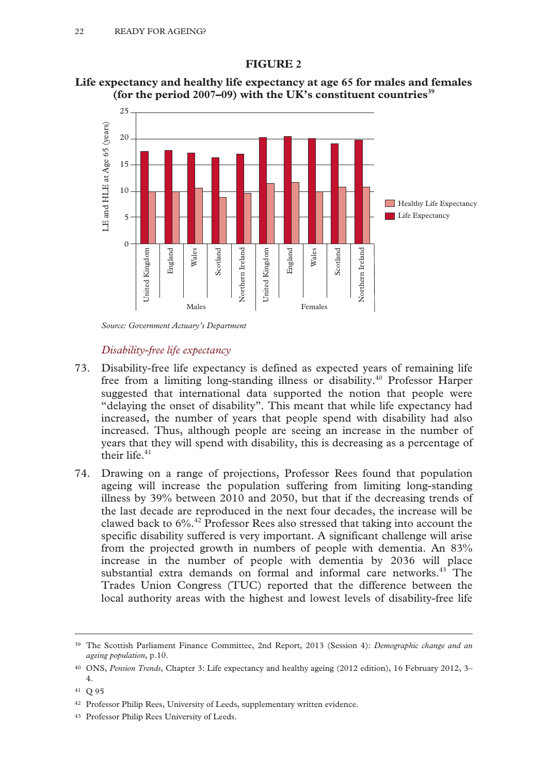# **FIGURE 2**





*Source: Government Actuary's Department* 

# *Disability-free life expectancy*

- 73. Disability-free life expectancy is defined as expected years of remaining life free from a limiting long-standing illness or disability.<sup>40</sup> Professor Harper suggested that international data supported the notion that people were "delaying the onset of disability". This meant that while life expectancy had increased, the number of years that people spend with disability had also increased. Thus, although people are seeing an increase in the number of years that they will spend with disability, this is decreasing as a percentage of their life.<sup>41</sup>
- 74. Drawing on a range of projections, Professor Rees found that population ageing will increase the population suffering from limiting long-standing illness by 39% between 2010 and 2050, but that if the decreasing trends of the last decade are reproduced in the next four decades, the increase will be clawed back to  $6\%$ .<sup>42</sup> Professor Rees also stressed that taking into account the specific disability suffered is very important. A significant challenge will arise from the projected growth in numbers of people with dementia. An 83% increase in the number of people with dementia by 2036 will place substantial extra demands on formal and informal care networks.<sup>43</sup> The Trades Union Congress (TUC) reported that the difference between the local authority areas with the highest and lowest levels of disability-free life

 <sup>39</sup> The Scottish Parliament Finance Committee, 2nd Report, 2013 (Session 4): *Demographic change and an ageing population*, p.10.

<sup>40</sup> ONS, *Pension Trends*, Chapter 3: Life expectancy and healthy ageing (2012 edition), 16 February 2012, 3– 4.

<sup>41</sup> Q 95

<sup>42</sup> Professor Philip Rees, University of Leeds, supplementary written evidence.

<sup>43</sup> Professor Philip Rees University of Leeds.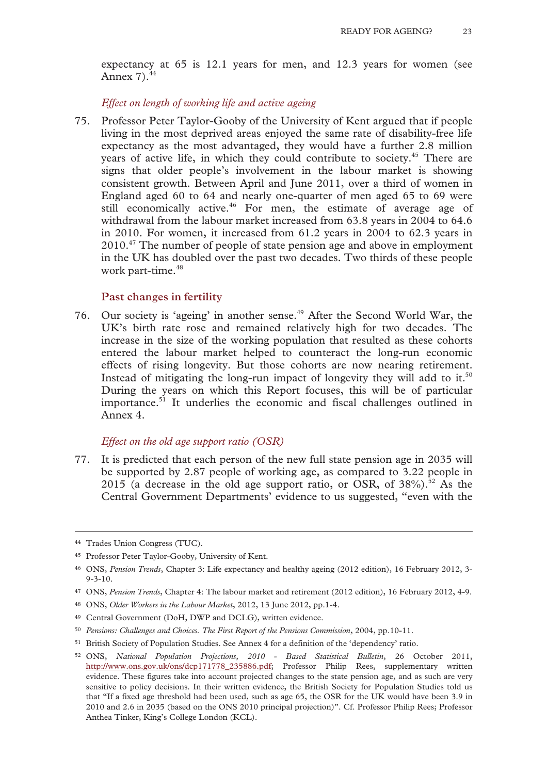expectancy at 65 is 12.1 years for men, and 12.3 years for women (see Annex 7).<sup>44</sup>

*Effect on length of working life and active ageing* 

75. Professor Peter Taylor-Gooby of the University of Kent argued that if people living in the most deprived areas enjoyed the same rate of disability-free life expectancy as the most advantaged, they would have a further 2.8 million years of active life, in which they could contribute to society.<sup>45</sup> There are signs that older people's involvement in the labour market is showing consistent growth. Between April and June 2011, over a third of women in England aged 60 to 64 and nearly one-quarter of men aged 65 to 69 were still economically active.<sup>46</sup> For men, the estimate of average age of withdrawal from the labour market increased from 63.8 years in 2004 to 64.6 in 2010. For women, it increased from 61.2 years in 2004 to 62.3 years in 2010.<sup>47</sup> The number of people of state pension age and above in employment in the UK has doubled over the past two decades. Two thirds of these people work part-time.<sup>48</sup>

#### **Past changes in fertility**

76. Our society is 'ageing' in another sense.<sup>49</sup> After the Second World War, the UK's birth rate rose and remained relatively high for two decades. The increase in the size of the working population that resulted as these cohorts entered the labour market helped to counteract the long-run economic effects of rising longevity. But those cohorts are now nearing retirement. Instead of mitigating the long-run impact of longevity they will add to it.<sup>50</sup> During the years on which this Report focuses, this will be of particular importance.<sup>51</sup> It underlies the economic and fiscal challenges outlined in Annex 4.

#### *Effect on the old age support ratio (OSR)*

77. It is predicted that each person of the new full state pension age in 2035 will be supported by 2.87 people of working age, as compared to 3.22 people in 2015 (a decrease in the old age support ratio, or OSR, of  $38\%$ ).<sup>52</sup> As the Central Government Departments' evidence to us suggested, "even with the

 <sup>44</sup> Trades Union Congress (TUC).

<sup>45</sup> Professor Peter Taylor-Gooby, University of Kent.

<sup>46</sup> ONS, *Pension Trends*, Chapter 3: Life expectancy and healthy ageing (2012 edition), 16 February 2012, 3-  $9 - 3 - 10$ .

<sup>47</sup> ONS, *Pension Trends*, Chapter 4: The labour market and retirement (2012 edition), 16 February 2012, 4-9.

<sup>48</sup> ONS, *Older Workers in the Labour Market*, 2012, 13 June 2012, pp.1-4.

<sup>49</sup> Central Government (DoH, DWP and DCLG), written evidence.

<sup>50</sup> *Pensions: Challenges and Choices. The First Report of the Pensions Commission*, 2004, pp.10-11.

<sup>51</sup> British Society of Population Studies. See Annex 4 for a definition of the 'dependency' ratio.

<sup>52</sup> ONS, *National Population Projections, 2010 - Based Statistical Bulletin*, 26 October 2011, http://www.ons.gov.uk/ons/dcp171778\_235886.pdf; Professor Philip Rees, supplementary written evidence. These figures take into account projected changes to the state pension age, and as such are very sensitive to policy decisions. In their written evidence, the British Society for Population Studies told us that "If a fixed age threshold had been used, such as age 65, the OSR for the UK would have been 3.9 in 2010 and 2.6 in 2035 (based on the ONS 2010 principal projection)". Cf. Professor Philip Rees; Professor Anthea Tinker, King's College London (KCL).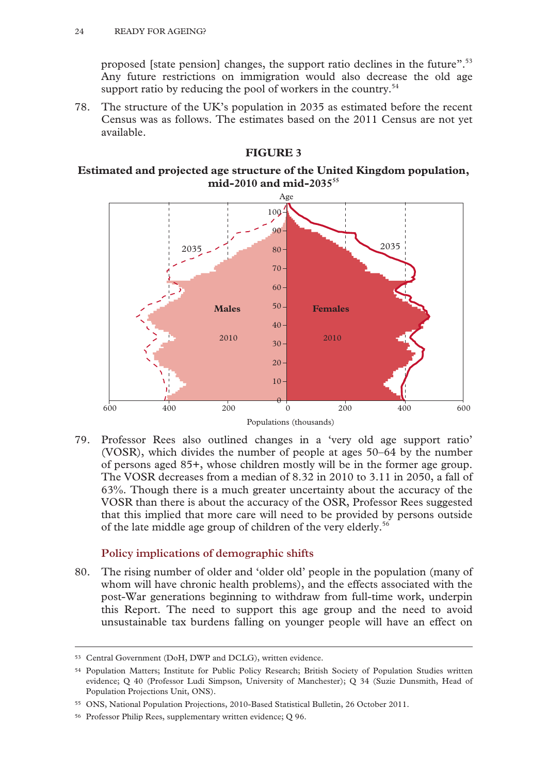proposed [state pension] changes, the support ratio declines in the future".53 Any future restrictions on immigration would also decrease the old age support ratio by reducing the pool of workers in the country.<sup>54</sup>

78. The structure of the UK's population in 2035 as estimated before the recent Census was as follows. The estimates based on the 2011 Census are not yet available.

# **FIGURE 3**

# **Estimated and projected age structure of the United Kingdom population, mid-2010 and mid-203555**



79. Professor Rees also outlined changes in a 'very old age support ratio' (VOSR), which divides the number of people at ages 50–64 by the number of persons aged 85+, whose children mostly will be in the former age group. The VOSR decreases from a median of 8.32 in 2010 to 3.11 in 2050, a fall of 63%. Though there is a much greater uncertainty about the accuracy of the VOSR than there is about the accuracy of the OSR, Professor Rees suggested that this implied that more care will need to be provided by persons outside of the late middle age group of children of the very elderly.<sup>56</sup>

# **Policy implications of demographic shifts**

80. The rising number of older and 'older old' people in the population (many of whom will have chronic health problems), and the effects associated with the post-War generations beginning to withdraw from full-time work, underpin this Report. The need to support this age group and the need to avoid unsustainable tax burdens falling on younger people will have an effect on

 <sup>53</sup> Central Government (DoH, DWP and DCLG), written evidence.

<sup>54</sup> Population Matters; Institute for Public Policy Research; British Society of Population Studies written evidence; Q 40 (Professor Ludi Simpson, University of Manchester); Q 34 (Suzie Dunsmith, Head of Population Projections Unit, ONS).

<sup>55</sup> ONS, National Population Projections, 2010-Based Statistical Bulletin, 26 October 2011.

<sup>56</sup> Professor Philip Rees, supplementary written evidence; Q 96.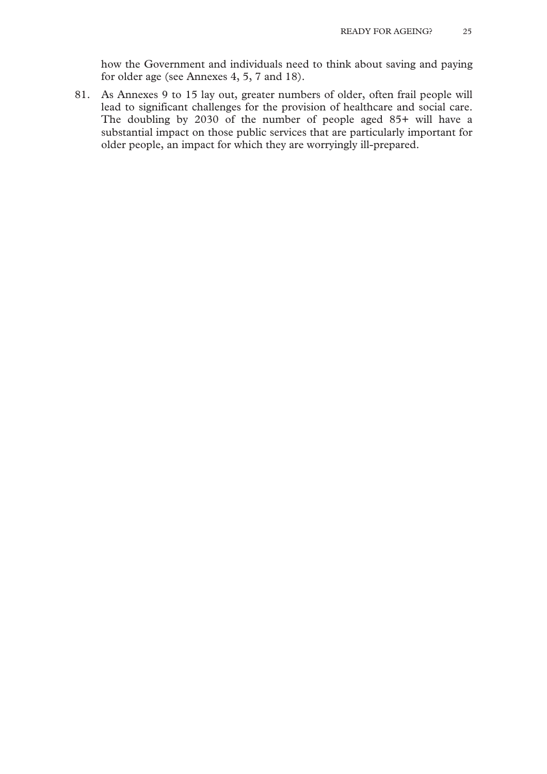how the Government and individuals need to think about saving and paying for older age (see Annexes 4, 5, 7 and 18).

81. As Annexes 9 to 15 lay out, greater numbers of older, often frail people will lead to significant challenges for the provision of healthcare and social care. The doubling by 2030 of the number of people aged 85+ will have a substantial impact on those public services that are particularly important for older people, an impact for which they are worryingly ill-prepared.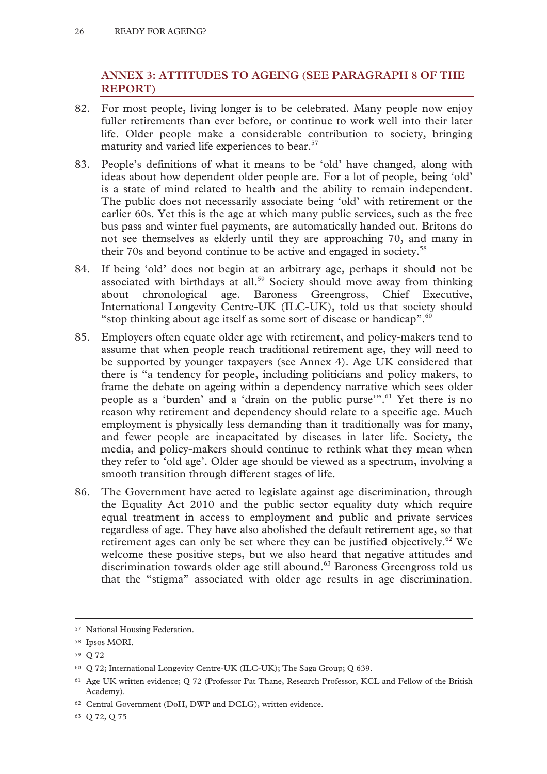# **ANNEX 3: ATTITUDES TO AGEING (SEE PARAGRAPH 8 OF THE REPORT)**

- 82. For most people, living longer is to be celebrated. Many people now enjoy fuller retirements than ever before, or continue to work well into their later life. Older people make a considerable contribution to society, bringing maturity and varied life experiences to bear.<sup>57</sup>
- 83. People's definitions of what it means to be 'old' have changed, along with ideas about how dependent older people are. For a lot of people, being 'old' is a state of mind related to health and the ability to remain independent. The public does not necessarily associate being 'old' with retirement or the earlier 60s. Yet this is the age at which many public services, such as the free bus pass and winter fuel payments, are automatically handed out. Britons do not see themselves as elderly until they are approaching 70, and many in their 70s and beyond continue to be active and engaged in society.58
- 84. If being 'old' does not begin at an arbitrary age, perhaps it should not be associated with birthdays at all.<sup>59</sup> Society should move away from thinking about chronological age. Baroness Greengross, Chief Executive, International Longevity Centre-UK (ILC-UK), told us that society should "stop thinking about age itself as some sort of disease or handicap". $60$
- 85. Employers often equate older age with retirement, and policy-makers tend to assume that when people reach traditional retirement age, they will need to be supported by younger taxpayers (see Annex 4). Age UK considered that there is "a tendency for people, including politicians and policy makers, to frame the debate on ageing within a dependency narrative which sees older people as a 'burden' and a 'drain on the public purse'".<sup>61</sup> Yet there is no reason why retirement and dependency should relate to a specific age. Much employment is physically less demanding than it traditionally was for many, and fewer people are incapacitated by diseases in later life. Society, the media, and policy-makers should continue to rethink what they mean when they refer to 'old age'. Older age should be viewed as a spectrum, involving a smooth transition through different stages of life.
- 86. The Government have acted to legislate against age discrimination, through the Equality Act 2010 and the public sector equality duty which require equal treatment in access to employment and public and private services regardless of age. They have also abolished the default retirement age, so that retirement ages can only be set where they can be justified objectively.<sup>62</sup> We welcome these positive steps, but we also heard that negative attitudes and discrimination towards older age still abound.<sup>63</sup> Baroness Greengross told us that the "stigma" associated with older age results in age discrimination.

 <sup>57</sup> National Housing Federation.

<sup>58</sup> Ipsos MORI.

<sup>59</sup> Q 72

<sup>60</sup> Q 72; International Longevity Centre-UK (ILC-UK); The Saga Group; Q 639.

<sup>61</sup> Age UK written evidence; Q 72 (Professor Pat Thane, Research Professor, KCL and Fellow of the British Academy).

<sup>62</sup> Central Government (DoH, DWP and DCLG), written evidence.

<sup>63</sup> Q 72, Q 75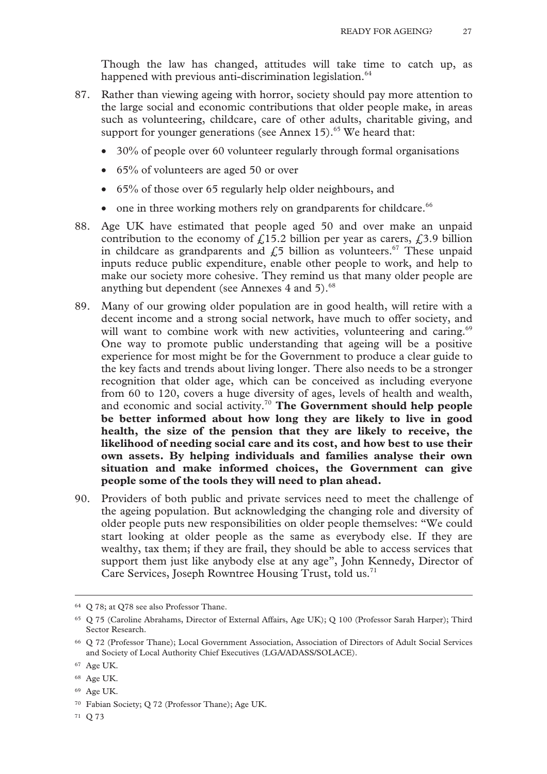Though the law has changed, attitudes will take time to catch up, as happened with previous anti-discrimination legislation.<sup>64</sup>

- 87. Rather than viewing ageing with horror, society should pay more attention to the large social and economic contributions that older people make, in areas such as volunteering, childcare, care of other adults, charitable giving, and support for younger generations (see Annex 15). $65$  We heard that:
	- 30% of people over 60 volunteer regularly through formal organisations
	- $\bullet$  65% of volunteers are aged 50 or over
	- 65% of those over 65 regularly help older neighbours, and
	- $\bullet$  one in three working mothers rely on grandparents for childcare.<sup>66</sup>
- 88. Age UK have estimated that people aged 50 and over make an unpaid contribution to the economy of  $f(15.2)$  billion per year as carers,  $f(3.9)$  billion in childcare as grandparents and  $f<sub>1</sub>5$  billion as volunteers.<sup>67</sup> These unpaid inputs reduce public expenditure, enable other people to work, and help to make our society more cohesive. They remind us that many older people are anything but dependent (see Annexes 4 and 5).<sup>68</sup>
- 89. Many of our growing older population are in good health, will retire with a decent income and a strong social network, have much to offer society, and will want to combine work with new activities, volunteering and caring.<sup>69</sup> One way to promote public understanding that ageing will be a positive experience for most might be for the Government to produce a clear guide to the key facts and trends about living longer. There also needs to be a stronger recognition that older age, which can be conceived as including everyone from 60 to 120, covers a huge diversity of ages, levels of health and wealth, and economic and social activity.70 **The Government should help people be better informed about how long they are likely to live in good health, the size of the pension that they are likely to receive, the likelihood of needing social care and its cost, and how best to use their own assets. By helping individuals and families analyse their own situation and make informed choices, the Government can give people some of the tools they will need to plan ahead.**
- 90. Providers of both public and private services need to meet the challenge of the ageing population. But acknowledging the changing role and diversity of older people puts new responsibilities on older people themselves: "We could start looking at older people as the same as everybody else. If they are wealthy, tax them; if they are frail, they should be able to access services that support them just like anybody else at any age", John Kennedy, Director of Care Services, Joseph Rowntree Housing Trust, told us.<sup>71</sup>

 <sup>64</sup> Q 78; at Q78 see also Professor Thane.

<sup>65</sup> Q 75 (Caroline Abrahams, Director of External Affairs, Age UK); Q 100 (Professor Sarah Harper); Third Sector Research.

<sup>66</sup> Q 72 (Professor Thane); Local Government Association, Association of Directors of Adult Social Services and Society of Local Authority Chief Executives (LGA/ADASS/SOLACE).

<sup>67</sup> Age UK.

<sup>68</sup> Age UK.

<sup>69</sup> Age UK.

<sup>70</sup> Fabian Society; Q 72 (Professor Thane); Age UK.

<sup>71</sup> Q 73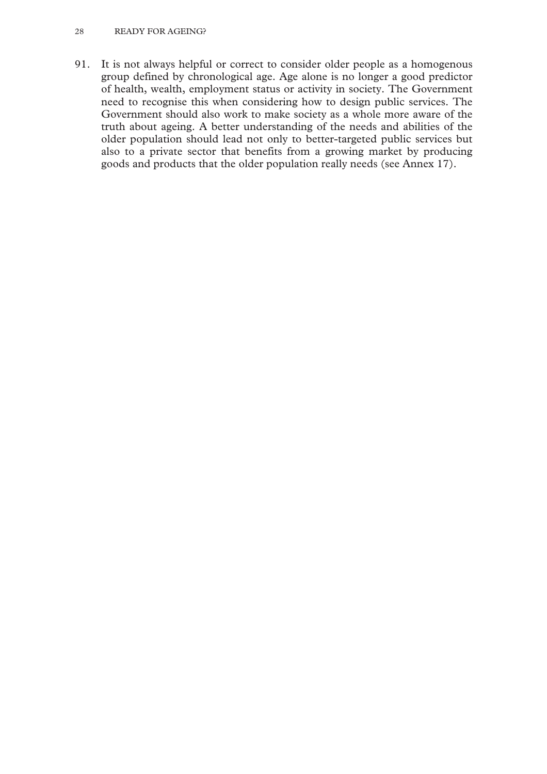#### 28 READY FOR AGEING?

91. It is not always helpful or correct to consider older people as a homogenous group defined by chronological age. Age alone is no longer a good predictor of health, wealth, employment status or activity in society. The Government need to recognise this when considering how to design public services. The Government should also work to make society as a whole more aware of the truth about ageing. A better understanding of the needs and abilities of the older population should lead not only to better-targeted public services but also to a private sector that benefits from a growing market by producing goods and products that the older population really needs (see Annex 17).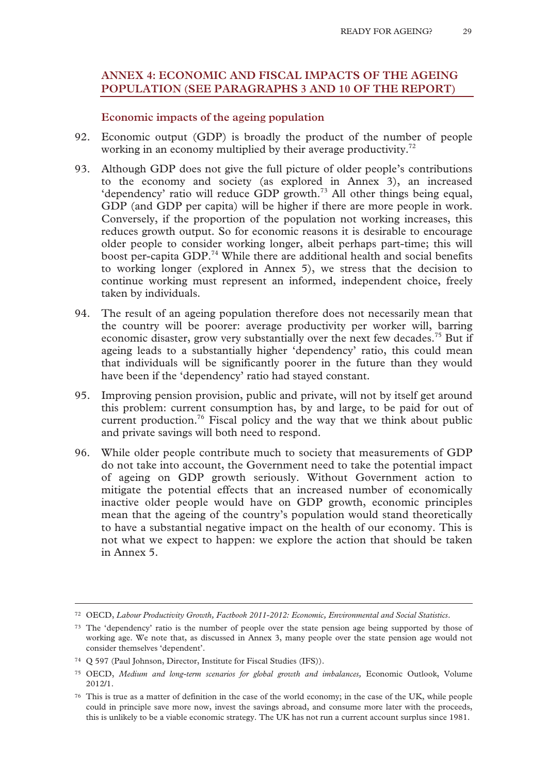# **ANNEX 4: ECONOMIC AND FISCAL IMPACTS OF THE AGEING POPULATION (SEE PARAGRAPHS 3 AND 10 OF THE REPORT)**

# **Economic impacts of the ageing population**

- 92. Economic output (GDP) is broadly the product of the number of people working in an economy multiplied by their average productivity.<sup>72</sup>
- 93. Although GDP does not give the full picture of older people's contributions to the economy and society (as explored in Annex 3), an increased 'dependency' ratio will reduce GDP growth.<sup>73</sup> All other things being equal, GDP (and GDP per capita) will be higher if there are more people in work. Conversely, if the proportion of the population not working increases, this reduces growth output. So for economic reasons it is desirable to encourage older people to consider working longer, albeit perhaps part-time; this will boost per-capita GDP.74 While there are additional health and social benefits to working longer (explored in Annex 5), we stress that the decision to continue working must represent an informed, independent choice, freely taken by individuals.
- 94. The result of an ageing population therefore does not necessarily mean that the country will be poorer: average productivity per worker will, barring economic disaster, grow very substantially over the next few decades.<sup>75</sup> But if ageing leads to a substantially higher 'dependency' ratio, this could mean that individuals will be significantly poorer in the future than they would have been if the 'dependency' ratio had stayed constant.
- 95. Improving pension provision, public and private, will not by itself get around this problem: current consumption has, by and large, to be paid for out of current production.<sup>76</sup> Fiscal policy and the way that we think about public and private savings will both need to respond.
- 96. While older people contribute much to society that measurements of GDP do not take into account, the Government need to take the potential impact of ageing on GDP growth seriously. Without Government action to mitigate the potential effects that an increased number of economically inactive older people would have on GDP growth, economic principles mean that the ageing of the country's population would stand theoretically to have a substantial negative impact on the health of our economy. This is not what we expect to happen: we explore the action that should be taken in Annex 5.

 <sup>72</sup> OECD, *Labour Productivity Growth, Factbook 2011-2012: Economic, Environmental and Social Statistics*.

<sup>73</sup> The 'dependency' ratio is the number of people over the state pension age being supported by those of working age. We note that, as discussed in Annex 3, many people over the state pension age would not consider themselves 'dependent'.

<sup>74</sup> Q 597 (Paul Johnson, Director, Institute for Fiscal Studies (IFS)).

<sup>75</sup> OECD, *Medium and long-term scenarios for global growth and imbalances,* Economic Outlook, Volume 2012/1.

<sup>76</sup> This is true as a matter of definition in the case of the world economy; in the case of the UK, while people could in principle save more now, invest the savings abroad, and consume more later with the proceeds, this is unlikely to be a viable economic strategy. The UK has not run a current account surplus since 1981.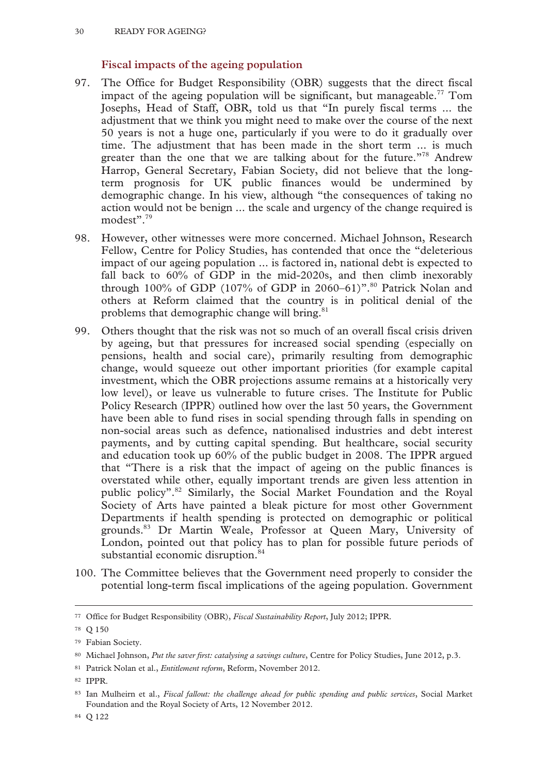# **Fiscal impacts of the ageing population**

- 97. The Office for Budget Responsibility (OBR) suggests that the direct fiscal impact of the ageing population will be significant, but manageable.<sup>77</sup> Tom Josephs, Head of Staff, OBR, told us that "In purely fiscal terms ... the adjustment that we think you might need to make over the course of the next 50 years is not a huge one, particularly if you were to do it gradually over time. The adjustment that has been made in the short term ... is much greater than the one that we are talking about for the future.<sup>"78</sup> Andrew Harrop, General Secretary, Fabian Society, did not believe that the longterm prognosis for UK public finances would be undermined by demographic change. In his view, although "the consequences of taking no action would not be benign ... the scale and urgency of the change required is modest".<sup>79</sup>
- 98. However, other witnesses were more concerned. Michael Johnson, Research Fellow, Centre for Policy Studies, has contended that once the "deleterious impact of our ageing population ... is factored in, national debt is expected to fall back to 60% of GDP in the mid-2020s, and then climb inexorably through 100% of GDP (107% of GDP in 2060–61)".<sup>80</sup> Patrick Nolan and others at Reform claimed that the country is in political denial of the problems that demographic change will bring.<sup>81</sup>
- 99. Others thought that the risk was not so much of an overall fiscal crisis driven by ageing, but that pressures for increased social spending (especially on pensions, health and social care), primarily resulting from demographic change, would squeeze out other important priorities (for example capital investment, which the OBR projections assume remains at a historically very low level), or leave us vulnerable to future crises. The Institute for Public Policy Research (IPPR) outlined how over the last 50 years, the Government have been able to fund rises in social spending through falls in spending on non-social areas such as defence, nationalised industries and debt interest payments, and by cutting capital spending. But healthcare, social security and education took up 60% of the public budget in 2008. The IPPR argued that "There is a risk that the impact of ageing on the public finances is overstated while other, equally important trends are given less attention in public policy".82 Similarly, the Social Market Foundation and the Royal Society of Arts have painted a bleak picture for most other Government Departments if health spending is protected on demographic or political grounds.83 Dr Martin Weale, Professor at Queen Mary, University of London, pointed out that policy has to plan for possible future periods of substantial economic disruption.<sup>84</sup>
- 100. The Committee believes that the Government need properly to consider the potential long-term fiscal implications of the ageing population. Government

 <sup>77</sup> Office for Budget Responsibility (OBR), *Fiscal Sustainability Report*, July 2012; IPPR.

<sup>78</sup> Q 150

<sup>79</sup> Fabian Society.

<sup>80</sup> Michael Johnson, *Put the saver first: catalysing a savings culture*, Centre for Policy Studies, June 2012, p.3.

<sup>81</sup> Patrick Nolan et al., *Entitlement reform*, Reform, November 2012.

<sup>82</sup> IPPR.

<sup>83</sup> Ian Mulheirn et al., *Fiscal fallout: the challenge ahead for public spending and public services*, Social Market Foundation and the Royal Society of Arts, 12 November 2012.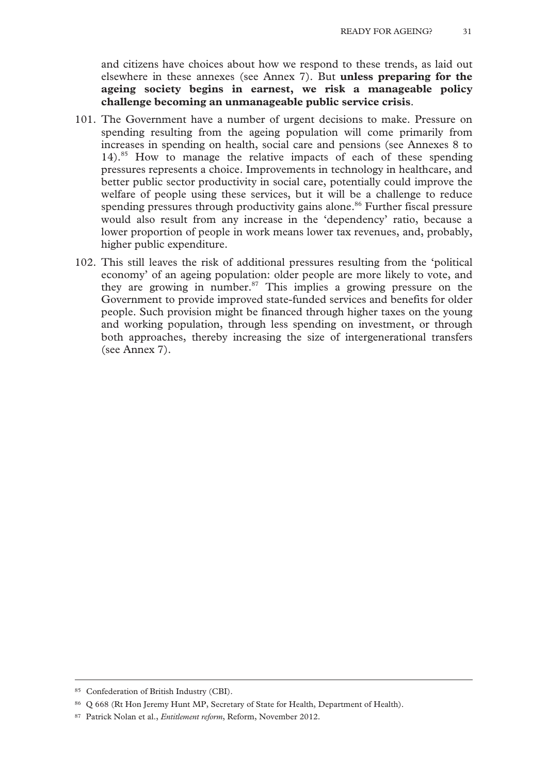and citizens have choices about how we respond to these trends, as laid out elsewhere in these annexes (see Annex 7). But **unless preparing for the ageing society begins in earnest, we risk a manageable policy challenge becoming an unmanageable public service crisis**.

- 101. The Government have a number of urgent decisions to make. Pressure on spending resulting from the ageing population will come primarily from increases in spending on health, social care and pensions (see Annexes 8 to 14).<sup>85</sup> How to manage the relative impacts of each of these spending pressures represents a choice. Improvements in technology in healthcare, and better public sector productivity in social care, potentially could improve the welfare of people using these services, but it will be a challenge to reduce spending pressures through productivity gains alone.<sup>86</sup> Further fiscal pressure would also result from any increase in the 'dependency' ratio, because a lower proportion of people in work means lower tax revenues, and, probably, higher public expenditure.
- 102. This still leaves the risk of additional pressures resulting from the 'political economy' of an ageing population: older people are more likely to vote, and they are growing in number.<sup>87</sup> This implies a growing pressure on the Government to provide improved state-funded services and benefits for older people. Such provision might be financed through higher taxes on the young and working population, through less spending on investment, or through both approaches, thereby increasing the size of intergenerational transfers (see Annex 7).

 <sup>85</sup> Confederation of British Industry (CBI).

<sup>86</sup> Q 668 (Rt Hon Jeremy Hunt MP, Secretary of State for Health, Department of Health).

<sup>87</sup> Patrick Nolan et al., *Entitlement reform*, Reform, November 2012.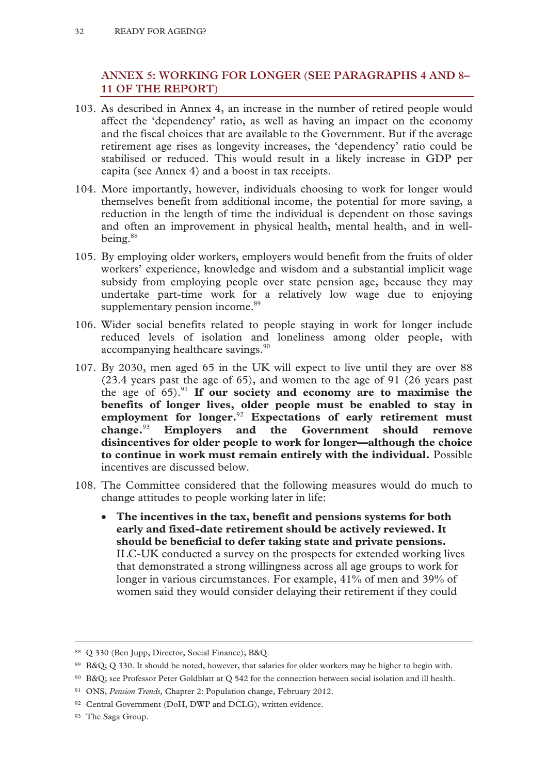# **ANNEX 5: WORKING FOR LONGER (SEE PARAGRAPHS 4 AND 8– 11 OF THE REPORT)**

- 103. As described in Annex 4, an increase in the number of retired people would affect the 'dependency' ratio, as well as having an impact on the economy and the fiscal choices that are available to the Government. But if the average retirement age rises as longevity increases, the 'dependency' ratio could be stabilised or reduced. This would result in a likely increase in GDP per capita (see Annex 4) and a boost in tax receipts.
- 104. More importantly, however, individuals choosing to work for longer would themselves benefit from additional income, the potential for more saving, a reduction in the length of time the individual is dependent on those savings and often an improvement in physical health, mental health, and in wellbeing.88
- 105. By employing older workers, employers would benefit from the fruits of older workers' experience, knowledge and wisdom and a substantial implicit wage subsidy from employing people over state pension age, because they may undertake part-time work for a relatively low wage due to enjoying supplementary pension income.<sup>89</sup>
- 106. Wider social benefits related to people staying in work for longer include reduced levels of isolation and loneliness among older people, with accompanying healthcare savings.<sup>90</sup>
- 107. By 2030, men aged 65 in the UK will expect to live until they are over 88 (23.4 years past the age of 65), and women to the age of 91 (26 years past the age of  $65)$ .<sup>91</sup> If our society and economy are to maximise the **benefits of longer lives, older people must be enabled to stay in employment for longer.**<sup>92</sup> **Expectations of early retirement must change.**<sup>93</sup> **Employers and the Government should remove disincentives for older people to work for longer—although the choice to continue in work must remain entirely with the individual.** Possible incentives are discussed below.
- 108. The Committee considered that the following measures would do much to change attitudes to people working later in life:
	- **The incentives in the tax, benefit and pensions systems for both early and fixed-date retirement should be actively reviewed. It should be beneficial to defer taking state and private pensions.** ILC-UK conducted a survey on the prospects for extended working lives that demonstrated a strong willingness across all age groups to work for longer in various circumstances. For example, 41% of men and 39% of women said they would consider delaying their retirement if they could

 <sup>88</sup> Q 330 (Ben Jupp, Director, Social Finance); B&Q.

<sup>89</sup> B&Q; Q 330. It should be noted, however, that salaries for older workers may be higher to begin with.

<sup>90</sup> B&Q; see Professor Peter Goldblatt at Q 542 for the connection between social isolation and ill health.

<sup>91</sup> ONS, *Pension Trends,* Chapter 2: Population change, February 2012.

<sup>92</sup> Central Government (DoH, DWP and DCLG), written evidence.

<sup>93</sup> The Saga Group.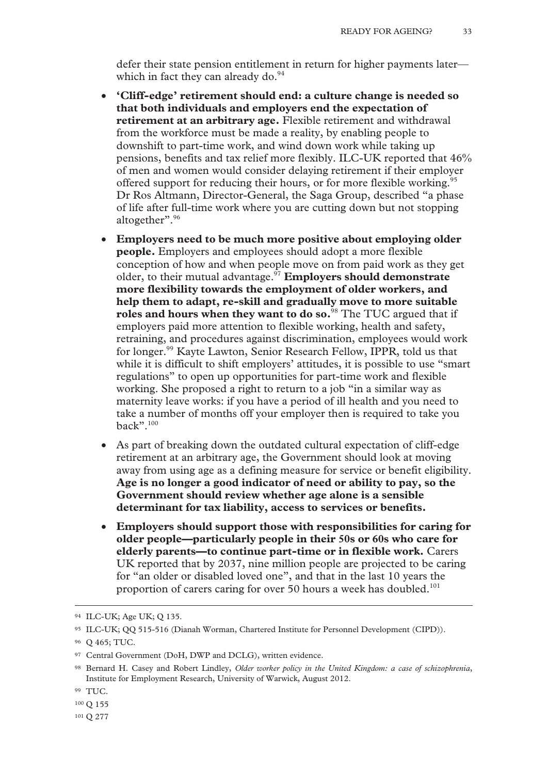defer their state pension entitlement in return for higher payments later which in fact they can already do. $94$ 

- **'Cliff-edge' retirement should end: a culture change is needed so that both individuals and employers end the expectation of retirement at an arbitrary age.** Flexible retirement and withdrawal from the workforce must be made a reality, by enabling people to downshift to part-time work, and wind down work while taking up pensions, benefits and tax relief more flexibly. ILC-UK reported that 46% of men and women would consider delaying retirement if their employer offered support for reducing their hours, or for more flexible working.<sup>95</sup> Dr Ros Altmann, Director-General, the Saga Group, described "a phase of life after full-time work where you are cutting down but not stopping altogether".<sup>96</sup>
- **Employers need to be much more positive about employing older people.** Employers and employees should adopt a more flexible conception of how and when people move on from paid work as they get older, to their mutual advantage.97 **Employers should demonstrate more flexibility towards the employment of older workers, and help them to adapt, re-skill and gradually move to more suitable roles and hours when they want to do so.**98 The TUC argued that if employers paid more attention to flexible working, health and safety, retraining, and procedures against discrimination, employees would work for longer.99 Kayte Lawton, Senior Research Fellow, IPPR, told us that while it is difficult to shift employers' attitudes, it is possible to use "smart" regulations" to open up opportunities for part-time work and flexible working. She proposed a right to return to a job "in a similar way as maternity leave works: if you have a period of ill health and you need to take a number of months off your employer then is required to take you back".100
- As part of breaking down the outdated cultural expectation of cliff-edge retirement at an arbitrary age, the Government should look at moving away from using age as a defining measure for service or benefit eligibility. **Age is no longer a good indicator of need or ability to pay, so the Government should review whether age alone is a sensible determinant for tax liability, access to services or benefits.**
- **Employers should support those with responsibilities for caring for older people—particularly people in their 50s or 60s who care for elderly parents—to continue part-time or in flexible work.** Carers UK reported that by 2037, nine million people are projected to be caring for "an older or disabled loved one", and that in the last 10 years the proportion of carers caring for over 50 hours a week has doubled.<sup>101</sup>

 <sup>94</sup> ILC-UK; Age UK; Q 135.

<sup>95</sup> ILC-UK; QQ 515-516 (Dianah Worman, Chartered Institute for Personnel Development (CIPD)).

<sup>96</sup> Q 465; TUC.

<sup>97</sup> Central Government (DoH, DWP and DCLG), written evidence.

<sup>98</sup> Bernard H. Casey and Robert Lindley, *Older worker policy in the United Kingdom: a case of schizophrenia*, Institute for Employment Research, University of Warwick, August 2012.

<sup>99</sup> TUC.

<sup>100</sup> Q 155

<sup>101</sup> Q 277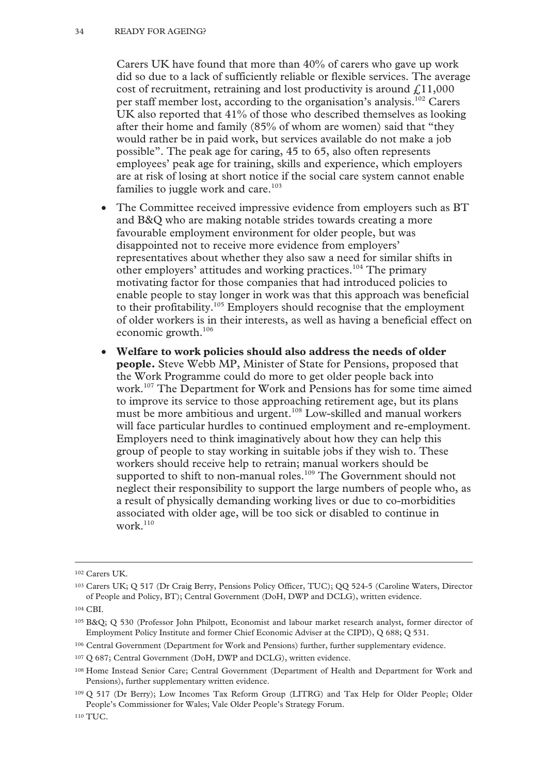Carers UK have found that more than 40% of carers who gave up work did so due to a lack of sufficiently reliable or flexible services. The average cost of recruitment, retraining and lost productivity is around  $\ell$ , 11,000 per staff member lost, according to the organisation's analysis.<sup>102</sup> Carers UK also reported that 41% of those who described themselves as looking after their home and family (85% of whom are women) said that "they would rather be in paid work, but services available do not make a job possible". The peak age for caring, 45 to 65, also often represents employees' peak age for training, skills and experience, which employers are at risk of losing at short notice if the social care system cannot enable families to juggle work and care.<sup>103</sup>

- The Committee received impressive evidence from employers such as BT and B&Q who are making notable strides towards creating a more favourable employment environment for older people, but was disappointed not to receive more evidence from employers' representatives about whether they also saw a need for similar shifts in other employers' attitudes and working practices.104 The primary motivating factor for those companies that had introduced policies to enable people to stay longer in work was that this approach was beneficial to their profitability.105 Employers should recognise that the employment of older workers is in their interests, as well as having a beneficial effect on economic growth.106
- **Welfare to work policies should also address the needs of older people.** Steve Webb MP, Minister of State for Pensions, proposed that the Work Programme could do more to get older people back into work.<sup>107</sup> The Department for Work and Pensions has for some time aimed to improve its service to those approaching retirement age, but its plans must be more ambitious and urgent.<sup>108</sup> Low-skilled and manual workers will face particular hurdles to continued employment and re-employment. Employers need to think imaginatively about how they can help this group of people to stay working in suitable jobs if they wish to. These workers should receive help to retrain; manual workers should be supported to shift to non-manual roles.<sup>109</sup> The Government should not neglect their responsibility to support the large numbers of people who, as a result of physically demanding working lives or due to co-morbidities associated with older age, will be too sick or disabled to continue in work. $110$

 <sup>102</sup> Carers UK.

<sup>103</sup> Carers UK; Q 517 (Dr Craig Berry, Pensions Policy Officer, TUC); QQ 524-5 (Caroline Waters, Director of People and Policy, BT); Central Government (DoH, DWP and DCLG), written evidence.

<sup>104</sup> CBI.

<sup>105</sup> B&Q; Q 530 (Professor John Philpott, Economist and labour market research analyst, former director of Employment Policy Institute and former Chief Economic Adviser at the CIPD), Q 688; Q 531.

<sup>106</sup> Central Government (Department for Work and Pensions) further, further supplementary evidence.

<sup>107</sup> Q 687; Central Government (DoH, DWP and DCLG), written evidence.

<sup>108</sup> Home Instead Senior Care; Central Government (Department of Health and Department for Work and Pensions), further supplementary written evidence.

<sup>109</sup> Q 517 (Dr Berry); Low Incomes Tax Reform Group (LITRG) and Tax Help for Older People; Older People's Commissioner for Wales; Vale Older People's Strategy Forum.

<sup>110</sup> TUC.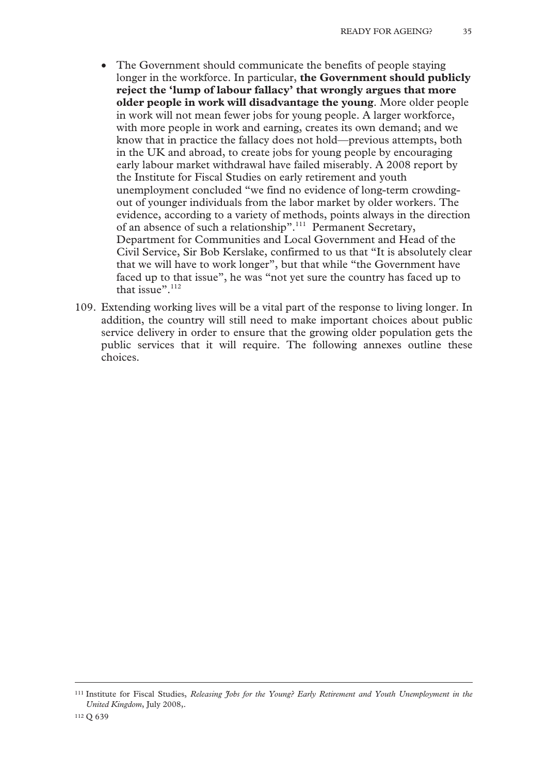- The Government should communicate the benefits of people staying longer in the workforce. In particular, **the Government should publicly reject the 'lump of labour fallacy' that wrongly argues that more older people in work will disadvantage the young**. More older people in work will not mean fewer jobs for young people. A larger workforce, with more people in work and earning, creates its own demand; and we know that in practice the fallacy does not hold—previous attempts, both in the UK and abroad, to create jobs for young people by encouraging early labour market withdrawal have failed miserably. A 2008 report by the Institute for Fiscal Studies on early retirement and youth unemployment concluded "we find no evidence of long-term crowdingout of younger individuals from the labor market by older workers. The evidence, according to a variety of methods, points always in the direction of an absence of such a relationship".<sup>111</sup> Permanent Secretary, Department for Communities and Local Government and Head of the Civil Service, Sir Bob Kerslake, confirmed to us that "It is absolutely clear that we will have to work longer", but that while "the Government have faced up to that issue", he was "not yet sure the country has faced up to that issue". $112$
- 109. Extending working lives will be a vital part of the response to living longer. In addition, the country will still need to make important choices about public service delivery in order to ensure that the growing older population gets the public services that it will require. The following annexes outline these choices.

 <sup>111</sup> Institute for Fiscal Studies, *Releasing Jobs for the Young? Early Retirement and Youth Unemployment in the United Kingdom*, July 2008,.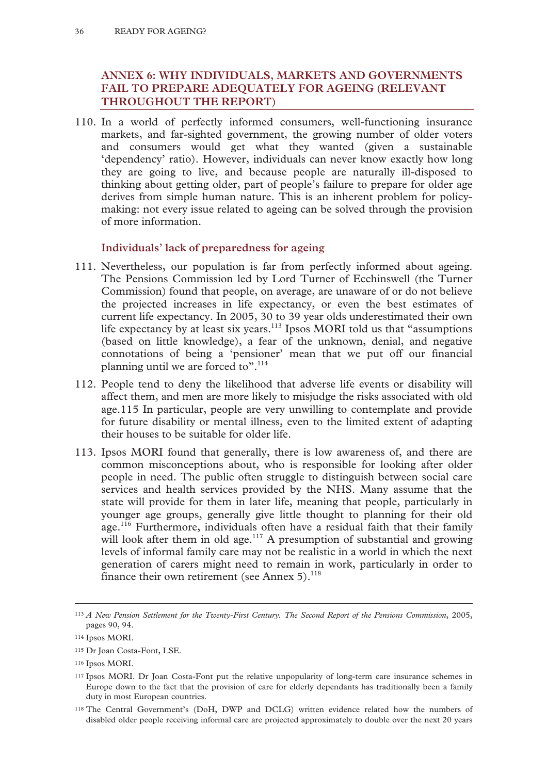# **ANNEX 6: WHY INDIVIDUALS, MARKETS AND GOVERNMENTS FAIL TO PREPARE ADEQUATELY FOR AGEING (RELEVANT THROUGHOUT THE REPORT)**

110. In a world of perfectly informed consumers, well-functioning insurance markets, and far-sighted government, the growing number of older voters and consumers would get what they wanted (given a sustainable 'dependency' ratio). However, individuals can never know exactly how long they are going to live, and because people are naturally ill-disposed to thinking about getting older, part of people's failure to prepare for older age derives from simple human nature. This is an inherent problem for policymaking: not every issue related to ageing can be solved through the provision of more information.

# **Individuals' lack of preparedness for ageing**

- 111. Nevertheless, our population is far from perfectly informed about ageing. The Pensions Commission led by Lord Turner of Ecchinswell (the Turner Commission) found that people, on average, are unaware of or do not believe the projected increases in life expectancy, or even the best estimates of current life expectancy. In 2005, 30 to 39 year olds underestimated their own life expectancy by at least six years.<sup>113</sup> Ipsos MORI told us that "assumptions (based on little knowledge), a fear of the unknown, denial, and negative connotations of being a 'pensioner' mean that we put off our financial planning until we are forced to".<sup>114</sup>
- 112. People tend to deny the likelihood that adverse life events or disability will affect them, and men are more likely to misjudge the risks associated with old age.115 In particular, people are very unwilling to contemplate and provide for future disability or mental illness, even to the limited extent of adapting their houses to be suitable for older life.
- 113. Ipsos MORI found that generally, there is low awareness of, and there are common misconceptions about, who is responsible for looking after older people in need. The public often struggle to distinguish between social care services and health services provided by the NHS. Many assume that the state will provide for them in later life, meaning that people, particularly in younger age groups, generally give little thought to planning for their old age.<sup>116</sup> Furthermore, individuals often have a residual faith that their family will look after them in old age.<sup>117</sup> A presumption of substantial and growing levels of informal family care may not be realistic in a world in which the next generation of carers might need to remain in work, particularly in order to finance their own retirement (see Annex 5). $^{118}$

 <sup>113</sup> *A New Pension Settlement for the Twenty-First Century. The Second Report of the Pensions Commission*, 2005, pages 90, 94.

<sup>114</sup> Ipsos MORI.

<sup>115</sup> Dr Joan Costa-Font, LSE.

<sup>116</sup> Ipsos MORI.

<sup>117</sup> Ipsos MORI. Dr Joan Costa-Font put the relative unpopularity of long-term care insurance schemes in Europe down to the fact that the provision of care for elderly dependants has traditionally been a family duty in most European countries.

<sup>118</sup> The Central Government's (DoH, DWP and DCLG) written evidence related how the numbers of disabled older people receiving informal care are projected approximately to double over the next 20 years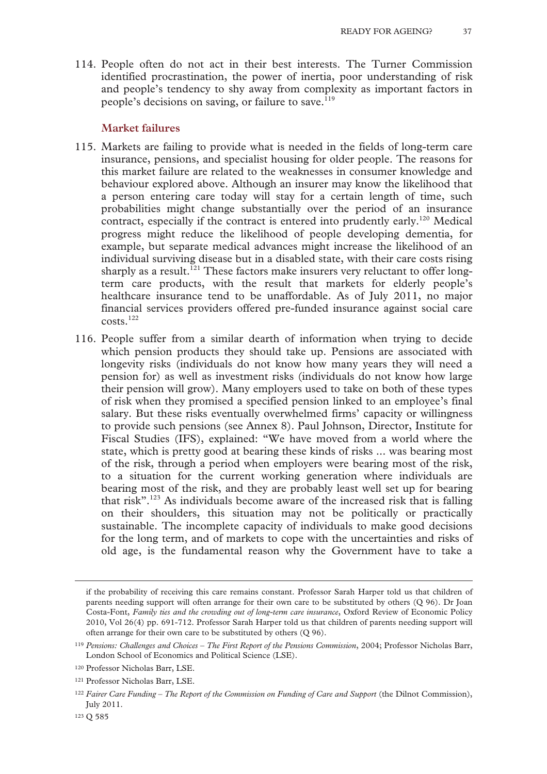114. People often do not act in their best interests. The Turner Commission identified procrastination, the power of inertia, poor understanding of risk and people's tendency to shy away from complexity as important factors in people's decisions on saving, or failure to save.<sup>119</sup>

#### **Market failures**

- 115. Markets are failing to provide what is needed in the fields of long-term care insurance, pensions, and specialist housing for older people. The reasons for this market failure are related to the weaknesses in consumer knowledge and behaviour explored above. Although an insurer may know the likelihood that a person entering care today will stay for a certain length of time, such probabilities might change substantially over the period of an insurance contract, especially if the contract is entered into prudently early.<sup>120</sup> Medical progress might reduce the likelihood of people developing dementia, for example, but separate medical advances might increase the likelihood of an individual surviving disease but in a disabled state, with their care costs rising sharply as a result.<sup>121</sup> These factors make insurers very reluctant to offer longterm care products, with the result that markets for elderly people's healthcare insurance tend to be unaffordable. As of July 2011, no major financial services providers offered pre-funded insurance against social care costs.122
- 116. People suffer from a similar dearth of information when trying to decide which pension products they should take up. Pensions are associated with longevity risks (individuals do not know how many years they will need a pension for) as well as investment risks (individuals do not know how large their pension will grow). Many employers used to take on both of these types of risk when they promised a specified pension linked to an employee's final salary. But these risks eventually overwhelmed firms' capacity or willingness to provide such pensions (see Annex 8). Paul Johnson, Director, Institute for Fiscal Studies (IFS), explained: "We have moved from a world where the state, which is pretty good at bearing these kinds of risks ... was bearing most of the risk, through a period when employers were bearing most of the risk, to a situation for the current working generation where individuals are bearing most of the risk, and they are probably least well set up for bearing that risk".<sup>123</sup> As individuals become aware of the increased risk that is falling on their shoulders, this situation may not be politically or practically sustainable. The incomplete capacity of individuals to make good decisions for the long term, and of markets to cope with the uncertainties and risks of old age, is the fundamental reason why the Government have to take a

 $\overline{a}$ 

if the probability of receiving this care remains constant. Professor Sarah Harper told us that children of parents needing support will often arrange for their own care to be substituted by others (Q 96). Dr Joan Costa-Font, *Family ties and the crowding out of long-term care insurance*, Oxford Review of Economic Policy 2010, Vol 26(4) pp. 691-712. Professor Sarah Harper told us that children of parents needing support will often arrange for their own care to be substituted by others (Q 96).

<sup>119</sup> *Pensions: Challenges and Choices – The First Report of the Pensions Commission*, 2004; Professor Nicholas Barr, London School of Economics and Political Science (LSE).

<sup>120</sup> Professor Nicholas Barr, LSE.

<sup>121</sup> Professor Nicholas Barr, LSE.

<sup>122</sup>*Fairer Care Funding – The Report of the Commission on Funding of Care and Support* (the Dilnot Commission), July 2011.

<sup>123</sup> Q 585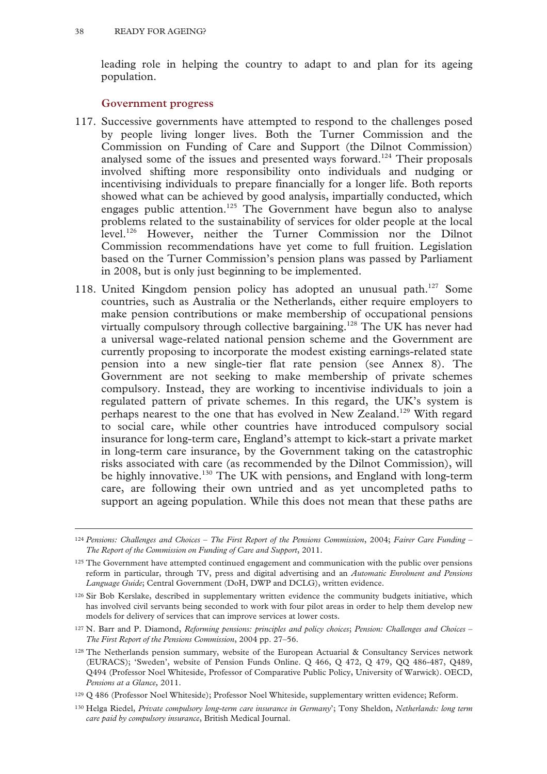leading role in helping the country to adapt to and plan for its ageing population.

#### **Government progress**

- 117. Successive governments have attempted to respond to the challenges posed by people living longer lives. Both the Turner Commission and the Commission on Funding of Care and Support (the Dilnot Commission) analysed some of the issues and presented ways forward.<sup>124</sup> Their proposals involved shifting more responsibility onto individuals and nudging or incentivising individuals to prepare financially for a longer life. Both reports showed what can be achieved by good analysis, impartially conducted, which engages public attention.<sup>125</sup> The Government have begun also to analyse problems related to the sustainability of services for older people at the local level.126 However, neither the Turner Commission nor the Dilnot Commission recommendations have yet come to full fruition. Legislation based on the Turner Commission's pension plans was passed by Parliament in 2008, but is only just beginning to be implemented.
- 118. United Kingdom pension policy has adopted an unusual path.<sup>127</sup> Some countries, such as Australia or the Netherlands, either require employers to make pension contributions or make membership of occupational pensions virtually compulsory through collective bargaining.<sup>128</sup> The UK has never had a universal wage-related national pension scheme and the Government are currently proposing to incorporate the modest existing earnings-related state pension into a new single-tier flat rate pension (see Annex 8). The Government are not seeking to make membership of private schemes compulsory. Instead, they are working to incentivise individuals to join a regulated pattern of private schemes. In this regard, the UK's system is perhaps nearest to the one that has evolved in New Zealand.<sup>129</sup> With regard to social care, while other countries have introduced compulsory social insurance for long-term care, England's attempt to kick-start a private market in long-term care insurance, by the Government taking on the catastrophic risks associated with care (as recommended by the Dilnot Commission), will be highly innovative.<sup>130</sup> The UK with pensions, and England with long-term care, are following their own untried and as yet uncompleted paths to support an ageing population. While this does not mean that these paths are

 <sup>124</sup> *Pensions: Challenges and Choices – The First Report of the Pensions Commission*, 2004; *Fairer Care Funding – The Report of the Commission on Funding of Care and Support*, 2011.

<sup>&</sup>lt;sup>125</sup> The Government have attempted continued engagement and communication with the public over pensions reform in particular, through TV, press and digital advertising and an *Automatic Enrolment and Pensions Language Guide*; Central Government (DoH, DWP and DCLG), written evidence.

<sup>126</sup> Sir Bob Kerslake, described in supplementary written evidence the community budgets initiative, which has involved civil servants being seconded to work with four pilot areas in order to help them develop new models for delivery of services that can improve services at lower costs.

<sup>127</sup> N. Barr and P. Diamond, *Reforming pensions: principles and policy choices*; *Pension: Challenges and Choices – The First Report of the Pensions Commission*, 2004 pp. 27–56.

<sup>128</sup> The Netherlands pension summary, website of the European Actuarial & Consultancy Services network (EURACS); 'Sweden', website of Pension Funds Online. Q 466, Q 472, Q 479, QQ 486-487, Q489, Q494 (Professor Noel Whiteside, Professor of Comparative Public Policy, University of Warwick). OECD, *Pensions at a Glance,* 2011.

<sup>129</sup> Q 486 (Professor Noel Whiteside); Professor Noel Whiteside, supplementary written evidence; Reform.

<sup>130</sup> Helga Riedel, *Private compulsory long-term care insurance in Germany*'; Tony Sheldon, *Netherlands: long term care paid by compulsory insurance*, British Medical Journal.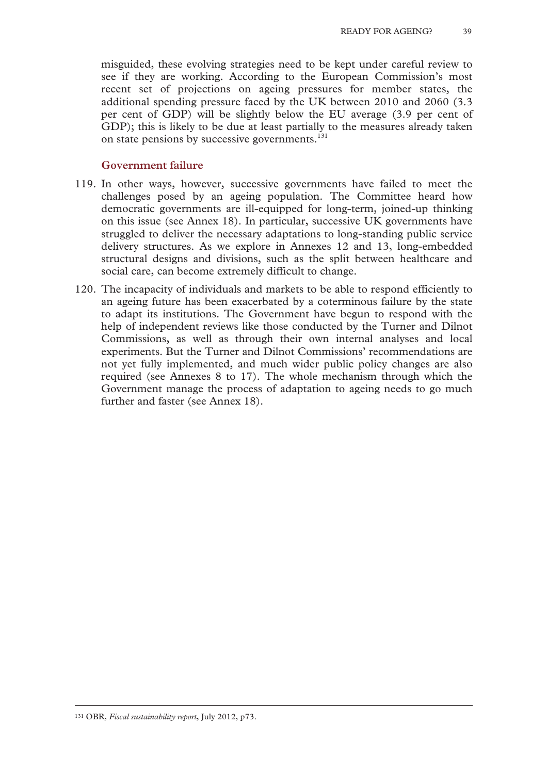misguided, these evolving strategies need to be kept under careful review to see if they are working. According to the European Commission's most recent set of projections on ageing pressures for member states, the additional spending pressure faced by the UK between 2010 and 2060 (3.3 per cent of GDP) will be slightly below the EU average (3.9 per cent of GDP); this is likely to be due at least partially to the measures already taken on state pensions by successive governments.<sup>131</sup>

#### **Government failure**

- 119. In other ways, however, successive governments have failed to meet the challenges posed by an ageing population. The Committee heard how democratic governments are ill-equipped for long-term, joined-up thinking on this issue (see Annex 18). In particular, successive UK governments have struggled to deliver the necessary adaptations to long-standing public service delivery structures. As we explore in Annexes 12 and 13, long-embedded structural designs and divisions, such as the split between healthcare and social care, can become extremely difficult to change.
- 120. The incapacity of individuals and markets to be able to respond efficiently to an ageing future has been exacerbated by a coterminous failure by the state to adapt its institutions. The Government have begun to respond with the help of independent reviews like those conducted by the Turner and Dilnot Commissions, as well as through their own internal analyses and local experiments. But the Turner and Dilnot Commissions' recommendations are not yet fully implemented, and much wider public policy changes are also required (see Annexes 8 to 17). The whole mechanism through which the Government manage the process of adaptation to ageing needs to go much further and faster (see Annex 18).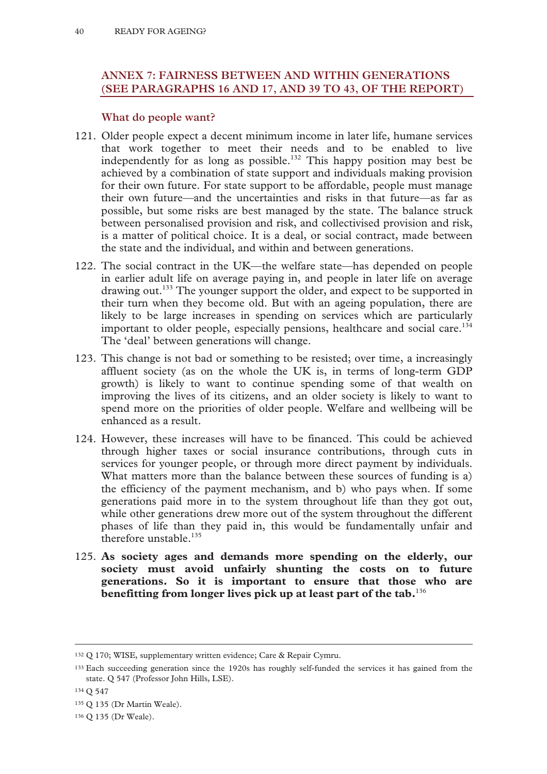# **ANNEX 7: FAIRNESS BETWEEN AND WITHIN GENERATIONS (SEE PARAGRAPHS 16 AND 17, AND 39 TO 43, OF THE REPORT)**

## **What do people want?**

- 121. Older people expect a decent minimum income in later life, humane services that work together to meet their needs and to be enabled to live independently for as long as possible.<sup>132</sup> This happy position may best be achieved by a combination of state support and individuals making provision for their own future. For state support to be affordable, people must manage their own future—and the uncertainties and risks in that future—as far as possible, but some risks are best managed by the state. The balance struck between personalised provision and risk, and collectivised provision and risk, is a matter of political choice. It is a deal, or social contract, made between the state and the individual, and within and between generations.
- 122. The social contract in the UK—the welfare state—has depended on people in earlier adult life on average paying in, and people in later life on average drawing out.<sup>133</sup> The younger support the older, and expect to be supported in their turn when they become old. But with an ageing population, there are likely to be large increases in spending on services which are particularly important to older people, especially pensions, healthcare and social care.<sup>134</sup> The 'deal' between generations will change.
- 123. This change is not bad or something to be resisted; over time, a increasingly affluent society (as on the whole the UK is, in terms of long-term GDP growth) is likely to want to continue spending some of that wealth on improving the lives of its citizens, and an older society is likely to want to spend more on the priorities of older people. Welfare and wellbeing will be enhanced as a result.
- 124. However, these increases will have to be financed. This could be achieved through higher taxes or social insurance contributions, through cuts in services for younger people, or through more direct payment by individuals. What matters more than the balance between these sources of funding is a) the efficiency of the payment mechanism, and b) who pays when. If some generations paid more in to the system throughout life than they got out, while other generations drew more out of the system throughout the different phases of life than they paid in, this would be fundamentally unfair and therefore unstable.<sup>135</sup>
- 125. **As society ages and demands more spending on the elderly, our society must avoid unfairly shunting the costs on to future generations. So it is important to ensure that those who are benefitting from longer lives pick up at least part of the tab.**<sup>136</sup>

 <sup>132</sup> Q 170; WISE, supplementary written evidence; Care & Repair Cymru.

<sup>133</sup> Each succeeding generation since the 1920s has roughly self-funded the services it has gained from the state. Q 547 (Professor John Hills, LSE).

<sup>134</sup> Q 547

<sup>135</sup> Q 135 (Dr Martin Weale).

<sup>136</sup> Q 135 (Dr Weale).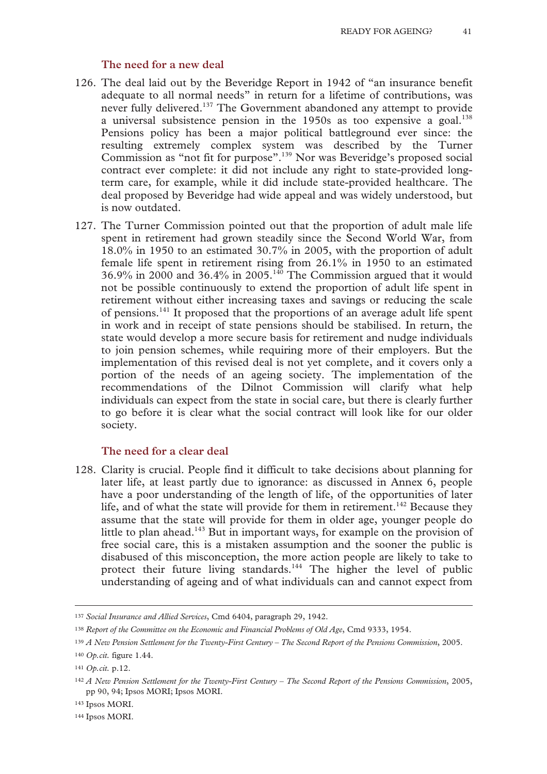#### **The need for a new deal**

- 126. The deal laid out by the Beveridge Report in 1942 of "an insurance benefit adequate to all normal needs" in return for a lifetime of contributions, was never fully delivered.<sup>137</sup> The Government abandoned any attempt to provide a universal subsistence pension in the  $1950s$  as too expensive a goal.<sup>138</sup> Pensions policy has been a major political battleground ever since: the resulting extremely complex system was described by the Turner Commission as "not fit for purpose".139 Nor was Beveridge's proposed social contract ever complete: it did not include any right to state-provided longterm care, for example, while it did include state-provided healthcare. The deal proposed by Beveridge had wide appeal and was widely understood, but is now outdated.
- 127. The Turner Commission pointed out that the proportion of adult male life spent in retirement had grown steadily since the Second World War, from 18.0% in 1950 to an estimated 30.7% in 2005, with the proportion of adult female life spent in retirement rising from 26.1% in 1950 to an estimated 36.9% in 2000 and 36.4% in 2005.<sup>140</sup> The Commission argued that it would not be possible continuously to extend the proportion of adult life spent in retirement without either increasing taxes and savings or reducing the scale of pensions.141 It proposed that the proportions of an average adult life spent in work and in receipt of state pensions should be stabilised. In return, the state would develop a more secure basis for retirement and nudge individuals to join pension schemes, while requiring more of their employers. But the implementation of this revised deal is not yet complete, and it covers only a portion of the needs of an ageing society. The implementation of the recommendations of the Dilnot Commission will clarify what help individuals can expect from the state in social care, but there is clearly further to go before it is clear what the social contract will look like for our older society.

## **The need for a clear deal**

128. Clarity is crucial. People find it difficult to take decisions about planning for later life, at least partly due to ignorance: as discussed in Annex 6, people have a poor understanding of the length of life, of the opportunities of later life, and of what the state will provide for them in retirement.<sup>142</sup> Because they assume that the state will provide for them in older age, younger people do little to plan ahead.<sup>143</sup> But in important ways, for example on the provision of free social care, this is a mistaken assumption and the sooner the public is disabused of this misconception, the more action people are likely to take to protect their future living standards.<sup>144</sup> The higher the level of public understanding of ageing and of what individuals can and cannot expect from

 <sup>137</sup> *Social Insurance and Allied Services*, Cmd 6404, paragraph 29, 1942.

<sup>138</sup> *Report of the Committee on the Economic and Financial Problems of Old Age*, Cmd 9333, 1954.

<sup>139</sup> *A New Pension Settlement for the Twenty-First Century – The Second Report of the Pensions Commission*, 2005.

<sup>140</sup> *Op.cit.* figure 1.44.

<sup>141</sup> *Op.cit.* p.12.

<sup>142</sup> *A New Pension Settlement for the Twenty-First Century – The Second Report of the Pensions Commission*, 2005, pp 90, 94; Ipsos MORI; Ipsos MORI.

<sup>143</sup> Ipsos MORI.

<sup>144</sup> Ipsos MORI.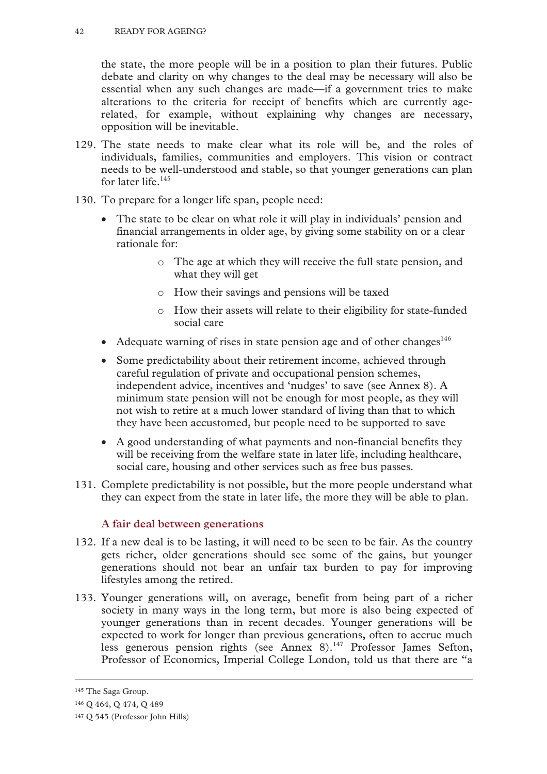the state, the more people will be in a position to plan their futures. Public debate and clarity on why changes to the deal may be necessary will also be essential when any such changes are made—if a government tries to make alterations to the criteria for receipt of benefits which are currently agerelated, for example, without explaining why changes are necessary, opposition will be inevitable.

- 129. The state needs to make clear what its role will be, and the roles of individuals, families, communities and employers. This vision or contract needs to be well-understood and stable, so that younger generations can plan for later life.<sup>145</sup>
- 130. To prepare for a longer life span, people need:
	- The state to be clear on what role it will play in individuals' pension and financial arrangements in older age, by giving some stability on or a clear rationale for:
		- o The age at which they will receive the full state pension, and what they will get
		- o How their savings and pensions will be taxed
		- o How their assets will relate to their eligibility for state-funded social care
	- Adequate warning of rises in state pension age and of other changes<sup>146</sup>
	- Some predictability about their retirement income, achieved through careful regulation of private and occupational pension schemes, independent advice, incentives and 'nudges' to save (see Annex 8). A minimum state pension will not be enough for most people, as they will not wish to retire at a much lower standard of living than that to which they have been accustomed, but people need to be supported to save
	- A good understanding of what payments and non-financial benefits they will be receiving from the welfare state in later life, including healthcare, social care, housing and other services such as free bus passes.
- 131. Complete predictability is not possible, but the more people understand what they can expect from the state in later life, the more they will be able to plan.

# **A fair deal between generations**

- 132. If a new deal is to be lasting, it will need to be seen to be fair. As the country gets richer, older generations should see some of the gains, but younger generations should not bear an unfair tax burden to pay for improving lifestyles among the retired.
- 133. Younger generations will, on average, benefit from being part of a richer society in many ways in the long term, but more is also being expected of younger generations than in recent decades. Younger generations will be expected to work for longer than previous generations, often to accrue much less generous pension rights (see Annex 8).<sup>147</sup> Professor James Sefton, Professor of Economics, Imperial College London, told us that there are "a

 <sup>145</sup> The Saga Group.

<sup>146</sup> Q 464, Q 474, Q 489

<sup>147</sup> Q 545 (Professor John Hills)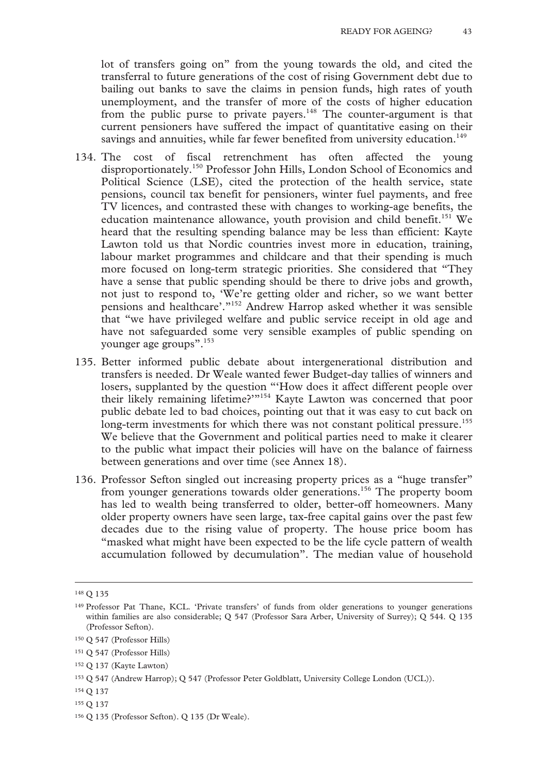lot of transfers going on" from the young towards the old, and cited the transferral to future generations of the cost of rising Government debt due to bailing out banks to save the claims in pension funds, high rates of youth unemployment, and the transfer of more of the costs of higher education from the public purse to private payers.<sup>148</sup> The counter-argument is that current pensioners have suffered the impact of quantitative easing on their savings and annuities, while far fewer benefited from university education.<sup>149</sup>

- 134. The cost of fiscal retrenchment has often affected the young disproportionately.150 Professor John Hills, London School of Economics and Political Science (LSE), cited the protection of the health service, state pensions, council tax benefit for pensioners, winter fuel payments, and free TV licences, and contrasted these with changes to working-age benefits, the education maintenance allowance, youth provision and child benefit.<sup>151</sup> We heard that the resulting spending balance may be less than efficient: Kayte Lawton told us that Nordic countries invest more in education, training, labour market programmes and childcare and that their spending is much more focused on long-term strategic priorities. She considered that "They have a sense that public spending should be there to drive jobs and growth, not just to respond to, 'We're getting older and richer, so we want better pensions and healthcare'."152 Andrew Harrop asked whether it was sensible that "we have privileged welfare and public service receipt in old age and have not safeguarded some very sensible examples of public spending on younger age groups".<sup>153</sup>
- 135. Better informed public debate about intergenerational distribution and transfers is needed. Dr Weale wanted fewer Budget-day tallies of winners and losers, supplanted by the question "'How does it affect different people over their likely remaining lifetime?'"154 Kayte Lawton was concerned that poor public debate led to bad choices, pointing out that it was easy to cut back on long-term investments for which there was not constant political pressure.<sup>155</sup> We believe that the Government and political parties need to make it clearer to the public what impact their policies will have on the balance of fairness between generations and over time (see Annex 18).
- 136. Professor Sefton singled out increasing property prices as a "huge transfer" from younger generations towards older generations.156 The property boom has led to wealth being transferred to older, better-off homeowners. Many older property owners have seen large, tax-free capital gains over the past few decades due to the rising value of property. The house price boom has "masked what might have been expected to be the life cycle pattern of wealth accumulation followed by decumulation". The median value of household

154 Q 137

 <sup>148</sup> Q 135

<sup>149</sup> Professor Pat Thane, KCL. 'Private transfers' of funds from older generations to younger generations within families are also considerable; Q 547 (Professor Sara Arber, University of Surrey); Q 544. Q 135 (Professor Sefton).

<sup>150</sup> Q 547 (Professor Hills)

<sup>151</sup> Q 547 (Professor Hills)

<sup>152</sup> Q 137 (Kayte Lawton)

<sup>153</sup> Q 547 (Andrew Harrop); Q 547 (Professor Peter Goldblatt, University College London (UCL)).

<sup>155</sup> Q 137

<sup>156</sup> Q 135 (Professor Sefton). Q 135 (Dr Weale).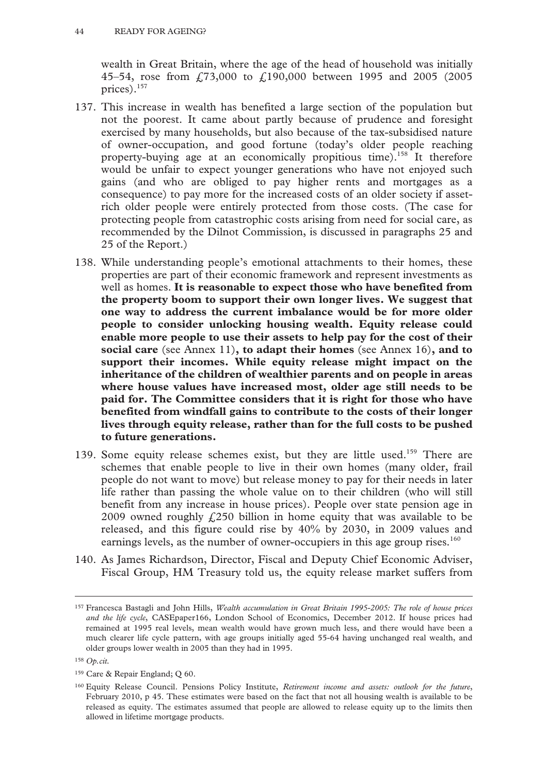wealth in Great Britain, where the age of the head of household was initially 45–54, rose from £73,000 to £190,000 between 1995 and 2005 (2005 prices).157

- 137. This increase in wealth has benefited a large section of the population but not the poorest. It came about partly because of prudence and foresight exercised by many households, but also because of the tax-subsidised nature of owner-occupation, and good fortune (today's older people reaching property-buying age at an economically propitious time).158 It therefore would be unfair to expect younger generations who have not enjoyed such gains (and who are obliged to pay higher rents and mortgages as a consequence) to pay more for the increased costs of an older society if assetrich older people were entirely protected from those costs. (The case for protecting people from catastrophic costs arising from need for social care, as recommended by the Dilnot Commission, is discussed in paragraphs 25 and 25 of the Report.)
- 138. While understanding people's emotional attachments to their homes, these properties are part of their economic framework and represent investments as well as homes. **It is reasonable to expect those who have benefited from the property boom to support their own longer lives. We suggest that one way to address the current imbalance would be for more older people to consider unlocking housing wealth. Equity release could enable more people to use their assets to help pay for the cost of their social care** (see Annex 11)**, to adapt their homes** (see Annex 16)**, and to support their incomes. While equity release might impact on the inheritance of the children of wealthier parents and on people in areas where house values have increased most, older age still needs to be paid for. The Committee considers that it is right for those who have benefited from windfall gains to contribute to the costs of their longer lives through equity release, rather than for the full costs to be pushed to future generations.**
- 139. Some equity release schemes exist, but they are little used.<sup>159</sup> There are schemes that enable people to live in their own homes (many older, frail people do not want to move) but release money to pay for their needs in later life rather than passing the whole value on to their children (who will still benefit from any increase in house prices). People over state pension age in 2009 owned roughly  $f(250)$  billion in home equity that was available to be released, and this figure could rise by 40% by 2030, in 2009 values and earnings levels, as the number of owner-occupiers in this age group rises.<sup>160</sup>
- 140. As James Richardson, Director, Fiscal and Deputy Chief Economic Adviser, Fiscal Group, HM Treasury told us, the equity release market suffers from

 <sup>157</sup> Francesca Bastagli and John Hills, *Wealth accumulation in Great Britain 1995-2005: The role of house prices and the life cycle*, CASEpaper166, London School of Economics, December 2012. If house prices had remained at 1995 real levels, mean wealth would have grown much less, and there would have been a much clearer life cycle pattern, with age groups initially aged 55-64 having unchanged real wealth, and older groups lower wealth in 2005 than they had in 1995.

<sup>158</sup> *Op.cit.* 

<sup>159</sup> Care & Repair England; Q 60.

<sup>160</sup> Equity Release Council. Pensions Policy Institute, *Retirement income and assets: outlook for the future*, February 2010, p 45. These estimates were based on the fact that not all housing wealth is available to be released as equity. The estimates assumed that people are allowed to release equity up to the limits then allowed in lifetime mortgage products.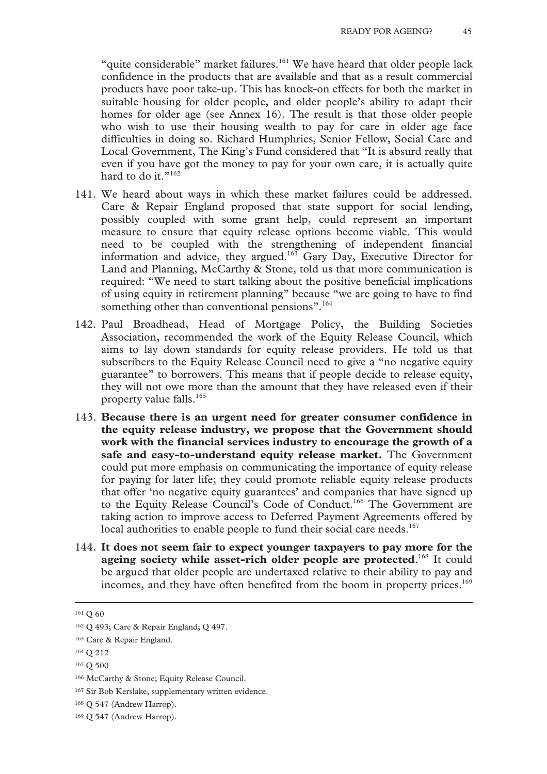"quite considerable" market failures.<sup>161</sup> We have heard that older people lack confidence in the products that are available and that as a result commercial products have poor take-up. This has knock-on effects for both the market in suitable housing for older people, and older people's ability to adapt their homes for older age (see Annex 16). The result is that those older people who wish to use their housing wealth to pay for care in older age face difficulties in doing so. Richard Humphries, Senior Fellow, Social Care and Local Government, The King's Fund considered that "It is absurd really that even if you have got the money to pay for your own care, it is actually quite hard to do it."<sup>162</sup>

- 141. We heard about ways in which these market failures could be addressed. Care & Repair England proposed that state support for social lending, possibly coupled with some grant help, could represent an important measure to ensure that equity release options become viable. This would need to be coupled with the strengthening of independent financial information and advice, they argued.<sup>163</sup> Gary Day, Executive Director for Land and Planning, McCarthy & Stone, told us that more communication is required: "We need to start talking about the positive beneficial implications of using equity in retirement planning" because "we are going to have to find something other than conventional pensions".<sup>164</sup>
- 142. Paul Broadhead, Head of Mortgage Policy, the Building Societies Association, recommended the work of the Equity Release Council, which aims to lay down standards for equity release providers. He told us that subscribers to the Equity Release Council need to give a "no negative equity guarantee" to borrowers. This means that if people decide to release equity, they will not owe more than the amount that they have released even if their property value falls.165
- 143. **Because there is an urgent need for greater consumer confidence in the equity release industry, we propose that the Government should work with the financial services industry to encourage the growth of a safe and easy-to-understand equity release market.** The Government could put more emphasis on communicating the importance of equity release for paying for later life; they could promote reliable equity release products that offer 'no negative equity guarantees' and companies that have signed up to the Equity Release Council's Code of Conduct.<sup>166</sup> The Government are taking action to improve access to Deferred Payment Agreements offered by local authorities to enable people to fund their social care needs.<sup>167</sup>
- 144. **It does not seem fair to expect younger taxpayers to pay more for the ageing society while asset-rich older people are protected**. 168 It could be argued that older people are undertaxed relative to their ability to pay and incomes, and they have often benefited from the boom in property prices.<sup>169</sup>

167 Sir Bob Kerslake, supplementary written evidence.

 <sup>161</sup> Q 60

<sup>162</sup> Q 493; Care & Repair England; Q 497.

<sup>163</sup> Care & Repair England.

<sup>164</sup> Q 212

<sup>165</sup> Q 500

<sup>166</sup> McCarthy & Stone; Equity Release Council.

<sup>168</sup> Q 547 (Andrew Harrop).

<sup>169</sup> Q 547 (Andrew Harrop).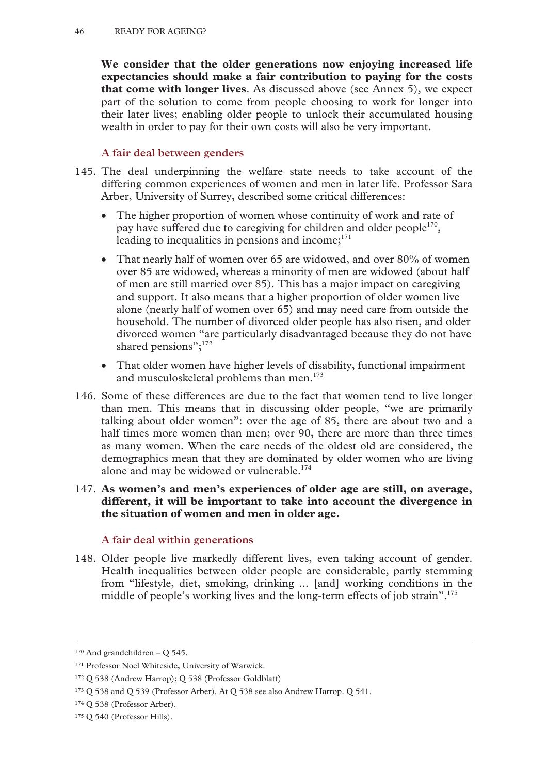**We consider that the older generations now enjoying increased life expectancies should make a fair contribution to paying for the costs that come with longer lives**. As discussed above (see Annex 5), we expect part of the solution to come from people choosing to work for longer into their later lives; enabling older people to unlock their accumulated housing wealth in order to pay for their own costs will also be very important.

## **A fair deal between genders**

- 145. The deal underpinning the welfare state needs to take account of the differing common experiences of women and men in later life. Professor Sara Arber, University of Surrey, described some critical differences:
	- The higher proportion of women whose continuity of work and rate of pay have suffered due to caregiving for children and older people<sup>170</sup>, leading to inequalities in pensions and income; $171$
	- That nearly half of women over 65 are widowed, and over 80% of women over 85 are widowed, whereas a minority of men are widowed (about half of men are still married over 85). This has a major impact on caregiving and support. It also means that a higher proportion of older women live alone (nearly half of women over 65) and may need care from outside the household. The number of divorced older people has also risen, and older divorced women "are particularly disadvantaged because they do not have shared pensions";<sup>172</sup>
	- That older women have higher levels of disability, functional impairment and musculoskeletal problems than men.<sup>173</sup>
- 146. Some of these differences are due to the fact that women tend to live longer than men. This means that in discussing older people, "we are primarily talking about older women": over the age of 85, there are about two and a half times more women than men; over 90, there are more than three times as many women. When the care needs of the oldest old are considered, the demographics mean that they are dominated by older women who are living alone and may be widowed or vulnerable.<sup>174</sup>
- 147. **As women's and men's experiences of older age are still, on average, different, it will be important to take into account the divergence in the situation of women and men in older age.**

## **A fair deal within generations**

148. Older people live markedly different lives, even taking account of gender. Health inequalities between older people are considerable, partly stemming from "lifestyle, diet, smoking, drinking ... [and] working conditions in the middle of people's working lives and the long-term effects of job strain".<sup>175</sup>

 $170$  And grandchildren – O 545.

<sup>171</sup> Professor Noel Whiteside, University of Warwick.

<sup>172</sup> Q 538 (Andrew Harrop); Q 538 (Professor Goldblatt)

<sup>173</sup> Q 538 and Q 539 (Professor Arber). At Q 538 see also Andrew Harrop. Q 541.

<sup>174</sup> Q 538 (Professor Arber).

<sup>175</sup> Q 540 (Professor Hills).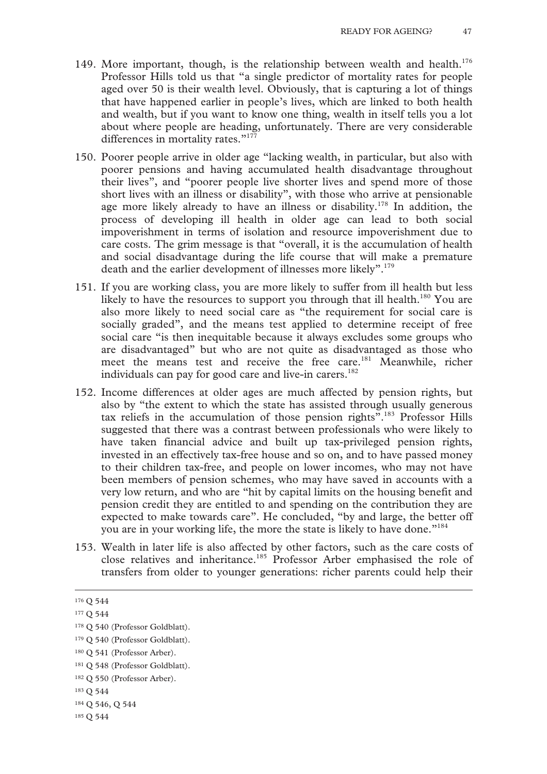- 149. More important, though, is the relationship between wealth and health.<sup>176</sup> Professor Hills told us that "a single predictor of mortality rates for people aged over 50 is their wealth level. Obviously, that is capturing a lot of things that have happened earlier in people's lives, which are linked to both health and wealth, but if you want to know one thing, wealth in itself tells you a lot about where people are heading, unfortunately. There are very considerable differences in mortality rates."<sup>177</sup>
- 150. Poorer people arrive in older age "lacking wealth, in particular, but also with poorer pensions and having accumulated health disadvantage throughout their lives", and "poorer people live shorter lives and spend more of those short lives with an illness or disability", with those who arrive at pensionable age more likely already to have an illness or disability.<sup>178</sup> In addition, the process of developing ill health in older age can lead to both social impoverishment in terms of isolation and resource impoverishment due to care costs. The grim message is that "overall, it is the accumulation of health and social disadvantage during the life course that will make a premature death and the earlier development of illnesses more likely".<sup>179</sup>
- 151. If you are working class, you are more likely to suffer from ill health but less likely to have the resources to support you through that ill health.<sup>180</sup> You are also more likely to need social care as "the requirement for social care is socially graded", and the means test applied to determine receipt of free social care "is then inequitable because it always excludes some groups who are disadvantaged" but who are not quite as disadvantaged as those who meet the means test and receive the free care.181 Meanwhile, richer individuals can pay for good care and live-in carers.<sup>182</sup>
- 152. Income differences at older ages are much affected by pension rights, but also by "the extent to which the state has assisted through usually generous tax reliefs in the accumulation of those pension rights".183 Professor Hills suggested that there was a contrast between professionals who were likely to have taken financial advice and built up tax-privileged pension rights, invested in an effectively tax-free house and so on, and to have passed money to their children tax-free, and people on lower incomes, who may not have been members of pension schemes, who may have saved in accounts with a very low return, and who are "hit by capital limits on the housing benefit and pension credit they are entitled to and spending on the contribution they are expected to make towards care". He concluded, "by and large, the better off you are in your working life, the more the state is likely to have done."184
- 153. Wealth in later life is also affected by other factors, such as the care costs of close relatives and inheritance.<sup>185</sup> Professor Arber emphasised the role of transfers from older to younger generations: richer parents could help their

<sup>&</sup>lt;sup>176</sup> O 544

<sup>177</sup> Q 544

<sup>178</sup> Q 540 (Professor Goldblatt).

<sup>&</sup>lt;sup>179</sup> O 540 (Professor Goldblatt).

<sup>180</sup> Q 541 (Professor Arber).

<sup>181</sup> Q 548 (Professor Goldblatt).

<sup>182</sup> Q 550 (Professor Arber).

<sup>183</sup> Q 544

<sup>184</sup> Q 546, Q 544

<sup>185</sup> Q 544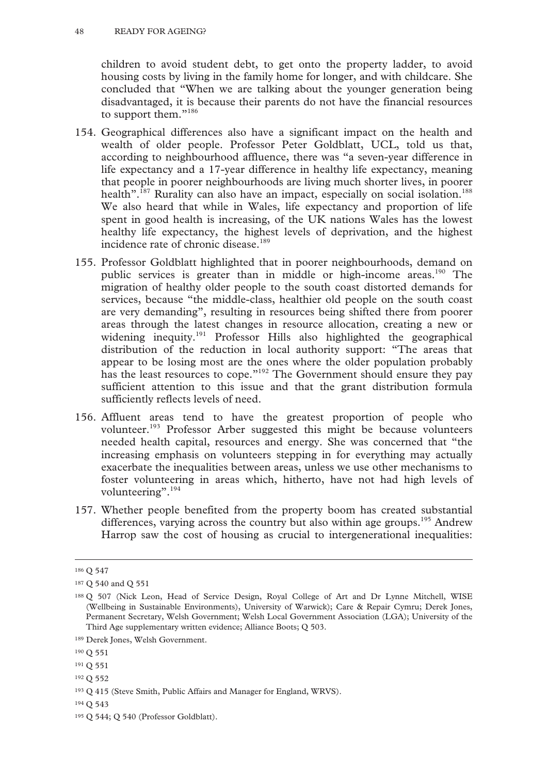children to avoid student debt, to get onto the property ladder, to avoid housing costs by living in the family home for longer, and with childcare. She concluded that "When we are talking about the younger generation being disadvantaged, it is because their parents do not have the financial resources to support them."<sup>186</sup>

- 154. Geographical differences also have a significant impact on the health and wealth of older people. Professor Peter Goldblatt, UCL, told us that, according to neighbourhood affluence, there was "a seven-year difference in life expectancy and a 17-year difference in healthy life expectancy, meaning that people in poorer neighbourhoods are living much shorter lives, in poorer health".<sup>187</sup> Rurality can also have an impact, especially on social isolation.<sup>188</sup> We also heard that while in Wales, life expectancy and proportion of life spent in good health is increasing, of the UK nations Wales has the lowest healthy life expectancy, the highest levels of deprivation, and the highest incidence rate of chronic disease.<sup>189</sup>
- 155. Professor Goldblatt highlighted that in poorer neighbourhoods, demand on public services is greater than in middle or high-income areas.<sup>190</sup> The migration of healthy older people to the south coast distorted demands for services, because "the middle-class, healthier old people on the south coast are very demanding", resulting in resources being shifted there from poorer areas through the latest changes in resource allocation, creating a new or widening inequity.<sup>191</sup> Professor Hills also highlighted the geographical distribution of the reduction in local authority support: "The areas that appear to be losing most are the ones where the older population probably has the least resources to cope."<sup>192</sup> The Government should ensure they pay sufficient attention to this issue and that the grant distribution formula sufficiently reflects levels of need.
- 156. Affluent areas tend to have the greatest proportion of people who volunteer.193 Professor Arber suggested this might be because volunteers needed health capital, resources and energy. She was concerned that "the increasing emphasis on volunteers stepping in for everything may actually exacerbate the inequalities between areas, unless we use other mechanisms to foster volunteering in areas which, hitherto, have not had high levels of volunteering".<sup>194</sup>
- 157. Whether people benefited from the property boom has created substantial differences, varying across the country but also within age groups.<sup>195</sup> Andrew Harrop saw the cost of housing as crucial to intergenerational inequalities:

 <sup>186</sup> Q 547

<sup>187</sup> Q 540 and Q 551

<sup>188</sup> Q 507 (Nick Leon, Head of Service Design, Royal College of Art and Dr Lynne Mitchell, WISE (Wellbeing in Sustainable Environments), University of Warwick); Care & Repair Cymru; Derek Jones, Permanent Secretary, Welsh Government; Welsh Local Government Association (LGA); University of the Third Age supplementary written evidence; Alliance Boots; Q 503.

<sup>189</sup> Derek Jones, Welsh Government.

<sup>190</sup> Q 551

<sup>191</sup> Q 551

<sup>192</sup> Q 552

<sup>193</sup> Q 415 (Steve Smith, Public Affairs and Manager for England, WRVS).

<sup>194</sup> Q 543

<sup>195</sup> Q 544; Q 540 (Professor Goldblatt).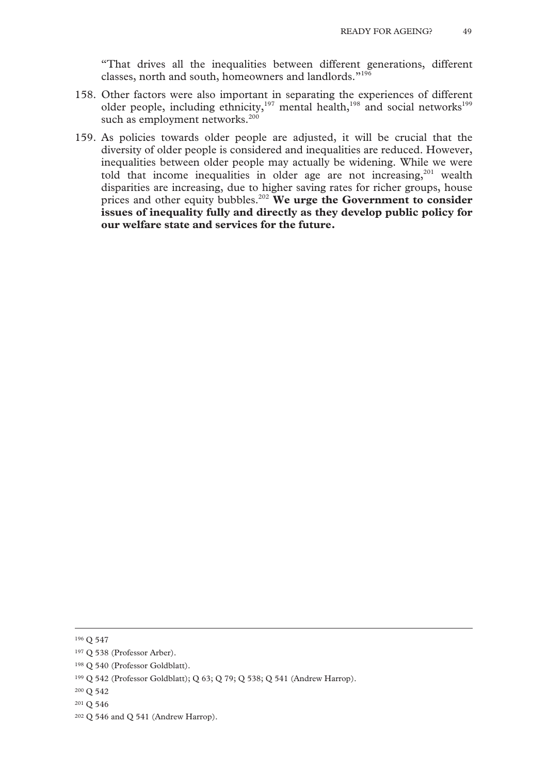"That drives all the inequalities between different generations, different classes, north and south, homeowners and landlords."196

- 158. Other factors were also important in separating the experiences of different older people, including ethnicity,<sup>197</sup> mental health,<sup>198</sup> and social networks<sup>199</sup> such as employment networks. $200$
- 159. As policies towards older people are adjusted, it will be crucial that the diversity of older people is considered and inequalities are reduced. However, inequalities between older people may actually be widening. While we were told that income inequalities in older age are not increasing, $201$  wealth disparities are increasing, due to higher saving rates for richer groups, house prices and other equity bubbles.202 **We urge the Government to consider issues of inequality fully and directly as they develop public policy for our welfare state and services for the future.**

 <sup>196</sup> Q 547

<sup>197</sup> Q 538 (Professor Arber).

<sup>198</sup> Q 540 (Professor Goldblatt).

<sup>199</sup> Q 542 (Professor Goldblatt); Q 63; Q 79; Q 538; Q 541 (Andrew Harrop).

<sup>200</sup> Q 542

<sup>201</sup> Q 546

<sup>202</sup> Q 546 and Q 541 (Andrew Harrop).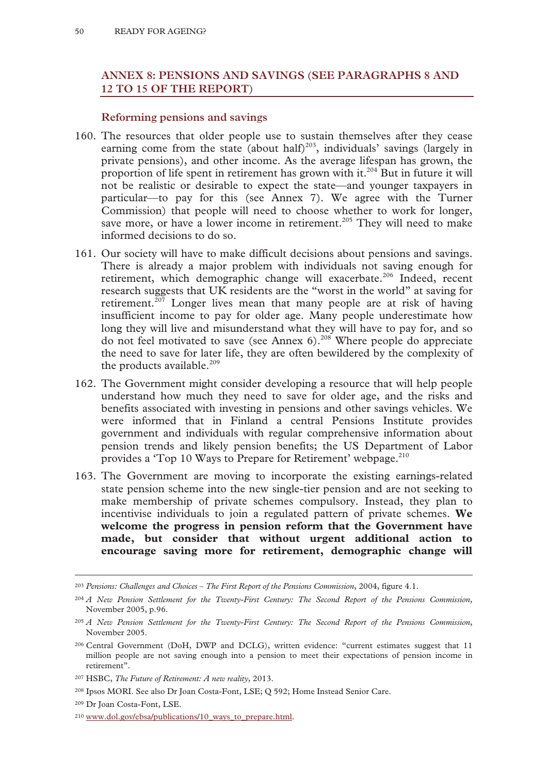# **ANNEX 8: PENSIONS AND SAVINGS (SEE PARAGRAPHS 8 AND 12 TO 15 OF THE REPORT)**

### **Reforming pensions and savings**

- 160. The resources that older people use to sustain themselves after they cease earning come from the state (about half)<sup>203</sup>, individuals' savings (largely in private pensions), and other income. As the average lifespan has grown, the proportion of life spent in retirement has grown with it.<sup>204</sup> But in future it will not be realistic or desirable to expect the state—and younger taxpayers in particular—to pay for this (see Annex 7). We agree with the Turner Commission) that people will need to choose whether to work for longer, save more, or have a lower income in retirement.<sup>205</sup> They will need to make informed decisions to do so.
- 161. Our society will have to make difficult decisions about pensions and savings. There is already a major problem with individuals not saving enough for retirement, which demographic change will exacerbate.<sup>206</sup> Indeed, recent research suggests that UK residents are the "worst in the world" at saving for retirement.<sup>207</sup> Longer lives mean that many people are at risk of having insufficient income to pay for older age. Many people underestimate how long they will live and misunderstand what they will have to pay for, and so do not feel motivated to save (see Annex  $6$ ).<sup>208</sup> Where people do appreciate the need to save for later life, they are often bewildered by the complexity of the products available.<sup>209</sup>
- 162. The Government might consider developing a resource that will help people understand how much they need to save for older age, and the risks and benefits associated with investing in pensions and other savings vehicles. We were informed that in Finland a central Pensions Institute provides government and individuals with regular comprehensive information about pension trends and likely pension benefits; the US Department of Labor provides a 'Top 10 Ways to Prepare for Retirement' webpage.<sup>210</sup>
- 163. The Government are moving to incorporate the existing earnings-related state pension scheme into the new single-tier pension and are not seeking to make membership of private schemes compulsory. Instead, they plan to incentivise individuals to join a regulated pattern of private schemes. **We welcome the progress in pension reform that the Government have made, but consider that without urgent additional action to encourage saving more for retirement, demographic change will**

 <sup>203</sup> *Pensions: Challenges and Choices – The First Report of the Pensions Commission*, 2004, figure 4.1.

<sup>204</sup> *A New Pension Settlement for the Twenty-First Century: The Second Report of the Pensions Commission*, November 2005, p.96.

<sup>205</sup> *A New Pension Settlement for the Twenty-First Century: The Second Report of the Pensions Commission*, November 2005.

<sup>206</sup> Central Government (DoH, DWP and DCLG), written evidence: "current estimates suggest that 11 million people are not saving enough into a pension to meet their expectations of pension income in retirement".

<sup>207</sup> HSBC, *The Future of Retirement: A new reality*, 2013.

<sup>208</sup> Ipsos MORI. See also Dr Joan Costa-Font, LSE; Q 592; Home Instead Senior Care.

<sup>209</sup> Dr Joan Costa-Font, LSE.

<sup>&</sup>lt;sup>210</sup> www.dol.gov/ebsa/publications/10 ways to prepare.html.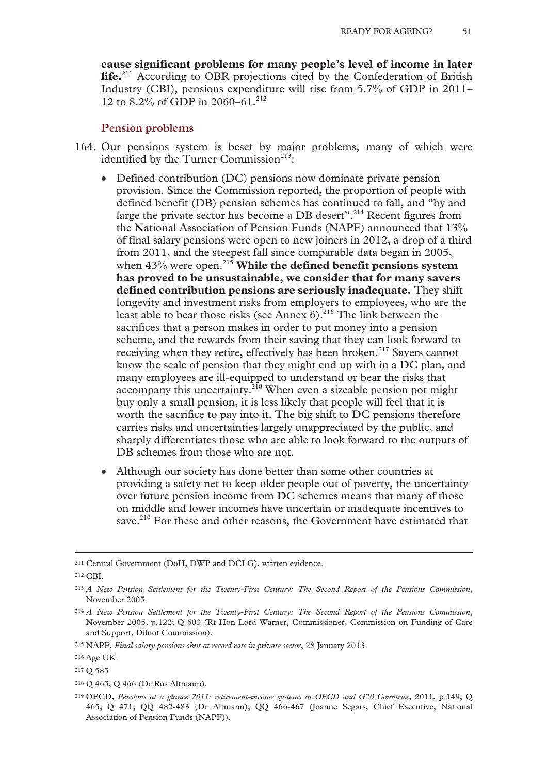**cause significant problems for many people's level of income in later life.**211 According to OBR projections cited by the Confederation of British Industry (CBI), pensions expenditure will rise from 5.7% of GDP in 2011– 12 to 8.2% of GDP in 2060–61.<sup>212</sup>

#### **Pension problems**

- 164. Our pensions system is beset by major problems, many of which were identified by the Turner Commission $^{213}$ :
	- Defined contribution (DC) pensions now dominate private pension provision. Since the Commission reported, the proportion of people with defined benefit (DB) pension schemes has continued to fall, and "by and large the private sector has become a DB desert".<sup>214</sup> Recent figures from the National Association of Pension Funds (NAPF) announced that 13% of final salary pensions were open to new joiners in 2012, a drop of a third from 2011, and the steepest fall since comparable data began in 2005, when 43% were open.<sup>215</sup> While the defined benefit pensions system **has proved to be unsustainable, we consider that for many savers defined contribution pensions are seriously inadequate.** They shift longevity and investment risks from employers to employees, who are the least able to bear those risks (see Annex  $6$ ).<sup>216</sup> The link between the sacrifices that a person makes in order to put money into a pension scheme, and the rewards from their saving that they can look forward to receiving when they retire, effectively has been broken.<sup>217</sup> Savers cannot know the scale of pension that they might end up with in a DC plan, and many employees are ill-equipped to understand or bear the risks that accompany this uncertainty.<sup>218</sup> When even a sizeable pension pot might buy only a small pension, it is less likely that people will feel that it is worth the sacrifice to pay into it. The big shift to DC pensions therefore carries risks and uncertainties largely unappreciated by the public, and sharply differentiates those who are able to look forward to the outputs of DB schemes from those who are not.
	- Although our society has done better than some other countries at providing a safety net to keep older people out of poverty, the uncertainty over future pension income from DC schemes means that many of those on middle and lower incomes have uncertain or inadequate incentives to save.<sup>219</sup> For these and other reasons, the Government have estimated that

218 Q 465; Q 466 (Dr Ros Altmann).

 <sup>211</sup> Central Government (DoH, DWP and DCLG), written evidence.

<sup>212</sup> CBI.

<sup>213</sup> *A New Pension Settlement for the Twenty-First Century: The Second Report of the Pensions Commission*, November 2005.

<sup>214</sup> *A New Pension Settlement for the Twenty-First Century: The Second Report of the Pensions Commission*, November 2005, p.122; Q 603 (Rt Hon Lord Warner, Commissioner, Commission on Funding of Care and Support, Dilnot Commission).

<sup>215</sup> NAPF, *Final salary pensions shut at record rate in private sector*, 28 January 2013.

<sup>216</sup> Age UK.

<sup>217</sup> Q 585

<sup>219</sup> OECD, *Pensions at a glance 2011: retirement-income systems in OECD and G20 Countries*, 2011, p.149; Q 465; Q 471; QQ 482-483 (Dr Altmann); QQ 466-467 (Joanne Segars, Chief Executive, National Association of Pension Funds (NAPF)).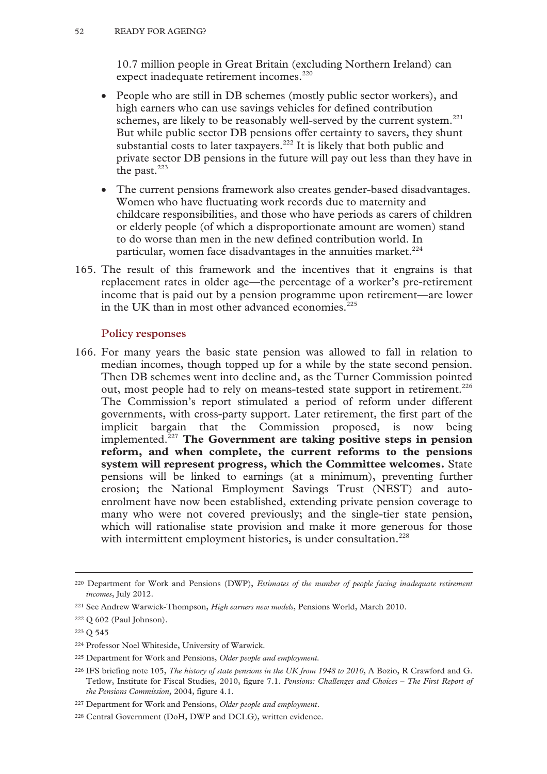10.7 million people in Great Britain (excluding Northern Ireland) can expect inadequate retirement incomes.<sup>220</sup>

- People who are still in DB schemes (mostly public sector workers), and high earners who can use savings vehicles for defined contribution schemes, are likely to be reasonably well-served by the current system.<sup>221</sup> But while public sector DB pensions offer certainty to savers, they shunt substantial costs to later taxpayers.<sup>222</sup> It is likely that both public and private sector DB pensions in the future will pay out less than they have in the past. $223$
- The current pensions framework also creates gender-based disadvantages. Women who have fluctuating work records due to maternity and childcare responsibilities, and those who have periods as carers of children or elderly people (of which a disproportionate amount are women) stand to do worse than men in the new defined contribution world. In particular, women face disadvantages in the annuities market. $224$
- 165. The result of this framework and the incentives that it engrains is that replacement rates in older age—the percentage of a worker's pre-retirement income that is paid out by a pension programme upon retirement—are lower in the UK than in most other advanced economies. $^{225}$

## **Policy responses**

166. For many years the basic state pension was allowed to fall in relation to median incomes, though topped up for a while by the state second pension. Then DB schemes went into decline and, as the Turner Commission pointed out, most people had to rely on means-tested state support in retirement.<sup>226</sup> The Commission's report stimulated a period of reform under different governments, with cross-party support. Later retirement, the first part of the implicit bargain that the Commission proposed, is now being implemented.227 **The Government are taking positive steps in pension reform, and when complete, the current reforms to the pensions system will represent progress, which the Committee welcomes.** State pensions will be linked to earnings (at a minimum), preventing further erosion; the National Employment Savings Trust (NEST) and autoenrolment have now been established, extending private pension coverage to many who were not covered previously; and the single-tier state pension, which will rationalise state provision and make it more generous for those with intermittent employment histories, is under consultation.<sup>228</sup>

 <sup>220</sup> Department for Work and Pensions (DWP), *Estimates of the number of people facing inadequate retirement incomes*, July 2012.

<sup>221</sup> See Andrew Warwick-Thompson, *High earners new models*, Pensions World, March 2010.

<sup>222</sup> Q 602 (Paul Johnson).

<sup>223</sup> Q 545

<sup>224</sup> Professor Noel Whiteside, University of Warwick.

<sup>225</sup> Department for Work and Pensions, *Older people and employment.* 

<sup>226</sup> IFS briefing note 105, *The history of state pensions in the UK from 1948 to 2010*, A Bozio, R Crawford and G. Tetlow, Institute for Fiscal Studies, 2010, figure 7.1. *Pensions: Challenges and Choices – The First Report of the Pensions Commission*, 2004, figure 4.1.

<sup>227</sup> Department for Work and Pensions, *Older people and employment*.

<sup>228</sup> Central Government (DoH, DWP and DCLG), written evidence.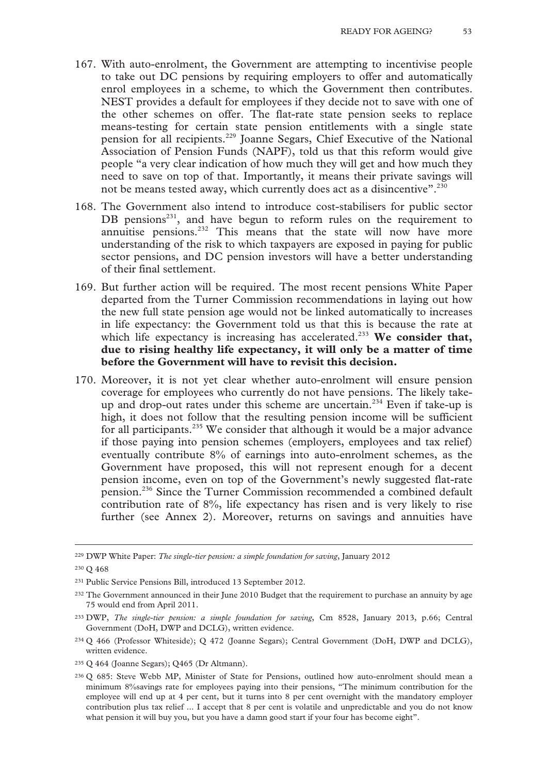- 167. With auto-enrolment, the Government are attempting to incentivise people to take out DC pensions by requiring employers to offer and automatically enrol employees in a scheme, to which the Government then contributes. NEST provides a default for employees if they decide not to save with one of the other schemes on offer. The flat-rate state pension seeks to replace means-testing for certain state pension entitlements with a single state pension for all recipients.229 Joanne Segars, Chief Executive of the National Association of Pension Funds (NAPF), told us that this reform would give people "a very clear indication of how much they will get and how much they need to save on top of that. Importantly, it means their private savings will not be means tested away, which currently does act as a disincentive".<sup>230</sup>
- 168. The Government also intend to introduce cost-stabilisers for public sector DB pensions $^{231}$ , and have begun to reform rules on the requirement to annuitise pensions.<sup>232</sup> This means that the state will now have more understanding of the risk to which taxpayers are exposed in paying for public sector pensions, and DC pension investors will have a better understanding of their final settlement.
- 169. But further action will be required. The most recent pensions White Paper departed from the Turner Commission recommendations in laying out how the new full state pension age would not be linked automatically to increases in life expectancy: the Government told us that this is because the rate at which life expectancy is increasing has accelerated.<sup>233</sup> We consider that, **due to rising healthy life expectancy, it will only be a matter of time before the Government will have to revisit this decision.**
- 170. Moreover, it is not yet clear whether auto-enrolment will ensure pension coverage for employees who currently do not have pensions. The likely takeup and drop-out rates under this scheme are uncertain.<sup>234</sup> Even if take-up is high, it does not follow that the resulting pension income will be sufficient for all participants.235 We consider that although it would be a major advance if those paying into pension schemes (employers, employees and tax relief) eventually contribute 8% of earnings into auto-enrolment schemes, as the Government have proposed, this will not represent enough for a decent pension income, even on top of the Government's newly suggested flat-rate pension.236 Since the Turner Commission recommended a combined default contribution rate of 8%, life expectancy has risen and is very likely to rise further (see Annex 2). Moreover, returns on savings and annuities have

 <sup>229</sup> DWP White Paper: *The single-tier pension: a simple foundation for saving*, January 2012

<sup>230</sup> Q 468

<sup>231</sup> Public Service Pensions Bill, introduced 13 September 2012.

<sup>&</sup>lt;sup>232</sup> The Government announced in their June 2010 Budget that the requirement to purchase an annuity by age 75 would end from April 2011.

<sup>233</sup> DWP, *The single-tier pension: a simple foundation for saving*, Cm 8528, January 2013, p.66; Central Government (DoH, DWP and DCLG), written evidence.

<sup>234</sup> Q 466 (Professor Whiteside); Q 472 (Joanne Segars); Central Government (DoH, DWP and DCLG), written evidence.

<sup>235</sup> Q 464 (Joanne Segars); Q465 (Dr Altmann).

<sup>236</sup> Q 685: Steve Webb MP, Minister of State for Pensions, outlined how auto-enrolment should mean a minimum 8%savings rate for employees paying into their pensions, "The minimum contribution for the employee will end up at 4 per cent, but it turns into 8 per cent overnight with the mandatory employer contribution plus tax relief ... I accept that 8 per cent is volatile and unpredictable and you do not know what pension it will buy you, but you have a damn good start if your four has become eight".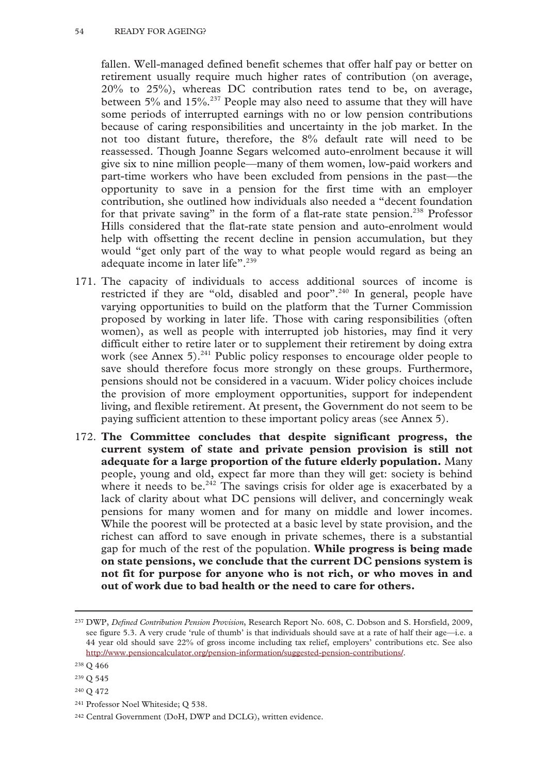fallen. Well-managed defined benefit schemes that offer half pay or better on retirement usually require much higher rates of contribution (on average, 20% to 25%), whereas DC contribution rates tend to be, on average, between 5% and 15%.237 People may also need to assume that they will have some periods of interrupted earnings with no or low pension contributions because of caring responsibilities and uncertainty in the job market. In the not too distant future, therefore, the 8% default rate will need to be reassessed. Though Joanne Segars welcomed auto-enrolment because it will give six to nine million people—many of them women, low-paid workers and part-time workers who have been excluded from pensions in the past—the opportunity to save in a pension for the first time with an employer contribution, she outlined how individuals also needed a "decent foundation for that private saving" in the form of a flat-rate state pension.<sup>238</sup> Professor Hills considered that the flat-rate state pension and auto-enrolment would help with offsetting the recent decline in pension accumulation, but they would "get only part of the way to what people would regard as being an adequate income in later life".<sup>239</sup>

- 171. The capacity of individuals to access additional sources of income is restricted if they are "old, disabled and poor".<sup>240</sup> In general, people have varying opportunities to build on the platform that the Turner Commission proposed by working in later life. Those with caring responsibilities (often women), as well as people with interrupted job histories, may find it very difficult either to retire later or to supplement their retirement by doing extra work (see Annex 5). $^{241}$  Public policy responses to encourage older people to save should therefore focus more strongly on these groups. Furthermore, pensions should not be considered in a vacuum. Wider policy choices include the provision of more employment opportunities, support for independent living, and flexible retirement. At present, the Government do not seem to be paying sufficient attention to these important policy areas (see Annex 5).
- 172. **The Committee concludes that despite significant progress, the current system of state and private pension provision is still not adequate for a large proportion of the future elderly population.** Many people, young and old, expect far more than they will get: society is behind where it needs to be.<sup>242</sup> The savings crisis for older age is exacerbated by a lack of clarity about what DC pensions will deliver, and concerningly weak pensions for many women and for many on middle and lower incomes. While the poorest will be protected at a basic level by state provision, and the richest can afford to save enough in private schemes, there is a substantial gap for much of the rest of the population. **While progress is being made on state pensions, we conclude that the current DC pensions system is not fit for purpose for anyone who is not rich, or who moves in and out of work due to bad health or the need to care for others.**

- 239 Q 545
- 240 Q 472

 <sup>237</sup> DWP, *Defined Contribution Pension Provision*, Research Report No. 608, C. Dobson and S. Horsfield, 2009, see figure 5.3. A very crude 'rule of thumb' is that individuals should save at a rate of half their age—i.e. a 44 year old should save 22% of gross income including tax relief, employers' contributions etc. See also http://www.pensioncalculator.org/pension-information/suggested-pension-contributions/.

<sup>238</sup> Q 466

<sup>241</sup> Professor Noel Whiteside; Q 538.

<sup>242</sup> Central Government (DoH, DWP and DCLG), written evidence.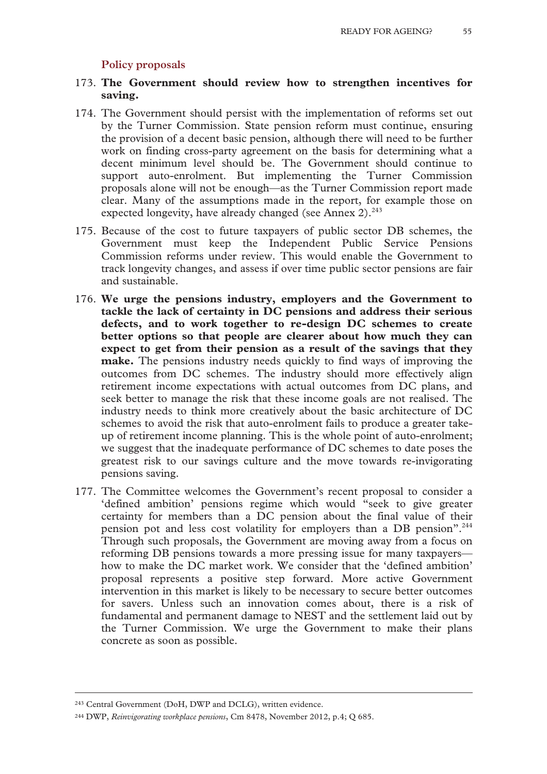### **Policy proposals**

- 173. **The Government should review how to strengthen incentives for saving.**
- 174. The Government should persist with the implementation of reforms set out by the Turner Commission. State pension reform must continue, ensuring the provision of a decent basic pension, although there will need to be further work on finding cross-party agreement on the basis for determining what a decent minimum level should be. The Government should continue to support auto-enrolment. But implementing the Turner Commission proposals alone will not be enough—as the Turner Commission report made clear. Many of the assumptions made in the report, for example those on expected longevity, have already changed (see Annex  $2$ ).<sup>243</sup>
- 175. Because of the cost to future taxpayers of public sector DB schemes, the Government must keep the Independent Public Service Pensions Commission reforms under review. This would enable the Government to track longevity changes, and assess if over time public sector pensions are fair and sustainable.
- 176. **We urge the pensions industry, employers and the Government to tackle the lack of certainty in DC pensions and address their serious defects, and to work together to re-design DC schemes to create better options so that people are clearer about how much they can expect to get from their pension as a result of the savings that they make.** The pensions industry needs quickly to find ways of improving the outcomes from DC schemes. The industry should more effectively align retirement income expectations with actual outcomes from DC plans, and seek better to manage the risk that these income goals are not realised. The industry needs to think more creatively about the basic architecture of DC schemes to avoid the risk that auto-enrolment fails to produce a greater takeup of retirement income planning. This is the whole point of auto-enrolment; we suggest that the inadequate performance of DC schemes to date poses the greatest risk to our savings culture and the move towards re-invigorating pensions saving.
- 177. The Committee welcomes the Government's recent proposal to consider a 'defined ambition' pensions regime which would "seek to give greater certainty for members than a DC pension about the final value of their pension pot and less cost volatility for employers than a DB pension".<sup>244</sup> Through such proposals, the Government are moving away from a focus on reforming DB pensions towards a more pressing issue for many taxpayers how to make the DC market work. We consider that the 'defined ambition' proposal represents a positive step forward. More active Government intervention in this market is likely to be necessary to secure better outcomes for savers. Unless such an innovation comes about, there is a risk of fundamental and permanent damage to NEST and the settlement laid out by the Turner Commission. We urge the Government to make their plans concrete as soon as possible.

 <sup>243</sup> Central Government (DoH, DWP and DCLG), written evidence.

<sup>244</sup> DWP, *Reinvigorating workplace pensions*, Cm 8478, November 2012, p.4; Q 685.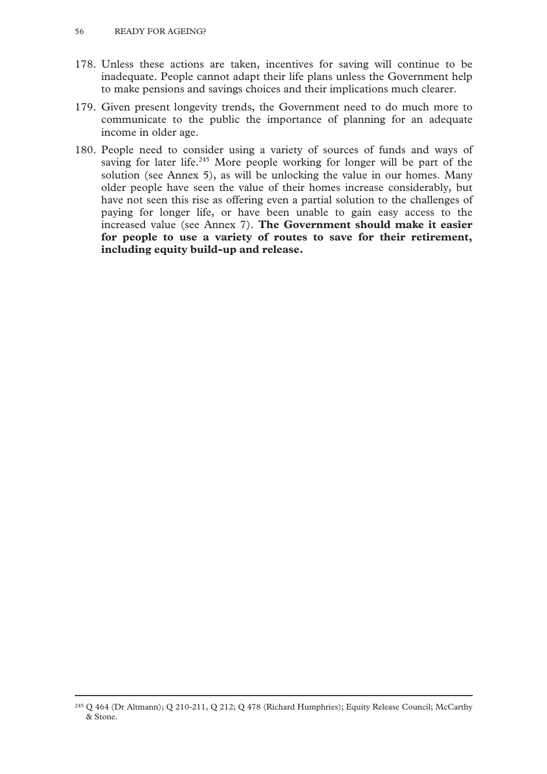- 178. Unless these actions are taken, incentives for saving will continue to be inadequate. People cannot adapt their life plans unless the Government help to make pensions and savings choices and their implications much clearer.
- 179. Given present longevity trends, the Government need to do much more to communicate to the public the importance of planning for an adequate income in older age.
- 180. People need to consider using a variety of sources of funds and ways of saving for later life.<sup>245</sup> More people working for longer will be part of the solution (see Annex 5), as will be unlocking the value in our homes. Many older people have seen the value of their homes increase considerably, but have not seen this rise as offering even a partial solution to the challenges of paying for longer life, or have been unable to gain easy access to the increased value (see Annex 7). **The Government should make it easier for people to use a variety of routes to save for their retirement, including equity build-up and release.**

 <sup>245</sup> Q 464 (Dr Altmann); Q 210-211, Q 212; Q 478 (Richard Humphries); Equity Release Council; McCarthy & Stone.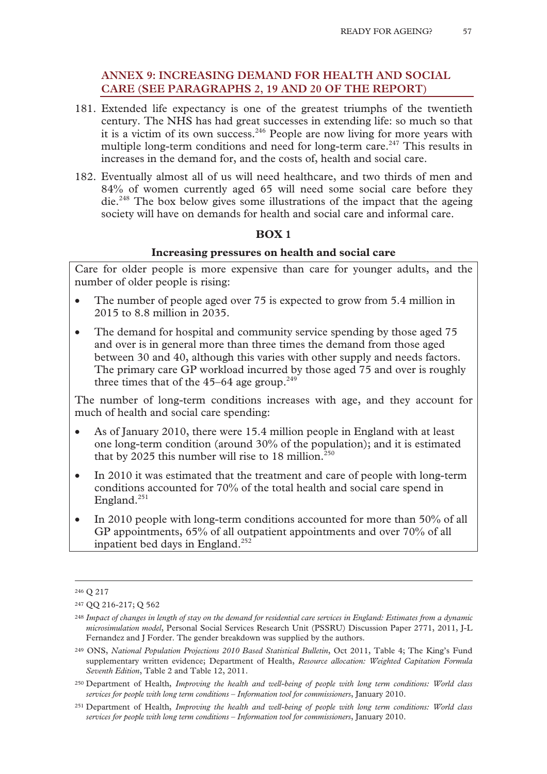# **ANNEX 9: INCREASING DEMAND FOR HEALTH AND SOCIAL CARE (SEE PARAGRAPHS 2, 19 AND 20 OF THE REPORT)**

- 181. Extended life expectancy is one of the greatest triumphs of the twentieth century. The NHS has had great successes in extending life: so much so that it is a victim of its own success.<sup>246</sup> People are now living for more years with multiple long-term conditions and need for long-term care.<sup>247</sup> This results in increases in the demand for, and the costs of, health and social care.
- 182. Eventually almost all of us will need healthcare, and two thirds of men and 84% of women currently aged 65 will need some social care before they die.248 The box below gives some illustrations of the impact that the ageing society will have on demands for health and social care and informal care.

## **BOX 1**

#### **Increasing pressures on health and social care**

Care for older people is more expensive than care for younger adults, and the number of older people is rising:

- The number of people aged over 75 is expected to grow from 5.4 million in 2015 to 8.8 million in 2035.
- The demand for hospital and community service spending by those aged 75 and over is in general more than three times the demand from those aged between 30 and 40, although this varies with other supply and needs factors. The primary care GP workload incurred by those aged 75 and over is roughly three times that of the  $45-64$  age group.<sup>249</sup>

The number of long-term conditions increases with age, and they account for much of health and social care spending:

- As of January 2010, there were 15.4 million people in England with at least one long-term condition (around 30% of the population); and it is estimated that by 2025 this number will rise to 18 million.<sup>250</sup>
- In 2010 it was estimated that the treatment and care of people with long-term conditions accounted for 70% of the total health and social care spend in England.<sup>251</sup>
- In 2010 people with long-term conditions accounted for more than 50% of all GP appointments, 65% of all outpatient appointments and over 70% of all inpatient bed days in England.<sup>252</sup>

 <sup>246</sup> Q 217

<sup>247</sup> QQ 216-217; Q 562

<sup>248</sup> *Impact of changes in length of stay on the demand for residential care services in England: Estimates from a dynamic microsimulation model*, Personal Social Services Research Unit (PSSRU) Discussion Paper 2771, 2011, J-L Fernandez and J Forder. The gender breakdown was supplied by the authors.

<sup>249</sup> ONS, *National Population Projections 2010 Based Statistical Bulletin*, Oct 2011, Table 4; The King's Fund supplementary written evidence; Department of Health, *Resource allocation: Weighted Capitation Formula Seventh Edition*, Table 2 and Table 12, 2011.

<sup>250</sup> Department of Health, *Improving the health and well-being of people with long term conditions: World class services for people with long term conditions – Information tool for commissioners*, January 2010.

<sup>251</sup> Department of Health, *Improving the health and well-being of people with long term conditions: World class services for people with long term conditions – Information tool for commissioners*, January 2010.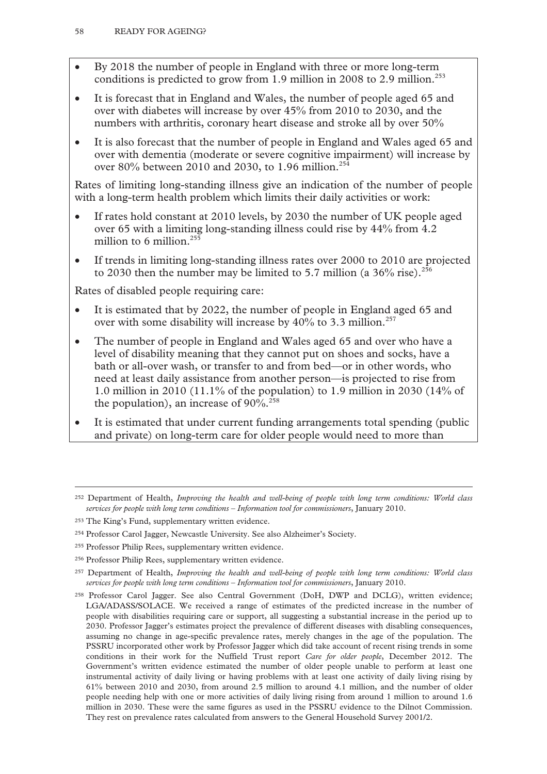- By 2018 the number of people in England with three or more long-term conditions is predicted to grow from 1.9 million in 2008 to 2.9 million.<sup>253</sup>
- It is forecast that in England and Wales, the number of people aged 65 and over with diabetes will increase by over 45% from 2010 to 2030, and the numbers with arthritis, coronary heart disease and stroke all by over 50%
- It is also forecast that the number of people in England and Wales aged 65 and over with dementia (moderate or severe cognitive impairment) will increase by over 80% between 2010 and 2030, to 1.96 million.<sup>254</sup>

Rates of limiting long-standing illness give an indication of the number of people with a long-term health problem which limits their daily activities or work:

- If rates hold constant at 2010 levels, by 2030 the number of UK people aged over 65 with a limiting long-standing illness could rise by 44% from 4.2 million to 6 million. $255$
- If trends in limiting long-standing illness rates over 2000 to 2010 are projected to 2030 then the number may be limited to 5.7 million (a  $36\%$  rise).<sup>256</sup>

Rates of disabled people requiring care:

- It is estimated that by 2022, the number of people in England aged 65 and over with some disability will increase by  $40\%$  to 3.3 million.<sup>257</sup>
- The number of people in England and Wales aged 65 and over who have a level of disability meaning that they cannot put on shoes and socks, have a bath or all-over wash, or transfer to and from bed—or in other words, who need at least daily assistance from another person—is projected to rise from 1.0 million in 2010 (11.1% of the population) to 1.9 million in 2030 (14% of the population), an increase of  $90\%$ .<sup>258</sup>
- It is estimated that under current funding arrangements total spending (public and private) on long-term care for older people would need to more than

 <sup>252</sup> Department of Health, *Improving the health and well-being of people with long term conditions: World class services for people with long term conditions – Information tool for commissioners*, January 2010.

<sup>253</sup> The King's Fund, supplementary written evidence.

<sup>254</sup> Professor Carol Jagger, Newcastle University. See also Alzheimer's Society.

<sup>255</sup> Professor Philip Rees, supplementary written evidence.

<sup>256</sup> Professor Philip Rees, supplementary written evidence.

<sup>257</sup> Department of Health, *Improving the health and well-being of people with long term conditions: World class services for people with long term conditions – Information tool for commissioners*, January 2010.

<sup>258</sup> Professor Carol Jagger. See also Central Government (DoH, DWP and DCLG), written evidence; LGA/ADASS/SOLACE. We received a range of estimates of the predicted increase in the number of people with disabilities requiring care or support, all suggesting a substantial increase in the period up to 2030. Professor Jagger's estimates project the prevalence of different diseases with disabling consequences, assuming no change in age-specific prevalence rates, merely changes in the age of the population. The PSSRU incorporated other work by Professor Jagger which did take account of recent rising trends in some conditions in their work for the Nuffield Trust report *Care for older people*, December 2012. The Government's written evidence estimated the number of older people unable to perform at least one instrumental activity of daily living or having problems with at least one activity of daily living rising by 61% between 2010 and 2030, from around 2.5 million to around 4.1 million, and the number of older people needing help with one or more activities of daily living rising from around 1 million to around 1.6 million in 2030. These were the same figures as used in the PSSRU evidence to the Dilnot Commission. They rest on prevalence rates calculated from answers to the General Household Survey 2001/2.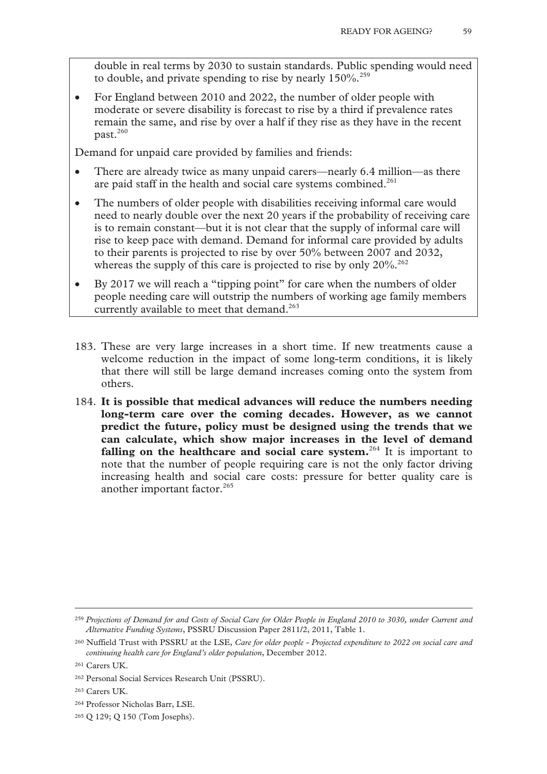double in real terms by 2030 to sustain standards. Public spending would need to double, and private spending to rise by nearly 150%.<sup>259</sup>

• For England between 2010 and 2022, the number of older people with moderate or severe disability is forecast to rise by a third if prevalence rates remain the same, and rise by over a half if they rise as they have in the recent past.260

Demand for unpaid care provided by families and friends:

- There are already twice as many unpaid carers—nearly 6.4 million—as there are paid staff in the health and social care systems combined.<sup>261</sup>
- The numbers of older people with disabilities receiving informal care would need to nearly double over the next 20 years if the probability of receiving care is to remain constant—but it is not clear that the supply of informal care will rise to keep pace with demand. Demand for informal care provided by adults to their parents is projected to rise by over 50% between 2007 and 2032, whereas the supply of this care is projected to rise by only  $20\%$ .<sup>262</sup>
- By 2017 we will reach a "tipping point" for care when the numbers of older people needing care will outstrip the numbers of working age family members currently available to meet that demand.<sup>263</sup>
- 183. These are very large increases in a short time. If new treatments cause a welcome reduction in the impact of some long-term conditions, it is likely that there will still be large demand increases coming onto the system from others.
- 184. **It is possible that medical advances will reduce the numbers needing long-term care over the coming decades. However, as we cannot predict the future, policy must be designed using the trends that we can calculate, which show major increases in the level of demand**  falling on the healthcare and social care system.<sup>264</sup> It is important to note that the number of people requiring care is not the only factor driving increasing health and social care costs: pressure for better quality care is another important factor. $265$

265 Q 129; Q 150 (Tom Josephs).

 <sup>259</sup> *Projections of Demand for and Costs of Social Care for Older People in England 2010 to 3030, under Current and Alternative Funding Systems*, PSSRU Discussion Paper 2811/2, 2011, Table 1.

<sup>260</sup> Nuffield Trust with PSSRU at the LSE, *Care for older people - Projected expenditure to 2022 on social care and continuing health care for England's older population*, December 2012.

<sup>261</sup> Carers UK.

<sup>262</sup> Personal Social Services Research Unit (PSSRU).

<sup>263</sup> Carers UK.

<sup>264</sup> Professor Nicholas Barr, LSE.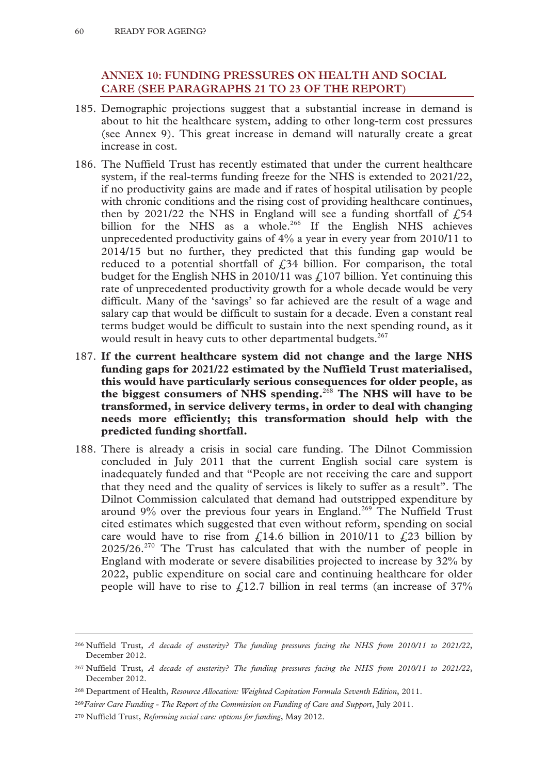## **ANNEX 10: FUNDING PRESSURES ON HEALTH AND SOCIAL CARE (SEE PARAGRAPHS 21 TO 23 OF THE REPORT)**

- 185. Demographic projections suggest that a substantial increase in demand is about to hit the healthcare system, adding to other long-term cost pressures (see Annex 9). This great increase in demand will naturally create a great increase in cost.
- 186. The Nuffield Trust has recently estimated that under the current healthcare system, if the real-terms funding freeze for the NHS is extended to 2021/22, if no productivity gains are made and if rates of hospital utilisation by people with chronic conditions and the rising cost of providing healthcare continues, then by 2021/22 the NHS in England will see a funding shortfall of  $\sqrt{54}$ billion for the NHS as a whole.<sup>266</sup> If the English NHS achieves unprecedented productivity gains of  $4\%$  a year in every year from 2010/11 to 2014/15 but no further, they predicted that this funding gap would be reduced to a potential shortfall of  $\angle 34$  billion. For comparison, the total budget for the English NHS in 2010/11 was  $\hat{L}$  107 billion. Yet continuing this rate of unprecedented productivity growth for a whole decade would be very difficult. Many of the 'savings' so far achieved are the result of a wage and salary cap that would be difficult to sustain for a decade. Even a constant real terms budget would be difficult to sustain into the next spending round, as it would result in heavy cuts to other departmental budgets.<sup>267</sup>
- 187. **If the current healthcare system did not change and the large NHS funding gaps for 2021/22 estimated by the Nuffield Trust materialised, this would have particularly serious consequences for older people, as the biggest consumers of NHS spending.**<sup>268</sup> **The NHS will have to be transformed, in service delivery terms, in order to deal with changing needs more efficiently; this transformation should help with the predicted funding shortfall.**
- 188. There is already a crisis in social care funding. The Dilnot Commission concluded in July 2011 that the current English social care system is inadequately funded and that "People are not receiving the care and support that they need and the quality of services is likely to suffer as a result". The Dilnot Commission calculated that demand had outstripped expenditure by around  $9\%$  over the previous four years in England.<sup>269</sup> The Nuffield Trust cited estimates which suggested that even without reform, spending on social care would have to rise from  $\text{\textsterling}14.6$  billion in 2010/11 to  $\text{\textsterling}23$  billion by 2025/26.270 The Trust has calculated that with the number of people in England with moderate or severe disabilities projected to increase by 32% by 2022, public expenditure on social care and continuing healthcare for older people will have to rise to  $\angle$ 12.7 billion in real terms (an increase of 37%

 <sup>266</sup> Nuffield Trust, *A decade of austerity? The funding pressures facing the NHS from 2010/11 to 2021/22*, December 2012.

<sup>267</sup> Nuffield Trust, *A decade of austerity? The funding pressures facing the NHS from 2010/11 to 2021/22*, December 2012.

<sup>268</sup> Department of Health, *Resource Allocation: Weighted Capitation Formula Seventh Edition*, 2011.

<sup>269</sup>*Fairer Care Funding - The Report of the Commission on Funding of Care and Support*, July 2011.

<sup>270</sup> Nuffield Trust, *Reforming social care: options for funding*, May 2012.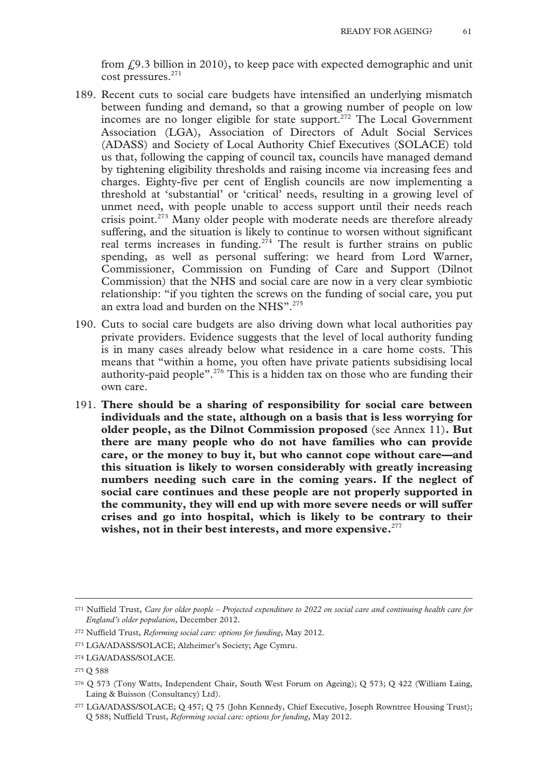from  $\text{\emph{L}}9.3$  billion in 2010), to keep pace with expected demographic and unit cost pressures.271

- 189. Recent cuts to social care budgets have intensified an underlying mismatch between funding and demand, so that a growing number of people on low incomes are no longer eligible for state support.<sup>272</sup> The Local Government Association (LGA), Association of Directors of Adult Social Services (ADASS) and Society of Local Authority Chief Executives (SOLACE) told us that, following the capping of council tax, councils have managed demand by tightening eligibility thresholds and raising income via increasing fees and charges. Eighty-five per cent of English councils are now implementing a threshold at 'substantial' or 'critical' needs, resulting in a growing level of unmet need, with people unable to access support until their needs reach crisis point.<sup>273</sup> Many older people with moderate needs are therefore already suffering, and the situation is likely to continue to worsen without significant real terms increases in funding.<sup>274</sup> The result is further strains on public spending, as well as personal suffering: we heard from Lord Warner, Commissioner, Commission on Funding of Care and Support (Dilnot Commission) that the NHS and social care are now in a very clear symbiotic relationship: "if you tighten the screws on the funding of social care, you put an extra load and burden on the NHS".<sup>275</sup>
- 190. Cuts to social care budgets are also driving down what local authorities pay private providers. Evidence suggests that the level of local authority funding is in many cases already below what residence in a care home costs. This means that "within a home, you often have private patients subsidising local authority-paid people". $276$  This is a hidden tax on those who are funding their own care.
- 191. **There should be a sharing of responsibility for social care between individuals and the state, although on a basis that is less worrying for older people, as the Dilnot Commission proposed** (see Annex 11)**. But there are many people who do not have families who can provide care, or the money to buy it, but who cannot cope without care—and this situation is likely to worsen considerably with greatly increasing numbers needing such care in the coming years. If the neglect of social care continues and these people are not properly supported in the community, they will end up with more severe needs or will suffer crises and go into hospital, which is likely to be contrary to their wishes, not in their best interests, and more expensive.**<sup>277</sup>

 <sup>271</sup> Nuffield Trust, *Care for older people – Projected expenditure to 2022 on social care and continuing health care for England's older population*, December 2012.

<sup>272</sup> Nuffield Trust, *Reforming social care: options for funding*, May 2012.

<sup>273</sup> LGA/ADASS/SOLACE; Alzheimer's Society; Age Cymru.

<sup>274</sup> LGA/ADASS/SOLACE.

<sup>275</sup> Q 588

<sup>276</sup> Q 573 (Tony Watts, Independent Chair, South West Forum on Ageing); Q 573; Q 422 (William Laing, Laing & Buisson (Consultancy) Ltd).

<sup>277</sup> LGA/ADASS/SOLACE; Q 457; Q 75 (John Kennedy, Chief Executive, Joseph Rowntree Housing Trust); Q 588; Nuffield Trust, *Reforming social care: options for funding*, May 2012.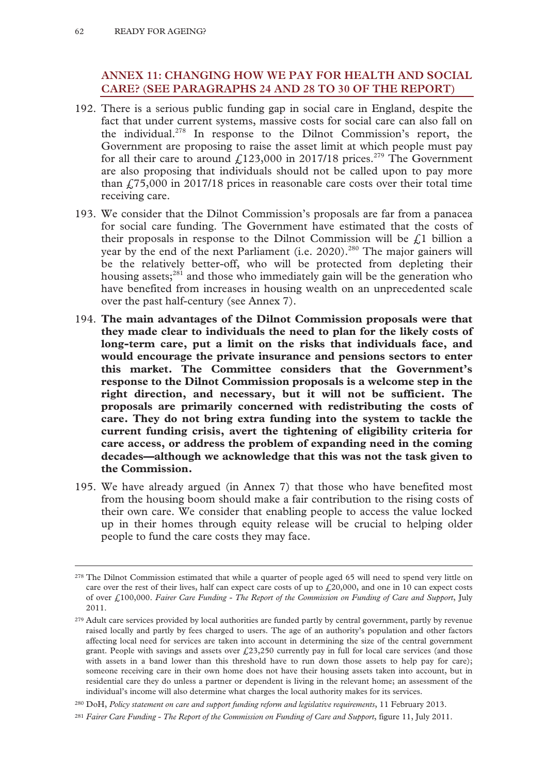# **ANNEX 11: CHANGING HOW WE PAY FOR HEALTH AND SOCIAL CARE? (SEE PARAGRAPHS 24 AND 28 TO 30 OF THE REPORT)**

- 192. There is a serious public funding gap in social care in England, despite the fact that under current systems, massive costs for social care can also fall on the individual.278 In response to the Dilnot Commission's report, the Government are proposing to raise the asset limit at which people must pay for all their care to around  $f(123,000)$  in 2017/18 prices.<sup>279</sup> The Government are also proposing that individuals should not be called upon to pay more than  $\text{\textsterling}75,000$  in 2017/18 prices in reasonable care costs over their total time receiving care.
- 193. We consider that the Dilnot Commission's proposals are far from a panacea for social care funding. The Government have estimated that the costs of their proposals in response to the Dilnot Commission will be  $\ell$  billion a year by the end of the next Parliament (i.e. 2020).<sup>280</sup> The major gainers will be the relatively better-off, who will be protected from depleting their housing assets; $281$  and those who immediately gain will be the generation who have benefited from increases in housing wealth on an unprecedented scale over the past half-century (see Annex 7).
- 194. **The main advantages of the Dilnot Commission proposals were that they made clear to individuals the need to plan for the likely costs of long-term care, put a limit on the risks that individuals face, and would encourage the private insurance and pensions sectors to enter this market. The Committee considers that the Government's response to the Dilnot Commission proposals is a welcome step in the right direction, and necessary, but it will not be sufficient. The proposals are primarily concerned with redistributing the costs of care. They do not bring extra funding into the system to tackle the current funding crisis, avert the tightening of eligibility criteria for care access, or address the problem of expanding need in the coming decades—although we acknowledge that this was not the task given to the Commission.**
- 195. We have already argued (in Annex 7) that those who have benefited most from the housing boom should make a fair contribution to the rising costs of their own care. We consider that enabling people to access the value locked up in their homes through equity release will be crucial to helping older people to fund the care costs they may face.

<sup>&</sup>lt;sup>278</sup> The Dilnot Commission estimated that while a quarter of people aged 65 will need to spend very little on care over the rest of their lives, half can expect care costs of up to  $f<sub>z</sub>20,000$ , and one in 10 can expect costs of over £100,000. *Fairer Care Funding - The Report of the Commission on Funding of Care and Support*, July 2011.

<sup>&</sup>lt;sup>279</sup> Adult care services provided by local authorities are funded partly by central government, partly by revenue raised locally and partly by fees charged to users. The age of an authority's population and other factors affecting local need for services are taken into account in determining the size of the central government grant. People with savings and assets over  $\text{\textsterling}23,250$  currently pay in full for local care services (and those with assets in a band lower than this threshold have to run down those assets to help pay for care); someone receiving care in their own home does not have their housing assets taken into account, but in residential care they do unless a partner or dependent is living in the relevant home; an assessment of the individual's income will also determine what charges the local authority makes for its services.

<sup>280</sup> DoH, *Policy statement on care and support funding reform and legislative requirements*, 11 February 2013.

<sup>281</sup> *Fairer Care Funding - The Report of the Commission on Funding of Care and Support*, figure 11, July 2011.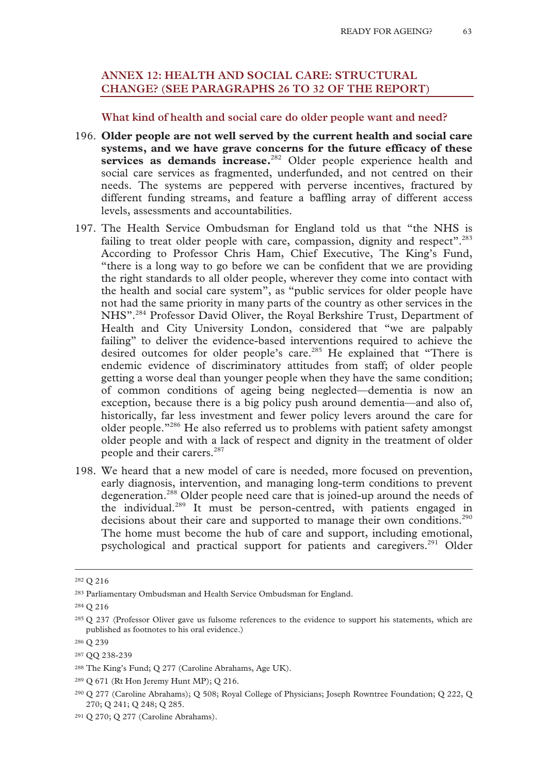# **ANNEX 12: HEALTH AND SOCIAL CARE: STRUCTURAL CHANGE? (SEE PARAGRAPHS 26 TO 32 OF THE REPORT)**

#### **What kind of health and social care do older people want and need?**

- 196. **Older people are not well served by the current health and social care systems, and we have grave concerns for the future efficacy of these**  services as demands increase.<sup>282</sup> Older people experience health and social care services as fragmented, underfunded, and not centred on their needs. The systems are peppered with perverse incentives, fractured by different funding streams, and feature a baffling array of different access levels, assessments and accountabilities.
- 197. The Health Service Ombudsman for England told us that "the NHS is failing to treat older people with care, compassion, dignity and respect".<sup>283</sup> According to Professor Chris Ham, Chief Executive, The King's Fund, "there is a long way to go before we can be confident that we are providing the right standards to all older people, wherever they come into contact with the health and social care system", as "public services for older people have not had the same priority in many parts of the country as other services in the NHS".<sup>284</sup> Professor David Oliver, the Royal Berkshire Trust, Department of Health and City University London, considered that "we are palpably failing" to deliver the evidence-based interventions required to achieve the desired outcomes for older people's care.<sup>285</sup> He explained that "There is endemic evidence of discriminatory attitudes from staff; of older people getting a worse deal than younger people when they have the same condition; of common conditions of ageing being neglected—dementia is now an exception, because there is a big policy push around dementia—and also of, historically, far less investment and fewer policy levers around the care for older people."286 He also referred us to problems with patient safety amongst older people and with a lack of respect and dignity in the treatment of older people and their carers.<sup>287</sup>
- 198. We heard that a new model of care is needed, more focused on prevention, early diagnosis, intervention, and managing long-term conditions to prevent degeneration.288 Older people need care that is joined-up around the needs of the individual.289 It must be person-centred, with patients engaged in decisions about their care and supported to manage their own conditions.<sup>290</sup> The home must become the hub of care and support, including emotional, psychological and practical support for patients and caregivers.<sup>291</sup> Older

 <sup>282</sup> Q 216

<sup>283</sup> Parliamentary Ombudsman and Health Service Ombudsman for England.

<sup>284</sup> Q 216

<sup>285</sup> Q 237 (Professor Oliver gave us fulsome references to the evidence to support his statements, which are published as footnotes to his oral evidence.)

<sup>286</sup> Q 239

<sup>287</sup> QQ 238-239

<sup>288</sup> The King's Fund; Q 277 (Caroline Abrahams, Age UK).

<sup>289</sup> Q 671 (Rt Hon Jeremy Hunt MP); Q 216.

<sup>290</sup> Q 277 (Caroline Abrahams); Q 508; Royal College of Physicians; Joseph Rowntree Foundation; Q 222, Q 270; Q 241; Q 248; Q 285.

<sup>291</sup> Q 270; Q 277 (Caroline Abrahams).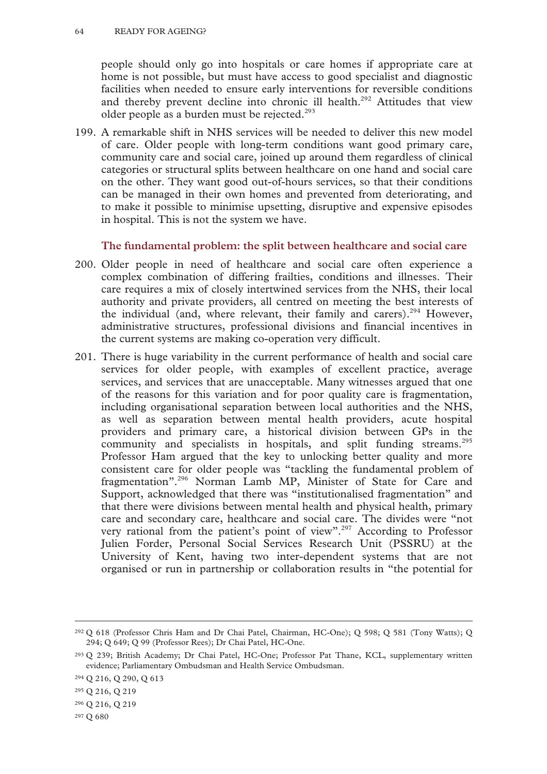people should only go into hospitals or care homes if appropriate care at home is not possible, but must have access to good specialist and diagnostic facilities when needed to ensure early interventions for reversible conditions and thereby prevent decline into chronic ill health.<sup>292</sup> Attitudes that view older people as a burden must be rejected. $293$ 

199. A remarkable shift in NHS services will be needed to deliver this new model of care. Older people with long-term conditions want good primary care, community care and social care, joined up around them regardless of clinical categories or structural splits between healthcare on one hand and social care on the other. They want good out-of-hours services, so that their conditions can be managed in their own homes and prevented from deteriorating, and to make it possible to minimise upsetting, disruptive and expensive episodes in hospital. This is not the system we have.

## **The fundamental problem: the split between healthcare and social care**

- 200. Older people in need of healthcare and social care often experience a complex combination of differing frailties, conditions and illnesses. Their care requires a mix of closely intertwined services from the NHS, their local authority and private providers, all centred on meeting the best interests of the individual (and, where relevant, their family and carers).<sup>294</sup> However, administrative structures, professional divisions and financial incentives in the current systems are making co-operation very difficult.
- 201. There is huge variability in the current performance of health and social care services for older people, with examples of excellent practice, average services, and services that are unacceptable. Many witnesses argued that one of the reasons for this variation and for poor quality care is fragmentation, including organisational separation between local authorities and the NHS, as well as separation between mental health providers, acute hospital providers and primary care, a historical division between GPs in the community and specialists in hospitals, and split funding streams.<sup>295</sup> Professor Ham argued that the key to unlocking better quality and more consistent care for older people was "tackling the fundamental problem of fragmentation".296 Norman Lamb MP, Minister of State for Care and Support, acknowledged that there was "institutionalised fragmentation" and that there were divisions between mental health and physical health, primary care and secondary care, healthcare and social care. The divides were "not very rational from the patient's point of view".297 According to Professor Julien Forder, Personal Social Services Research Unit (PSSRU) at the University of Kent, having two inter-dependent systems that are not organised or run in partnership or collaboration results in "the potential for

 <sup>292</sup> Q 618 (Professor Chris Ham and Dr Chai Patel, Chairman, HC-One); Q 598; Q 581 (Tony Watts); Q 294; Q 649; Q 99 (Professor Rees); Dr Chai Patel, HC-One.

<sup>293</sup> Q 239; British Academy; Dr Chai Patel, HC-One; Professor Pat Thane, KCL, supplementary written evidence; Parliamentary Ombudsman and Health Service Ombudsman.

<sup>294</sup> Q 216, Q 290, Q 613

<sup>295</sup> Q 216, Q 219

<sup>296</sup> Q 216, Q 219

<sup>297</sup> Q 680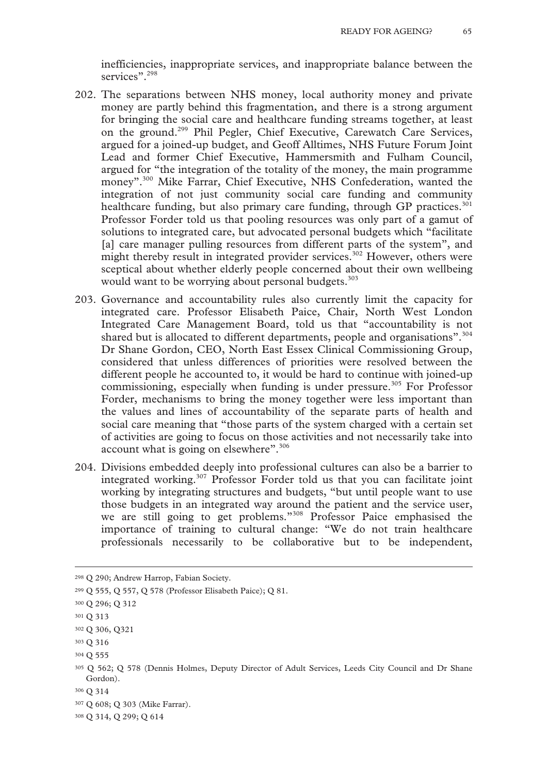inefficiencies, inappropriate services, and inappropriate balance between the services".<sup>298</sup>

- 202. The separations between NHS money, local authority money and private money are partly behind this fragmentation, and there is a strong argument for bringing the social care and healthcare funding streams together, at least on the ground.299 Phil Pegler, Chief Executive, Carewatch Care Services, argued for a joined-up budget, and Geoff Alltimes, NHS Future Forum Joint Lead and former Chief Executive, Hammersmith and Fulham Council, argued for "the integration of the totality of the money, the main programme money".<sup>300</sup> Mike Farrar, Chief Executive, NHS Confederation, wanted the integration of not just community social care funding and community healthcare funding, but also primary care funding, through GP practices.<sup>301</sup> Professor Forder told us that pooling resources was only part of a gamut of solutions to integrated care, but advocated personal budgets which "facilitate [a] care manager pulling resources from different parts of the system", and might thereby result in integrated provider services.<sup>302</sup> However, others were sceptical about whether elderly people concerned about their own wellbeing would want to be worrying about personal budgets.<sup>303</sup>
- 203. Governance and accountability rules also currently limit the capacity for integrated care. Professor Elisabeth Paice, Chair, North West London Integrated Care Management Board, told us that "accountability is not shared but is allocated to different departments, people and organisations".<sup>304</sup> Dr Shane Gordon, CEO, North East Essex Clinical Commissioning Group, considered that unless differences of priorities were resolved between the different people he accounted to, it would be hard to continue with joined-up commissioning, especially when funding is under pressure.<sup>305</sup> For Professor Forder, mechanisms to bring the money together were less important than the values and lines of accountability of the separate parts of health and social care meaning that "those parts of the system charged with a certain set of activities are going to focus on those activities and not necessarily take into account what is going on elsewhere".<sup>306</sup>
- 204. Divisions embedded deeply into professional cultures can also be a barrier to integrated working.307 Professor Forder told us that you can facilitate joint working by integrating structures and budgets, "but until people want to use those budgets in an integrated way around the patient and the service user, we are still going to get problems."308 Professor Paice emphasised the importance of training to cultural change: "We do not train healthcare professionals necessarily to be collaborative but to be independent,

308 Q 314, Q 299; Q 614

 <sup>298</sup> Q 290; Andrew Harrop, Fabian Society.

<sup>299</sup> Q 555, Q 557, Q 578 (Professor Elisabeth Paice); Q 81.

<sup>300</sup> Q 296; Q 312

<sup>301</sup> Q 313

<sup>302</sup> Q 306, Q321

<sup>303</sup> Q 316

<sup>304</sup> Q 555

<sup>305</sup> Q 562; Q 578 (Dennis Holmes, Deputy Director of Adult Services, Leeds City Council and Dr Shane Gordon).

<sup>306</sup> Q 314

<sup>307</sup> Q 608; Q 303 (Mike Farrar).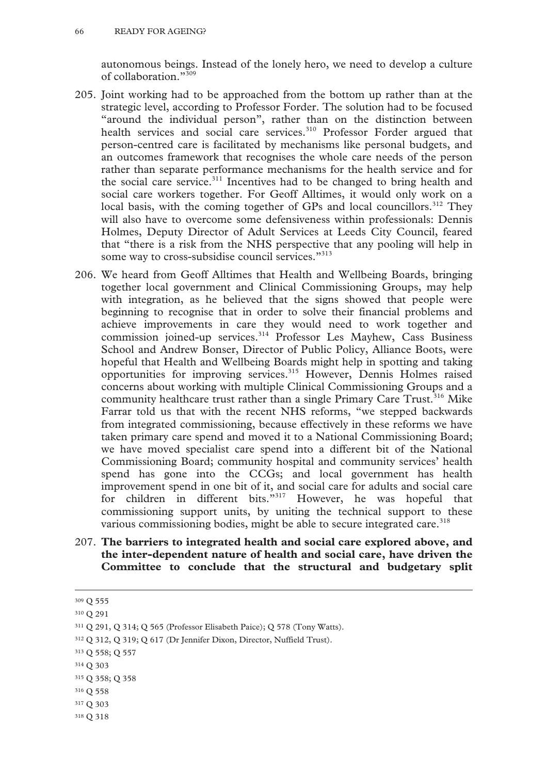autonomous beings. Instead of the lonely hero, we need to develop a culture of collaboration."309

- 205. Joint working had to be approached from the bottom up rather than at the strategic level, according to Professor Forder. The solution had to be focused "around the individual person", rather than on the distinction between health services and social care services.<sup>310</sup> Professor Forder argued that person-centred care is facilitated by mechanisms like personal budgets, and an outcomes framework that recognises the whole care needs of the person rather than separate performance mechanisms for the health service and for the social care service.<sup>311</sup> Incentives had to be changed to bring health and social care workers together. For Geoff Alltimes, it would only work on a local basis, with the coming together of GPs and local councillors.<sup>312</sup> They will also have to overcome some defensiveness within professionals: Dennis Holmes, Deputy Director of Adult Services at Leeds City Council, feared that "there is a risk from the NHS perspective that any pooling will help in some way to cross-subsidise council services."<sup>313</sup>
- 206. We heard from Geoff Alltimes that Health and Wellbeing Boards, bringing together local government and Clinical Commissioning Groups, may help with integration, as he believed that the signs showed that people were beginning to recognise that in order to solve their financial problems and achieve improvements in care they would need to work together and commission joined-up services.<sup>314</sup> Professor Les Mayhew, Cass Business School and Andrew Bonser, Director of Public Policy, Alliance Boots, were hopeful that Health and Wellbeing Boards might help in spotting and taking opportunities for improving services.<sup>315</sup> However, Dennis Holmes raised concerns about working with multiple Clinical Commissioning Groups and a community healthcare trust rather than a single Primary Care Trust.<sup>316</sup> Mike Farrar told us that with the recent NHS reforms, "we stepped backwards from integrated commissioning, because effectively in these reforms we have taken primary care spend and moved it to a National Commissioning Board; we have moved specialist care spend into a different bit of the National Commissioning Board; community hospital and community services' health spend has gone into the CCGs; and local government has health improvement spend in one bit of it, and social care for adults and social care for children in different bits."<sup>317</sup> However, he was hopeful that commissioning support units, by uniting the technical support to these various commissioning bodies, might be able to secure integrated care.<sup>318</sup>
- 207. **The barriers to integrated health and social care explored above, and the inter-dependent nature of health and social care, have driven the Committee to conclude that the structural and budgetary split**

312 Q 312, Q 319; Q 617 (Dr Jennifer Dixon, Director, Nuffield Trust).

 <sup>309</sup> Q 555

<sup>310</sup> Q 291

<sup>311</sup> Q 291, Q 314; Q 565 (Professor Elisabeth Paice); Q 578 (Tony Watts).

<sup>313</sup> Q 558; Q 557

<sup>314</sup> Q 303

<sup>315</sup> Q 358; Q 358

<sup>316</sup> Q 558

<sup>317</sup> Q 303

<sup>318</sup> Q 318